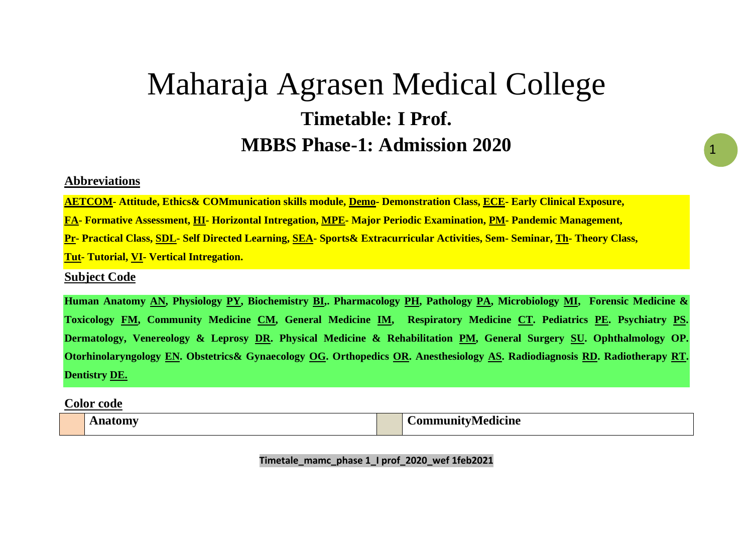# Maharaja Agrasen Medical College **Timetable: I Prof. MBBS Phase-1: Admission 2020**

#### **Abbreviations**

**AETCOM- Attitude, Ethics& COMmunication skills module, Demo- Demonstration Class, ECE- Early Clinical Exposure,** 

**FA- Formative Assessment, HI- Horizontal Intregation, MPE- Major Periodic Examination, PM- Pandemic Management,** 

**Pr- Practical Class, SDL- Self Directed Learning, SEA- Sports& Extracurricular Activities, Sem- Seminar, Th- Theory Class,** 

**Tut- Tutorial, VI- Vertical Intregation.**

#### **Subject Code**

**Human Anatomy AN, Physiology PY, Biochemistry BI,. Pharmacology PH, Pathology PA, Microbiology MI, Forensic Medicine & Toxicology FM, Community Medicine CM, General Medicine IM, Respiratory Medicine CT. Pediatrics PE. Psychiatry PS. Dermatology, Venereology & Leprosy DR. Physical Medicine & Rehabilitation PM, General Surgery SU. Ophthalmology OP. Otorhinolaryngology EN. Obstetrics& Gynaecology OG. Orthopedics OR. Anesthesiology AS. Radiodiagnosis RD. Radiotherapy RT. Dentistry DE.**

**Color code**

**Anatomy CommunityMedicine**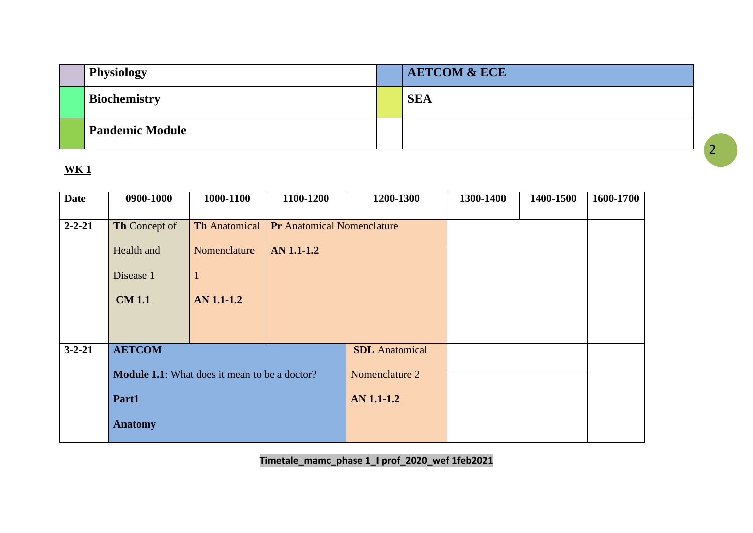| <b>Physiology</b>      | <b>AETCOM &amp; ECE</b> |
|------------------------|-------------------------|
| <b>Biochemistry</b>    | <b>SEA</b>              |
| <b>Pandemic Module</b> |                         |

| <b>Date</b>  | 0900-1000                                            | 1000-1100            | 1100-1200                         | 1200-1300             | 1300-1400 | 1400-1500 | 1600-1700 |
|--------------|------------------------------------------------------|----------------------|-----------------------------------|-----------------------|-----------|-----------|-----------|
|              |                                                      |                      |                                   |                       |           |           |           |
| $2 - 2 - 21$ | Th Concept of                                        | <b>Th Anatomical</b> | <b>Pr</b> Anatomical Nomenclature |                       |           |           |           |
|              | Health and                                           | Nomenclature         | AN 1.1-1.2                        |                       |           |           |           |
|              | Disease 1                                            | $\mathbf{1}$         |                                   |                       |           |           |           |
|              | <b>CM 1.1</b>                                        | AN 1.1-1.2           |                                   |                       |           |           |           |
|              |                                                      |                      |                                   |                       |           |           |           |
| $3 - 2 - 21$ | <b>AETCOM</b>                                        |                      |                                   | <b>SDL</b> Anatomical |           |           |           |
|              | <b>Module 1.1:</b> What does it mean to be a doctor? |                      |                                   | Nomenclature 2        |           |           |           |
|              | Part1                                                |                      |                                   | <b>AN 1.1-1.2</b>     |           |           |           |
|              | <b>Anatomy</b>                                       |                      |                                   |                       |           |           |           |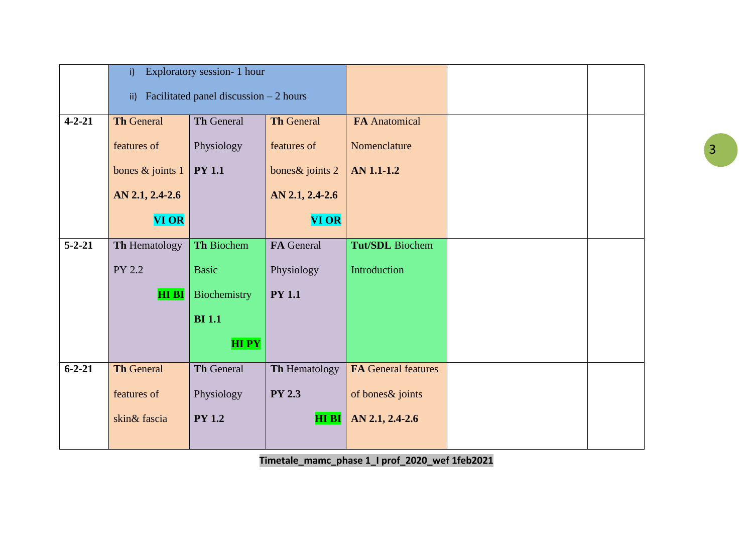|              | i)                                             | Exploratory session- 1 hour |                   |                            |  |
|--------------|------------------------------------------------|-----------------------------|-------------------|----------------------------|--|
|              | Facilitated panel discussion $-2$ hours<br>ii) |                             |                   |                            |  |
| $4 - 2 - 21$ | <b>Th General</b>                              | Th General                  | <b>Th General</b> | <b>FA</b> Anatomical       |  |
|              | features of                                    | Physiology                  | features of       | Nomenclature               |  |
|              | bones & joints 1                               | <b>PY 1.1</b>               | bones & joints 2  | <b>AN 1.1-1.2</b>          |  |
|              | AN 2.1, 2.4-2.6                                |                             | AN 2.1, 2.4-2.6   |                            |  |
|              | <b>VI OR</b>                                   |                             | <b>VI OR</b>      |                            |  |
| $5 - 2 - 21$ | Th Hematology                                  | Th Biochem                  | FA General        | <b>Tut/SDL</b> Biochem     |  |
|              | PY 2.2                                         | <b>Basic</b>                | Physiology        | Introduction               |  |
|              | HI BI                                          | Biochemistry                | <b>PY 1.1</b>     |                            |  |
|              |                                                | <b>BI</b> 1.1               |                   |                            |  |
|              |                                                | <b>HIPY</b>                 |                   |                            |  |
| $6 - 2 - 21$ | <b>Th General</b>                              | Th General                  | Th Hematology     | <b>FA General features</b> |  |
|              | features of                                    | Physiology                  | <b>PY 2.3</b>     | of bones & joints          |  |
|              | skin& fascia                                   | <b>PY 1.2</b>               | <b>HI BI</b>      | AN 2.1, 2.4-2.6            |  |
|              |                                                |                             |                   |                            |  |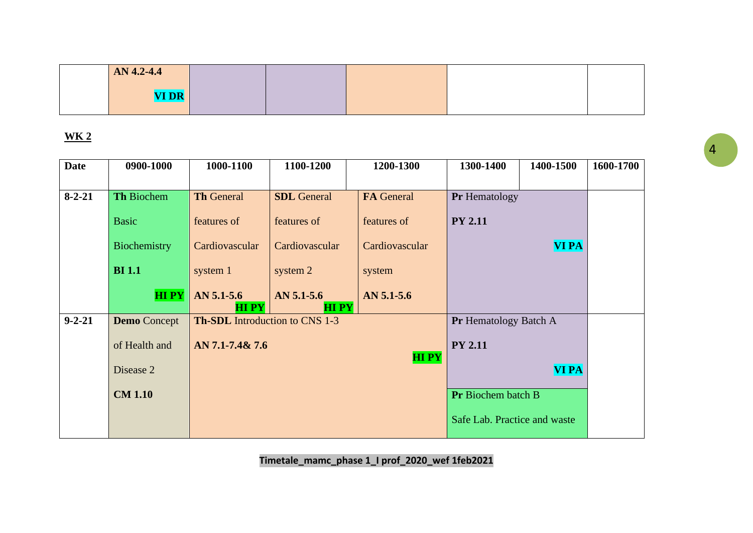| AN 4.2-4.4   |  |  |
|--------------|--|--|
| <b>VI DR</b> |  |  |

| <b>Date</b>  | 0900-1000           | 1000-1100                             | 1100-1200                   | 1200-1300      | 1300-1400                    | 1400-1500    | 1600-1700 |
|--------------|---------------------|---------------------------------------|-----------------------------|----------------|------------------------------|--------------|-----------|
|              |                     |                                       |                             |                |                              |              |           |
| $8 - 2 - 21$ | Th Biochem          | <b>Th General</b>                     | <b>SDL</b> General          | FA General     | <b>Pr</b> Hematology         |              |           |
|              | <b>Basic</b>        | features of                           | features of                 | features of    | <b>PY 2.11</b>               |              |           |
|              | Biochemistry        | Cardiovascular                        | Cardiovascular              | Cardiovascular |                              | <b>VI PA</b> |           |
|              | <b>BI</b> 1.1       | system 1                              | system 2                    | system         |                              |              |           |
|              | <b>HIPY</b>         | AN 5.1-5.6<br><b>HIPY</b>             | $AN$ 5.1-5.6<br><b>HIPY</b> | $AN$ 5.1-5.6   |                              |              |           |
| $9 - 2 - 21$ | <b>Demo</b> Concept | <b>Th-SDL</b> Introduction to CNS 1-3 |                             |                | <b>Pr</b> Hematology Batch A |              |           |
|              | of Health and       | AN 7.1-7.4& 7.6                       |                             | <b>HIPY</b>    | <b>PY 2.11</b>               |              |           |
|              | Disease 2           |                                       |                             |                |                              | <b>VI PA</b> |           |
|              | <b>CM 1.10</b>      |                                       |                             |                | <b>Pr</b> Biochem batch B    |              |           |
|              |                     |                                       |                             |                | Safe Lab. Practice and waste |              |           |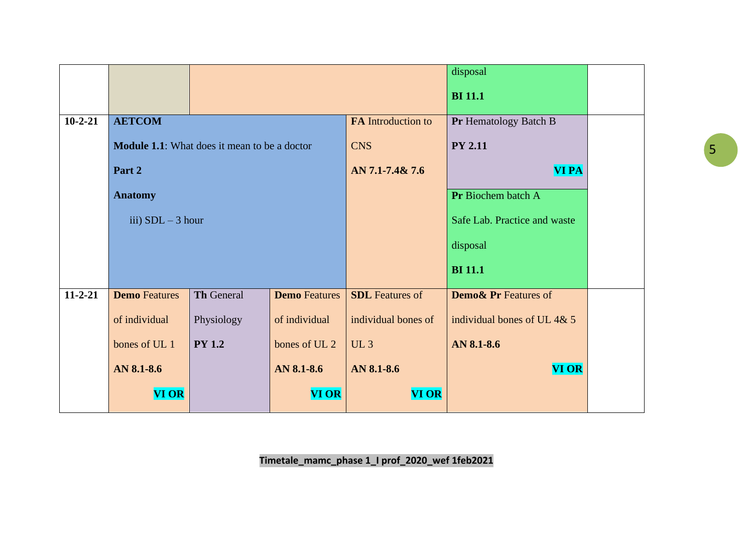|               |                                |                                                     |                      |                           | disposal                        |  |
|---------------|--------------------------------|-----------------------------------------------------|----------------------|---------------------------|---------------------------------|--|
|               |                                |                                                     |                      |                           | <b>BI</b> 11.1                  |  |
| $10 - 2 - 21$ | <b>AETCOM</b>                  |                                                     |                      | <b>FA</b> Introduction to | Pr Hematology Batch B           |  |
|               |                                | <b>Module 1.1:</b> What does it mean to be a doctor |                      | <b>CNS</b>                | <b>PY 2.11</b>                  |  |
|               | Part 2                         |                                                     |                      | AN 7.1-7.4& 7.6           | <b>VI PA</b>                    |  |
|               | <b>Anatomy</b>                 |                                                     |                      |                           | Pr Biochem batch A              |  |
|               | iii) $SDL - 3 hour$            |                                                     |                      |                           | Safe Lab. Practice and waste    |  |
|               |                                |                                                     |                      |                           | disposal                        |  |
|               |                                |                                                     |                      |                           | <b>BI</b> 11.1                  |  |
| $11 - 2 - 21$ | <b>Demo</b> Features           | <b>Th General</b>                                   | <b>Demo</b> Features | <b>SDL</b> Features of    | <b>Demo&amp; Pr Features of</b> |  |
|               | of individual                  | Physiology                                          | of individual        | individual bones of       | individual bones of UL 4& 5     |  |
|               | <b>PY 1.2</b><br>bones of UL 1 |                                                     | bones of UL 2        | UL3                       | AN 8.1-8.6                      |  |
|               | AN 8.1-8.6<br>AN 8.1-8.6       |                                                     | AN 8.1-8.6           | <b>VI OR</b>              |                                 |  |
|               | <b>VI OR</b>                   |                                                     | <b>VI OR</b>         | <b>VI OR</b>              |                                 |  |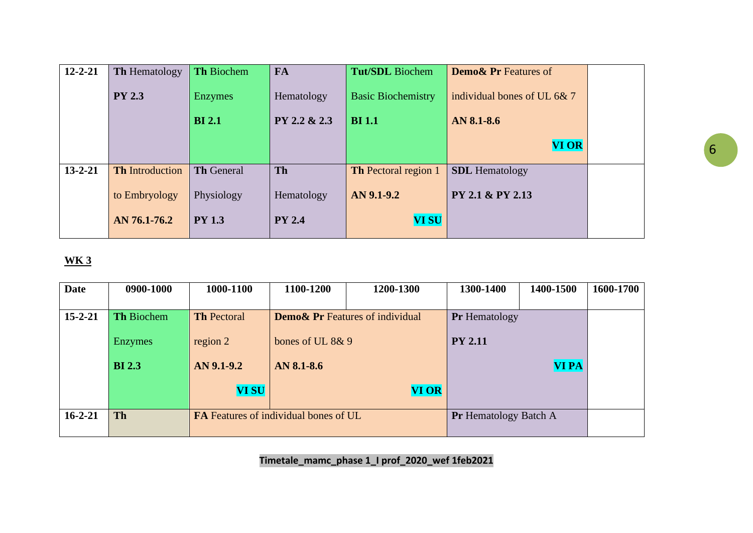| $12 - 2 - 21$ | <b>Th</b> Hematology   | <b>Th Biochem</b> | <b>FA</b>     | <b>Tut/SDL</b> Biochem      | <b>Demo&amp; Pr Features of</b> |  |
|---------------|------------------------|-------------------|---------------|-----------------------------|---------------------------------|--|
|               | <b>PY 2.3</b>          | <b>Enzymes</b>    | Hematology    | <b>Basic Biochemistry</b>   | individual bones of UL 6& 7     |  |
|               |                        | <b>BI</b> 2.1     | PY 2.2 & 2.3  | <b>BI</b> 1.1               | AN 8.1-8.6                      |  |
|               |                        |                   |               |                             | <b>VI OR</b>                    |  |
| $13 - 2 - 21$ | <b>Th</b> Introduction | <b>Th General</b> | <b>Th</b>     | <b>Th</b> Pectoral region 1 | <b>SDL</b> Hematology           |  |
|               | to Embryology          | Physiology        | Hematology    | AN 9.1-9.2                  | PY 2.1 & PY 2.13                |  |
|               | AN 76.1-76.2           | <b>PY 1.3</b>     | <b>PY 2.4</b> | <b>VI SU</b>                |                                 |  |
|               |                        |                   |               |                             |                                 |  |

| <b>Date</b>   | 0900-1000         | 1000-1100                                    | 1100-1200                                  | 1200-1300    | 1300-1400                    | 1400-1500    | 1600-1700 |
|---------------|-------------------|----------------------------------------------|--------------------------------------------|--------------|------------------------------|--------------|-----------|
|               |                   |                                              |                                            |              |                              |              |           |
| $15 - 2 - 21$ | <b>Th Biochem</b> | <b>Th Pectoral</b>                           | <b>Demo&amp; Pr</b> Features of individual |              | <b>Pr</b> Hematology         |              |           |
|               |                   |                                              |                                            |              |                              |              |           |
|               | <b>Enzymes</b>    | region 2                                     | bones of UL 8& 9                           |              | <b>PY 2.11</b>               |              |           |
|               |                   |                                              |                                            |              |                              |              |           |
|               | <b>BI</b> 2.3     | $AN$ 9.1-9.2                                 | AN 8.1-8.6                                 |              |                              | <b>VI PA</b> |           |
|               |                   |                                              |                                            |              |                              |              |           |
|               |                   | <b>VI SU</b>                                 |                                            | <b>VI OR</b> |                              |              |           |
|               |                   |                                              |                                            |              |                              |              |           |
| $16 - 2 - 21$ | <b>Th</b>         | <b>FA</b> Features of individual bones of UL |                                            |              | <b>Pr</b> Hematology Batch A |              |           |
|               |                   |                                              |                                            |              |                              |              |           |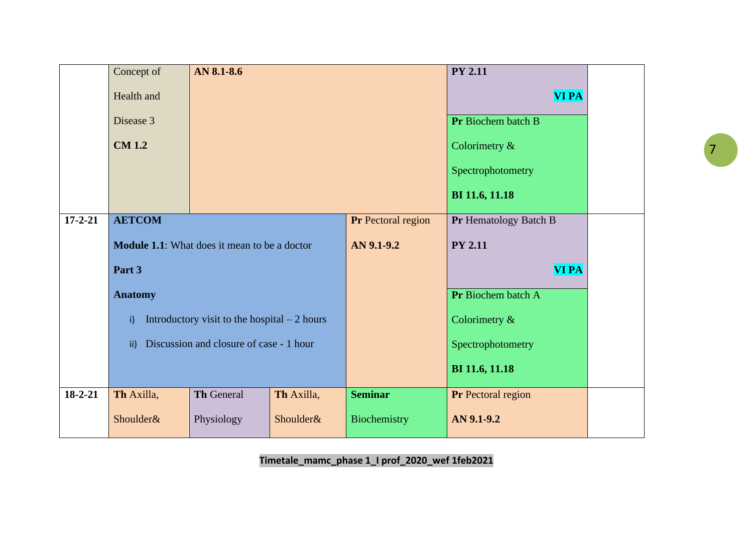|               | Concept of                                               | AN 8.1-8.6                                          |            |                    | <b>PY 2.11</b>        |  |
|---------------|----------------------------------------------------------|-----------------------------------------------------|------------|--------------------|-----------------------|--|
|               | Health and                                               |                                                     |            |                    | <b>VI PA</b>          |  |
|               | Disease 3                                                |                                                     |            |                    | Pr Biochem batch B    |  |
|               | <b>CM 1.2</b>                                            |                                                     |            |                    | Colorimetry &         |  |
|               |                                                          |                                                     |            |                    | Spectrophotometry     |  |
|               |                                                          |                                                     |            |                    | BI 11.6, 11.18        |  |
| $17 - 2 - 21$ | <b>AETCOM</b>                                            |                                                     |            | Pr Pectoral region | Pr Hematology Batch B |  |
|               |                                                          | <b>Module 1.1:</b> What does it mean to be a doctor |            | AN 9.1-9.2         | <b>PY 2.11</b>        |  |
|               | Part 3                                                   |                                                     |            |                    | <b>VI PA</b>          |  |
|               | <b>Anatomy</b>                                           |                                                     |            |                    | Pr Biochem batch A    |  |
|               | i)                                                       | Introductory visit to the hospital $-2$ hours       |            |                    | Colorimetry &         |  |
|               | Discussion and closure of case - 1 hour<br>$\mathsf{ii}$ |                                                     |            |                    | Spectrophotometry     |  |
|               |                                                          |                                                     |            |                    | BI 11.6, 11.18        |  |
| $18 - 2 - 21$ | Th Axilla,                                               | <b>Th General</b>                                   | Th Axilla, | <b>Seminar</b>     | Pr Pectoral region    |  |
|               | Shoulder&                                                | Physiology                                          | Shoulder&  | Biochemistry       | AN 9.1-9.2            |  |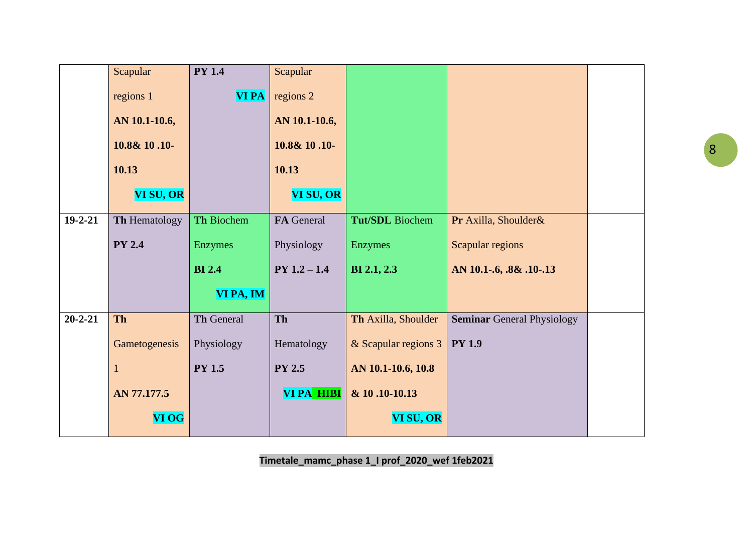|               | Scapular      | <b>PY 1.4</b>     | Scapular       |                      |                                   |  |
|---------------|---------------|-------------------|----------------|----------------------|-----------------------------------|--|
|               | regions 1     | <b>VI PA</b>      | regions 2      |                      |                                   |  |
|               | AN 10.1-10.6, |                   | AN 10.1-10.6,  |                      |                                   |  |
|               | 10.8& 10.10-  |                   | 10.8& 10.10-   |                      |                                   |  |
|               | 10.13         |                   | 10.13          |                      |                                   |  |
|               | VI SU, OR     |                   | VI SU, OR      |                      |                                   |  |
| $19 - 2 - 21$ | Th Hematology | Th Biochem        | FA General     | Tut/SDL Biochem      | Pr Axilla, Shoulder&              |  |
|               | <b>PY 2.4</b> | Enzymes           | Physiology     | Enzymes              | Scapular regions                  |  |
|               |               | <b>BI</b> 2.4     | $PY 1.2 - 1.4$ | <b>BI</b> 2.1, 2.3   | AN 10.1-.6, .8& .10-.13           |  |
|               |               | VI PA, IM         |                |                      |                                   |  |
| $20 - 2 - 21$ | <b>Th</b>     | <b>Th General</b> | Th             | Th Axilla, Shoulder  | <b>Seminar General Physiology</b> |  |
|               | Gametogenesis | Physiology        | Hematology     | & Scapular regions 3 | <b>PY 1.9</b>                     |  |
|               |               | <b>PY 1.5</b>     | <b>PY 2.5</b>  | AN 10.1-10.6, 10.8   |                                   |  |
|               | AN 77.177.5   |                   | VI PA HIBI     | & 10.10-10.13        |                                   |  |
|               | <b>VI OG</b>  |                   |                | VI SU, OR            |                                   |  |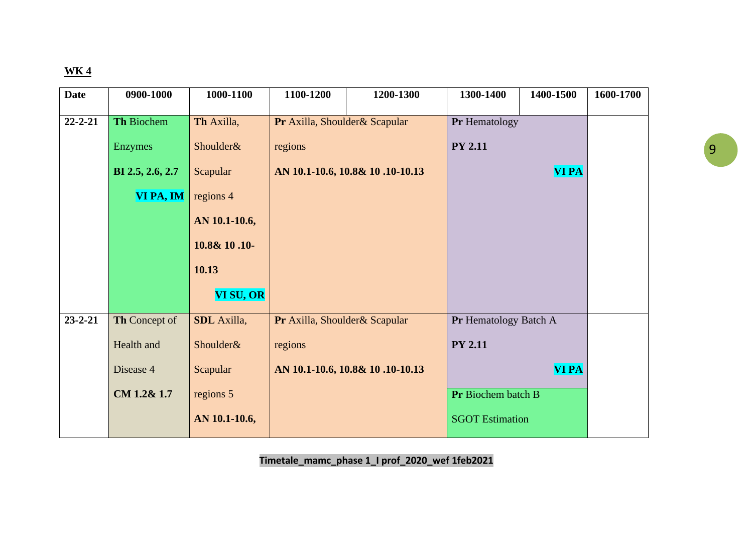| <b>Date</b>   | 0900-1000        | 1000-1100          | 1100-1200                     | 1200-1300                       | 1300-1400              | 1400-1500    | 1600-1700 |
|---------------|------------------|--------------------|-------------------------------|---------------------------------|------------------------|--------------|-----------|
| $22 - 2 - 21$ | Th Biochem       | Th Axilla,         | Pr Axilla, Shoulder& Scapular |                                 | Pr Hematology          |              |           |
|               |                  |                    |                               |                                 |                        |              |           |
|               | <b>Enzymes</b>   | Shoulder&          | regions                       |                                 | <b>PY 2.11</b>         |              |           |
|               | BI 2.5, 2.6, 2.7 | Scapular           |                               | AN 10.1-10.6, 10.8& 10.10-10.13 |                        | <b>VI PA</b> |           |
|               | VI PA, IM        | regions 4          |                               |                                 |                        |              |           |
|               |                  | AN 10.1-10.6,      |                               |                                 |                        |              |           |
|               |                  | 10.8& 10.10-       |                               |                                 |                        |              |           |
|               |                  | 10.13              |                               |                                 |                        |              |           |
|               |                  | VI SU, OR          |                               |                                 |                        |              |           |
| $23 - 2 - 21$ | Th Concept of    | <b>SDL</b> Axilla, | Pr Axilla, Shoulder& Scapular |                                 | Pr Hematology Batch A  |              |           |
|               | Health and       | Shoulder&          | regions                       |                                 | <b>PY 2.11</b>         |              |           |
|               | Disease 4        | Scapular           |                               | AN 10.1-10.6, 10.8& 10.10-10.13 |                        | <b>VI PA</b> |           |
|               | CM 1.2& 1.7      | regions 5          |                               |                                 | Pr Biochem batch B     |              |           |
|               |                  | AN 10.1-10.6,      |                               |                                 | <b>SGOT Estimation</b> |              |           |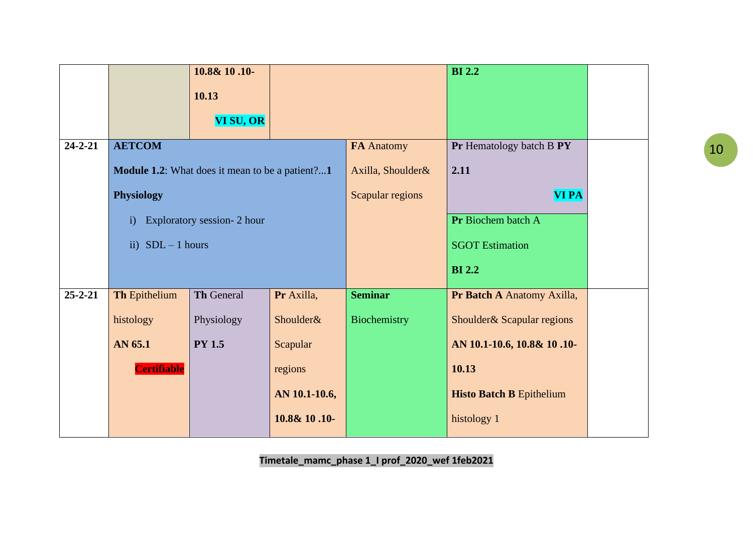|               |                                                        | 10.8& 10.10-                |               |                   | <b>BI2.2</b>                    |  |
|---------------|--------------------------------------------------------|-----------------------------|---------------|-------------------|---------------------------------|--|
|               |                                                        | 10.13                       |               |                   |                                 |  |
|               |                                                        | VI SU, OR                   |               |                   |                                 |  |
| $24 - 2 - 21$ | <b>AETCOM</b>                                          |                             |               | FA Anatomy        | Pr Hematology batch B PY        |  |
|               | <b>Module 1.2:</b> What does it mean to be a patient?1 |                             |               | Axilla, Shoulder& | 2.11                            |  |
|               | <b>Physiology</b>                                      |                             |               | Scapular regions  | <b>VI PA</b>                    |  |
|               | $\mathbf{i}$                                           | Exploratory session- 2 hour |               |                   | Pr Biochem batch A              |  |
|               | ii) $SDL - 1 hours$                                    |                             |               |                   | <b>SGOT Estimation</b>          |  |
|               |                                                        |                             |               |                   | <b>BI2.2</b>                    |  |
| $25 - 2 - 21$ | <b>Th Epithelium</b>                                   | <b>Th General</b>           | Pr Axilla,    | <b>Seminar</b>    | Pr Batch A Anatomy Axilla,      |  |
|               | histology                                              | Physiology                  | Shoulder&     | Biochemistry      | Shoulder & Scapular regions     |  |
|               | AN 65.1                                                | <b>PY 1.5</b>               | Scapular      |                   | AN 10.1-10.6, 10.8& 10.10-      |  |
|               | <b>Certifiable</b>                                     |                             | regions       |                   | 10.13                           |  |
|               |                                                        |                             | AN 10.1-10.6, |                   | <b>Histo Batch B Epithelium</b> |  |
|               |                                                        |                             | 10.8& 10.10-  |                   | histology 1                     |  |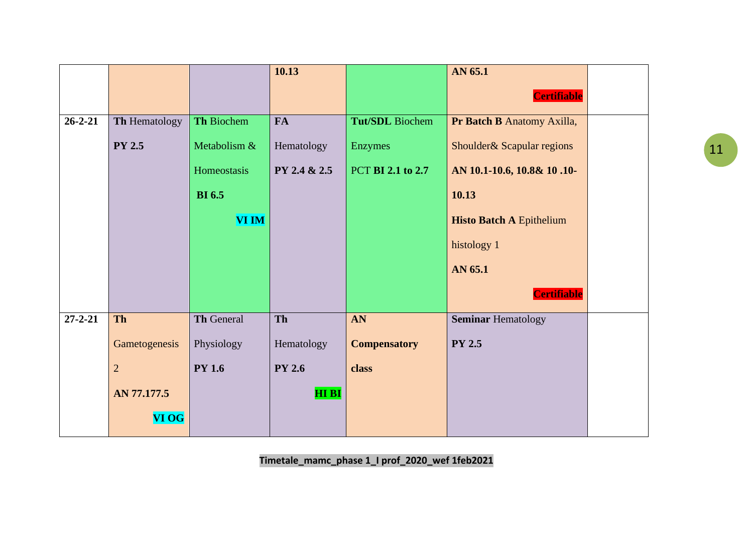|               |                |               | 10.13         |                     | AN 65.1                         |  |
|---------------|----------------|---------------|---------------|---------------------|---------------------------------|--|
|               |                |               |               |                     | <b>Certifiable</b>              |  |
| $26 - 2 - 21$ | Th Hematology  | Th Biochem    | <b>FA</b>     | Tut/SDL Biochem     | Pr Batch B Anatomy Axilla,      |  |
|               | <b>PY 2.5</b>  | Metabolism &  | Hematology    | Enzymes             | Shoulder& Scapular regions      |  |
|               |                | Homeostasis   | PY 2.4 & 2.5  | PCT BI 2.1 to 2.7   | AN 10.1-10.6, 10.8& 10.10-      |  |
|               |                | <b>BI</b> 6.5 |               |                     | 10.13                           |  |
|               |                | <b>VI IM</b>  |               |                     | <b>Histo Batch A Epithelium</b> |  |
|               |                |               |               |                     | histology 1                     |  |
|               |                |               |               |                     | AN 65.1                         |  |
|               |                |               |               |                     | Certifiable                     |  |
| $27 - 2 - 21$ | <b>Th</b>      | Th General    | Th            | AN                  | <b>Seminar Hematology</b>       |  |
|               | Gametogenesis  | Physiology    | Hematology    | <b>Compensatory</b> | <b>PY 2.5</b>                   |  |
|               | $\overline{2}$ | <b>PY 1.6</b> | <b>PY 2.6</b> | class               |                                 |  |
|               | AN 77.177.5    |               | <b>HIBI</b>   |                     |                                 |  |
|               | <b>VI OG</b>   |               |               |                     |                                 |  |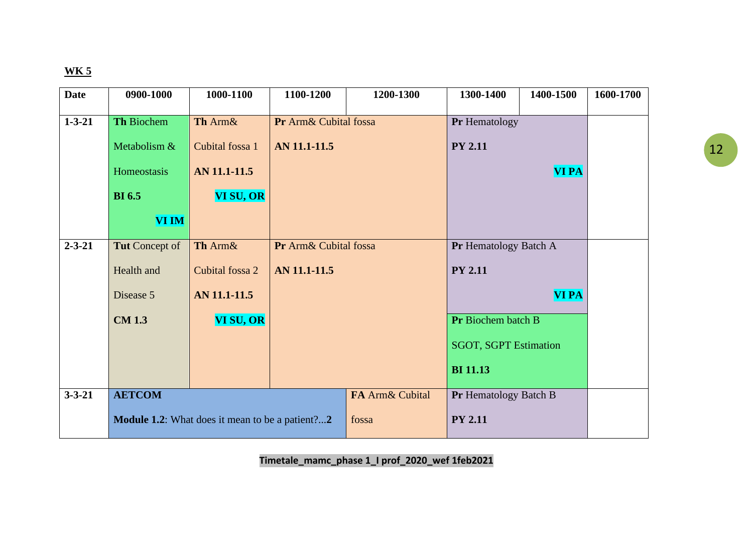| <b>Date</b>  | 0900-1000      | 1000-1100                                       | 1100-1200             | 1200-1300       | 1300-1400                    | 1400-1500    | 1600-1700 |
|--------------|----------------|-------------------------------------------------|-----------------------|-----------------|------------------------------|--------------|-----------|
| $1 - 3 - 21$ | Th Biochem     | Th Arm&                                         | Pr Arm& Cubital fossa |                 | Pr Hematology                |              |           |
|              |                |                                                 |                       |                 |                              |              |           |
|              | Metabolism &   | Cubital fossa 1                                 | AN 11.1-11.5          |                 | <b>PY 2.11</b>               |              |           |
|              | Homeostasis    | AN 11.1-11.5                                    |                       |                 |                              | <b>VI PA</b> |           |
|              | <b>BI</b> 6.5  | VI SU, OR                                       |                       |                 |                              |              |           |
|              | VI IM          |                                                 |                       |                 |                              |              |           |
| $2 - 3 - 21$ | Tut Concept of | Th Arm&                                         | Pr Arm& Cubital fossa |                 | Pr Hematology Batch A        |              |           |
|              | Health and     | Cubital fossa 2                                 | AN 11.1-11.5          |                 | <b>PY 2.11</b>               |              |           |
|              | Disease 5      | AN 11.1-11.5                                    |                       |                 |                              | <b>VI PA</b> |           |
|              | <b>CM 1.3</b>  | VI SU, OR                                       |                       |                 | Pr Biochem batch B           |              |           |
|              |                |                                                 |                       |                 | <b>SGOT, SGPT Estimation</b> |              |           |
|              |                |                                                 |                       |                 | <b>BI</b> 11.13              |              |           |
| $3 - 3 - 21$ | <b>AETCOM</b>  |                                                 |                       | FA Arm& Cubital | Pr Hematology Batch B        |              |           |
|              |                | Module 1.2: What does it mean to be a patient?2 |                       | fossa           | <b>PY 2.11</b>               |              |           |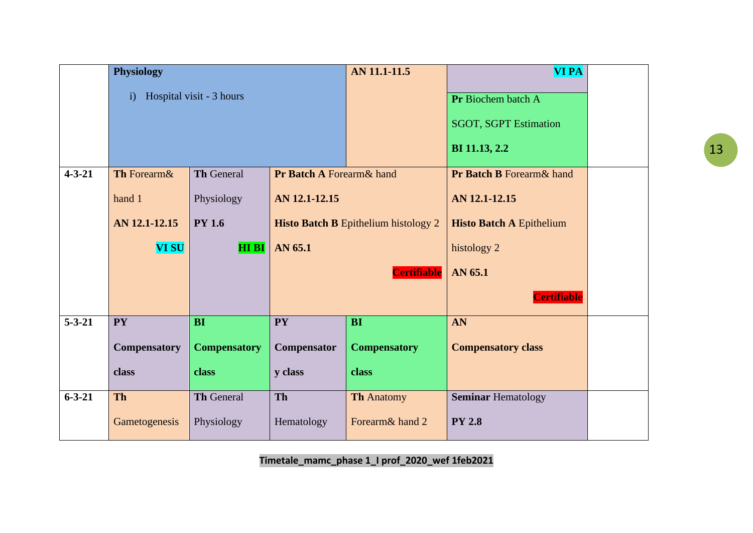|              | <b>Physiology</b>   |                          |                                      | <b>AN 11.1-11.5</b>                         | <b>VI PA</b>                         |  |
|--------------|---------------------|--------------------------|--------------------------------------|---------------------------------------------|--------------------------------------|--|
|              | $\mathbf{i}$        | Hospital visit - 3 hours |                                      |                                             | Pr Biochem batch A                   |  |
|              |                     |                          |                                      |                                             |                                      |  |
|              |                     |                          |                                      |                                             | <b>SGOT, SGPT Estimation</b>         |  |
|              |                     |                          |                                      | BI 11.13, 2.2                               |                                      |  |
| $4 - 3 - 21$ | Th Forearm&         | <b>Th General</b>        | <b>Pr Batch A Forearm &amp; hand</b> |                                             | <b>Pr Batch B Forearm &amp; hand</b> |  |
|              | hand 1              | Physiology               | AN 12.1-12.15                        |                                             | AN 12.1-12.15                        |  |
|              | AN 12.1-12.15       | <b>PY 1.6</b>            |                                      | <b>Histo Batch B Epithelium histology 2</b> | <b>Histo Batch A Epithelium</b>      |  |
|              | <b>VI SU</b>        | <b>HI BI</b>             | AN 65.1                              |                                             | histology 2                          |  |
|              |                     |                          | <b>Certifiable</b>                   |                                             | AN 65.1                              |  |
|              |                     |                          |                                      |                                             | <b>Certifiable</b>                   |  |
| $5 - 3 - 21$ | <b>PY</b>           | <b>BI</b>                | <b>PY</b>                            | <b>BI</b>                                   | AN                                   |  |
|              | <b>Compensatory</b> | <b>Compensatory</b>      | Compensator                          | <b>Compensatory</b>                         | <b>Compensatory class</b>            |  |
|              | class               | class                    | y class                              | class                                       |                                      |  |
| $6 - 3 - 21$ | <b>Th</b>           | Th General               | Th                                   | <b>Th Anatomy</b>                           | <b>Seminar Hematology</b>            |  |
|              | Gametogenesis       | Physiology               | Hematology                           | Forearm& hand 2                             | <b>PY 2.8</b>                        |  |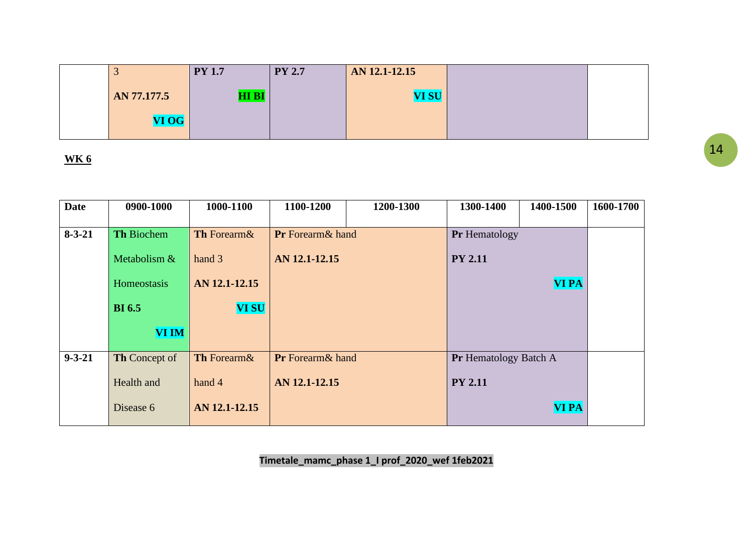|             | <b>PY 1.7</b>   | <b>PY 2.7</b> | AN 12.1-12.15 |  |
|-------------|-----------------|---------------|---------------|--|
| AN 77.177.5 | HI <sub>B</sub> |               | <b>VI SU</b>  |  |
| VI OG       |                 |               |               |  |

| <b>Date</b>  | 0900-1000            | 1000-1100          | 1100-1200               | 1200-1300 | 1300-1400                    | 1400-1500    | 1600-1700 |
|--------------|----------------------|--------------------|-------------------------|-----------|------------------------------|--------------|-----------|
|              |                      |                    |                         |           |                              |              |           |
| $8 - 3 - 21$ | <b>Th Biochem</b>    | <b>Th</b> Forearm& | <b>Pr</b> Forearm& hand |           | <b>Pr</b> Hematology         |              |           |
|              | Metabolism &         | hand 3             | AN 12.1-12.15           |           | <b>PY 2.11</b>               |              |           |
|              | Homeostasis          | AN 12.1-12.15      |                         |           |                              | <b>VI PA</b> |           |
|              | <b>BI</b> 6.5        | <b>VI SU</b>       |                         |           |                              |              |           |
|              | <b>VI IM</b>         |                    |                         |           |                              |              |           |
| $9 - 3 - 21$ | <b>Th</b> Concept of | Th Forearm&        | <b>Pr</b> Forearm& hand |           | <b>Pr</b> Hematology Batch A |              |           |
|              | Health and           | hand 4             | AN 12.1-12.15           |           | <b>PY 2.11</b>               |              |           |
|              | Disease 6            | AN 12.1-12.15      |                         |           |                              | <b>VI PA</b> |           |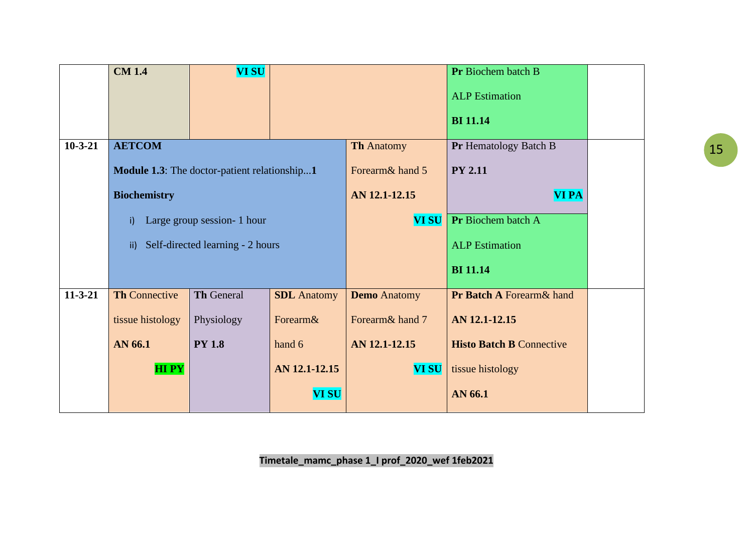| <b>CM 1.4</b>                                | <b>VI SU</b>                     |                             |                     | Pr Biochem batch B              |  |  |
|----------------------------------------------|----------------------------------|-----------------------------|---------------------|---------------------------------|--|--|
|                                              |                                  |                             |                     | <b>ALP</b> Estimation           |  |  |
|                                              |                                  |                             |                     | <b>BI</b> 11.14                 |  |  |
| <b>AETCOM</b>                                |                                  |                             | <b>Th Anatomy</b>   | Pr Hematology Batch B           |  |  |
| Module 1.3: The doctor-patient relationship1 |                                  |                             | Forearm& hand 5     | <b>PY 2.11</b>                  |  |  |
| <b>Biochemistry</b>                          |                                  |                             | AN 12.1-12.15       | <b>VI PA</b>                    |  |  |
| i)                                           |                                  |                             | <b>VI SU</b>        | Pr Biochem batch A              |  |  |
| $\mathsf{ii}$                                | Self-directed learning - 2 hours |                             |                     | <b>ALP</b> Estimation           |  |  |
|                                              |                                  |                             |                     | <b>BI</b> 11.14                 |  |  |
| <b>Th Connective</b>                         | <b>Th General</b>                | <b>SDL</b> Anatomy          | <b>Demo</b> Anatomy | Pr Batch A Forearm& hand        |  |  |
| tissue histology                             | Physiology                       | Forearm&                    | Forearm& hand 7     | AN 12.1-12.15                   |  |  |
| AN 66.1                                      | <b>PY 1.8</b>                    | hand 6                      | AN 12.1-12.15       | <b>Histo Batch B Connective</b> |  |  |
| <b>HIPY</b>                                  |                                  | AN 12.1-12.15               | <b>VI SU</b>        | tissue histology                |  |  |
|                                              |                                  | <b>VI SU</b>                |                     | AN 66.1                         |  |  |
|                                              |                                  | Large group session- 1 hour |                     |                                 |  |  |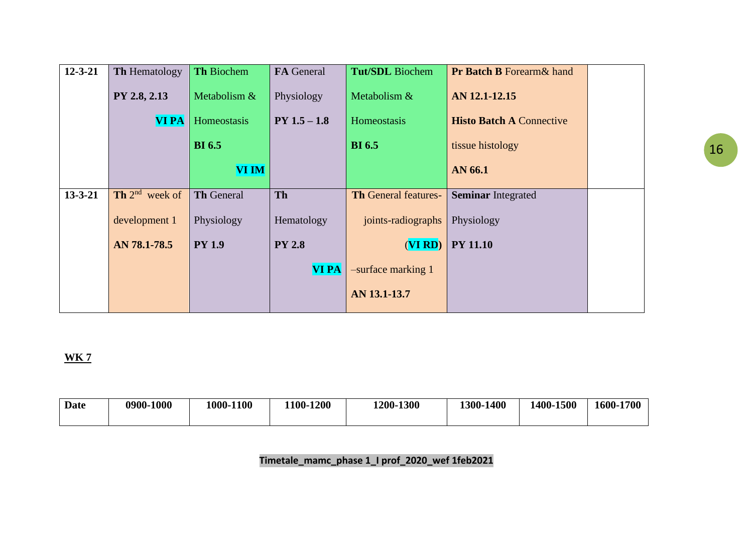| $12 - 3 - 21$ | Th Hematology              | Th Biochem        | <b>FA</b> General | <b>Tut/SDL</b> Biochem      | <b>Pr Batch B Forearm &amp; hand</b> |  |
|---------------|----------------------------|-------------------|-------------------|-----------------------------|--------------------------------------|--|
|               | PY 2.8, 2.13               | Metabolism &      | Physiology        | Metabolism &                | AN 12.1-12.15                        |  |
|               | <b>VI PA</b>               | Homeostasis       | $PY 1.5 - 1.8$    | Homeostasis                 | <b>Histo Batch A Connective</b>      |  |
|               |                            | <b>BI</b> 6.5     |                   | <b>BI</b> 6.5               | tissue histology                     |  |
|               |                            | <b>VI IM</b>      |                   |                             | AN 66.1                              |  |
| $13 - 3 - 21$ | <b>Th</b> $2^{nd}$ week of | <b>Th General</b> | Th                | <b>Th General features-</b> | <b>Seminar Integrated</b>            |  |
|               | development 1              | Physiology        | Hematology        | joints-radiographs          | Physiology                           |  |
|               | AN 78.1-78.5               | <b>PY 1.9</b>     | <b>PY 2.8</b>     | (VIRD)                      | <b>PY 11.10</b>                      |  |
|               |                            |                   | <b>VI PA</b>      | -surface marking 1          |                                      |  |
|               |                            |                   |                   | AN 13.1-13.7                |                                      |  |

|  | 1400<br>1400-1500<br>1600-1700<br>1300- | 1200-1300 | <b>-1200</b><br>$100 -$ | 1000-1100 | 0900-1000 | Date |
|--|-----------------------------------------|-----------|-------------------------|-----------|-----------|------|
|--|-----------------------------------------|-----------|-------------------------|-----------|-----------|------|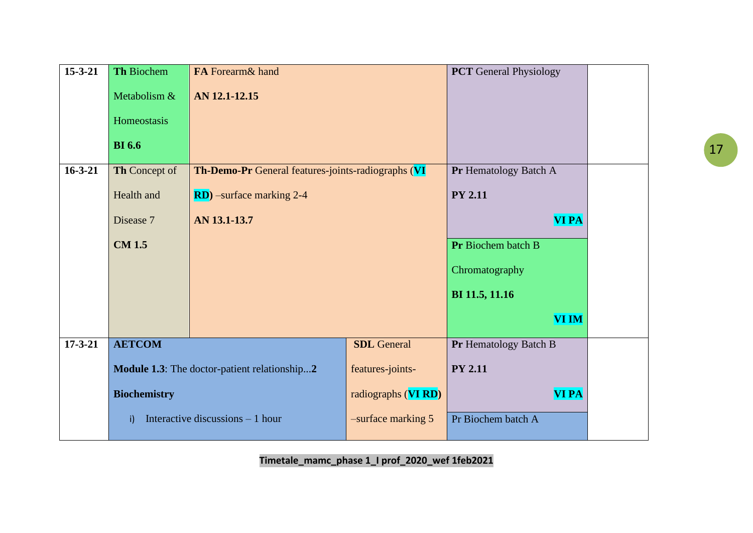| $15 - 3 - 21$ | Th Biochem          | FA Forearm& hand                                   |                       | <b>PCT</b> General Physiology |  |
|---------------|---------------------|----------------------------------------------------|-----------------------|-------------------------------|--|
|               | Metabolism &        | AN 12.1-12.15                                      |                       |                               |  |
|               | Homeostasis         |                                                    |                       |                               |  |
|               | <b>BI</b> 6.6       |                                                    |                       |                               |  |
| $16 - 3 - 21$ | Th Concept of       | Th-Demo-Pr General features-joints-radiographs (VI | Pr Hematology Batch A |                               |  |
|               | Health and          | <b>RD</b> ) –surface marking 2-4                   | <b>PY 2.11</b>        |                               |  |
|               | Disease 7           | AN 13.1-13.7                                       | <b>VI PA</b>          |                               |  |
|               | <b>CM 1.5</b>       |                                                    | Pr Biochem batch B    |                               |  |
|               |                     |                                                    | Chromatography        |                               |  |
|               |                     |                                                    |                       | BI 11.5, 11.16                |  |
|               |                     |                                                    |                       | <b>VI IM</b>                  |  |
| $17 - 3 - 21$ | <b>AETCOM</b>       |                                                    | <b>SDL</b> General    | Pr Hematology Batch B         |  |
|               |                     | Module 1.3: The doctor-patient relationship2       | features-joints-      | <b>PY 2.11</b>                |  |
|               | <b>Biochemistry</b> |                                                    | radiographs (VI RD)   | <b>VI PA</b>                  |  |
|               | i)                  | Interactive discussions $-1$ hour                  | -surface marking 5    | Pr Biochem batch A            |  |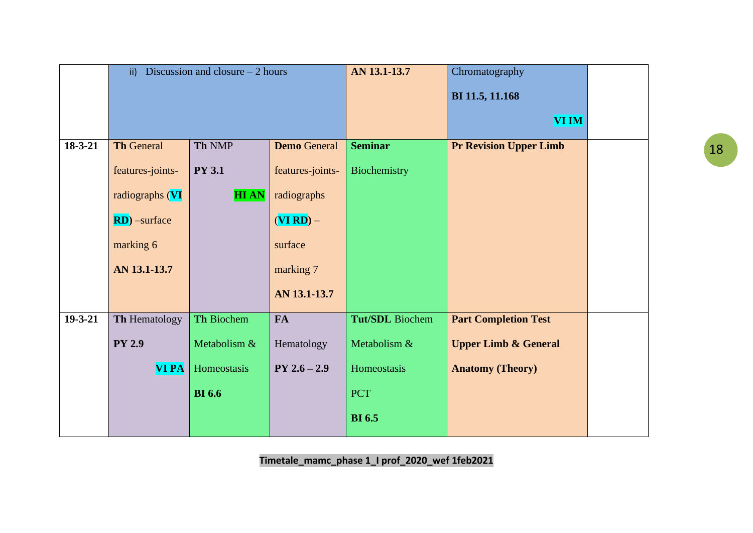|               | $\mathsf{ii}$     | Discussion and closure $-2$ hours |                     | AN 13.1-13.7    | Chromatography                  |  |
|---------------|-------------------|-----------------------------------|---------------------|-----------------|---------------------------------|--|
|               |                   |                                   |                     |                 | BI 11.5, 11.168                 |  |
|               |                   |                                   |                     |                 |                                 |  |
|               |                   |                                   |                     |                 | <b>VI IM</b>                    |  |
| $18 - 3 - 21$ | <b>Th General</b> | Th NMP                            | <b>Demo</b> General | <b>Seminar</b>  | <b>Pr Revision Upper Limb</b>   |  |
|               | features-joints-  | <b>PY 3.1</b>                     | features-joints-    | Biochemistry    |                                 |  |
|               | radiographs (VI   | <b>HIAN</b>                       | radiographs         |                 |                                 |  |
|               | $RD)$ –surface    |                                   | $(VI RD) -$         |                 |                                 |  |
|               | marking 6         |                                   | surface             |                 |                                 |  |
|               | AN 13.1-13.7      |                                   | marking 7           |                 |                                 |  |
|               |                   |                                   | AN 13.1-13.7        |                 |                                 |  |
| $19 - 3 - 21$ | Th Hematology     | Th Biochem                        | <b>FA</b>           | Tut/SDL Biochem | <b>Part Completion Test</b>     |  |
|               | <b>PY 2.9</b>     | Metabolism &                      | Hematology          | Metabolism &    | <b>Upper Limb &amp; General</b> |  |
|               | <b>VI PA</b>      | Homeostasis                       | $PY 2.6 - 2.9$      | Homeostasis     | <b>Anatomy (Theory)</b>         |  |
|               |                   | <b>BI</b> 6.6                     |                     | <b>PCT</b>      |                                 |  |
|               |                   |                                   |                     | <b>BI</b> 6.5   |                                 |  |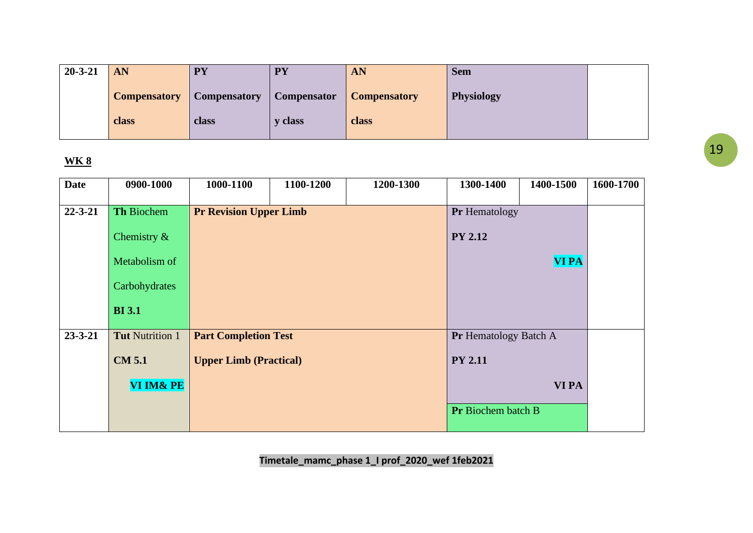| $20 - 3 - 21$ | AN                  | <b>PY</b>           | <b>PY</b>          | AN                  | <b>Sem</b>        |  |
|---------------|---------------------|---------------------|--------------------|---------------------|-------------------|--|
|               | <b>Compensatory</b> | <b>Compensatory</b> | <b>Compensator</b> | <b>Compensatory</b> | <b>Physiology</b> |  |
|               | class               | class               | <b>v</b> class     | class               |                   |  |

| <b>Date</b>   | 0900-1000              | 1000-1100                     | 1100-1200 | 1200-1300    | 1300-1400                    | 1400-1500    | 1600-1700 |
|---------------|------------------------|-------------------------------|-----------|--------------|------------------------------|--------------|-----------|
| $22 - 3 - 21$ | Th Biochem             | <b>Pr Revision Upper Limb</b> |           |              | Pr Hematology                |              |           |
|               | Chemistry $\&$         |                               |           |              | <b>PY 2.12</b>               |              |           |
|               | Metabolism of          |                               |           | <b>VI PA</b> |                              |              |           |
|               | Carbohydrates          |                               |           |              |                              |              |           |
|               | <b>BI</b> 3.1          |                               |           |              |                              |              |           |
| $23 - 3 - 21$ | <b>Tut Nutrition 1</b> | <b>Part Completion Test</b>   |           |              | <b>Pr</b> Hematology Batch A |              |           |
|               | <b>CM 5.1</b>          | <b>Upper Limb (Practical)</b> |           |              | <b>PY 2.11</b>               |              |           |
|               | VI IM& PE              |                               |           |              |                              | <b>VI PA</b> |           |
|               |                        |                               |           |              | <b>Pr</b> Biochem batch B    |              |           |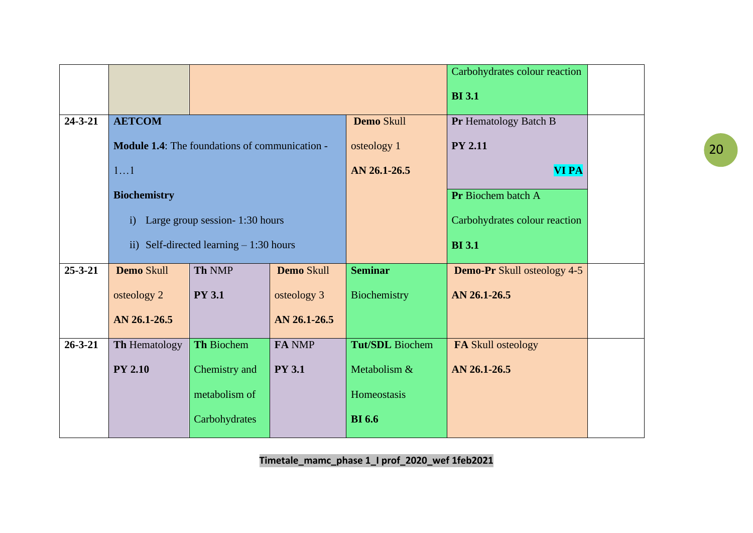|               |                                          |                                                       |               |                        | Carbohydrates colour reaction      |  |
|---------------|------------------------------------------|-------------------------------------------------------|---------------|------------------------|------------------------------------|--|
|               |                                          |                                                       |               |                        | <b>BI</b> 3.1                      |  |
| $24 - 3 - 21$ | <b>AETCOM</b>                            |                                                       |               | <b>Demo Skull</b>      | Pr Hematology Batch B              |  |
|               |                                          | <b>Module 1.4:</b> The foundations of communication - |               | osteology 1            | <b>PY 2.11</b>                     |  |
|               | 11                                       |                                                       |               | AN 26.1-26.5           | <b>VI PA</b>                       |  |
|               | <b>Biochemistry</b>                      |                                                       |               |                        | Pr Biochem batch A                 |  |
|               | $\mathbf{i}$                             | Large group session- 1:30 hours                       |               |                        | Carbohydrates colour reaction      |  |
|               | ii) Self-directed learning $-1:30$ hours |                                                       |               |                        | <b>BI</b> 3.1                      |  |
| $25 - 3 - 21$ | Demo Skull                               | Th NMP                                                | Demo Skull    | <b>Seminar</b>         | <b>Demo-Pr</b> Skull osteology 4-5 |  |
|               | osteology 2                              | <b>PY 3.1</b>                                         | osteology 3   | Biochemistry           | AN 26.1-26.5                       |  |
|               | AN 26.1-26.5                             |                                                       | AN 26.1-26.5  |                        |                                    |  |
| $26 - 3 - 21$ | Th Hematology                            | Th Biochem                                            | FA NMP        | <b>Tut/SDL</b> Biochem | FA Skull osteology                 |  |
|               | <b>PY 2.10</b>                           | Chemistry and                                         | <b>PY 3.1</b> | Metabolism &           | AN 26.1-26.5                       |  |
|               |                                          | metabolism of                                         |               | Homeostasis            |                                    |  |
|               |                                          | Carbohydrates                                         |               | <b>BI</b> 6.6          |                                    |  |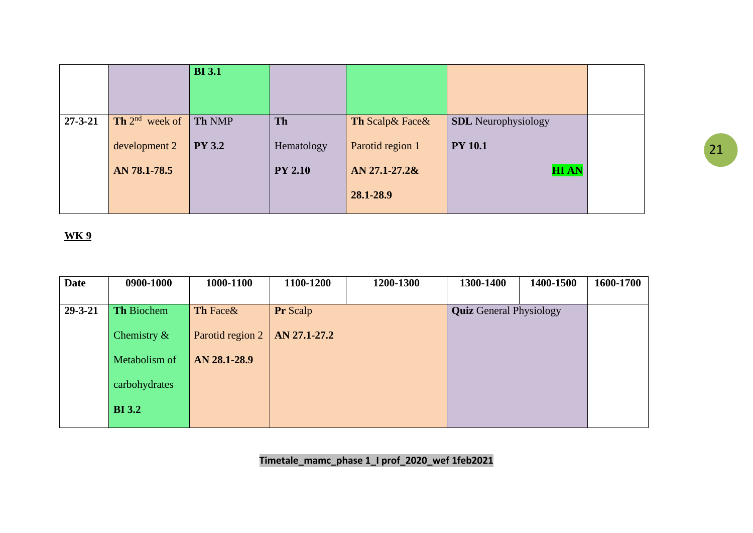|               |                     | <b>BI</b> 3.1 |                |                   |                            |  |
|---------------|---------------------|---------------|----------------|-------------------|----------------------------|--|
| $27 - 3 - 21$ | Th $2^{nd}$ week of | <b>Th NMP</b> | <b>Th</b>      | Th Scalp & Face & | <b>SDL</b> Neurophysiology |  |
|               | development 2       | <b>PY 3.2</b> | Hematology     | Parotid region 1  | <b>PY 10.1</b>             |  |
|               | AN 78.1-78.5        |               | <b>PY 2.10</b> | $AN 27.1 - 27.28$ | <b>HIAN</b>                |  |
|               |                     |               |                | 28.1-28.9         |                            |  |

| <b>Date</b>   | 0900-1000         | 1000-1100        | 1100-1200       | 1200-1300 | 1300-1400                      | 1400-1500 | 1600-1700 |
|---------------|-------------------|------------------|-----------------|-----------|--------------------------------|-----------|-----------|
|               |                   |                  |                 |           |                                |           |           |
| $29 - 3 - 21$ | <b>Th Biochem</b> | Th Face&         | <b>Pr</b> Scalp |           | <b>Quiz</b> General Physiology |           |           |
|               | Chemistry $\&$    | Parotid region 2 | AN 27.1-27.2    |           |                                |           |           |
|               | Metabolism of     | AN 28.1-28.9     |                 |           |                                |           |           |
|               | carbohydrates     |                  |                 |           |                                |           |           |
|               | <b>BI</b> 3.2     |                  |                 |           |                                |           |           |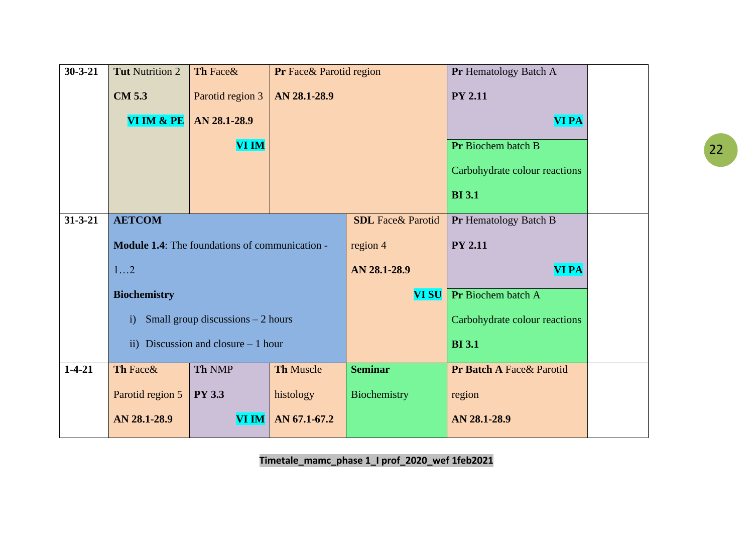| $30 - 3 - 21$ | <b>Tut Nutrition 2</b>                                | Th Face&                           | Pr Face& Parotid region |                          | Pr Hematology Batch A         |  |
|---------------|-------------------------------------------------------|------------------------------------|-------------------------|--------------------------|-------------------------------|--|
|               | <b>CM 5.3</b>                                         | Parotid region 3                   | AN 28.1-28.9            |                          | <b>PY 2.11</b>                |  |
|               | VI IM & PE                                            | AN 28.1-28.9                       |                         |                          | <b>VI PA</b>                  |  |
|               |                                                       | <b>VI IM</b>                       |                         |                          | Pr Biochem batch B            |  |
|               |                                                       |                                    |                         |                          | Carbohydrate colour reactions |  |
|               |                                                       |                                    |                         |                          | <b>BI</b> 3.1                 |  |
| $31 - 3 - 21$ | <b>AETCOM</b>                                         |                                    |                         | <b>SDL</b> Face& Parotid | Pr Hematology Batch B         |  |
|               | <b>Module 1.4:</b> The foundations of communication - |                                    |                         | region 4                 | <b>PY 2.11</b>                |  |
|               | 12                                                    |                                    |                         |                          | <b>VI PA</b>                  |  |
|               | <b>Biochemistry</b>                                   |                                    |                         | <b>VI SU</b>             | Pr Biochem batch A            |  |
|               | $\mathbf{i}$                                          | Small group discussions $-2$ hours |                         |                          | Carbohydrate colour reactions |  |
|               | Discussion and closure $-1$ hour<br>ii)               |                                    |                         |                          | <b>BI</b> 3.1                 |  |
| $1 - 4 - 21$  | Th Face&                                              | Th NMP                             | <b>Th Muscle</b>        | <b>Seminar</b>           | Pr Batch A Face& Parotid      |  |
|               | Parotid region 5                                      | <b>PY 3.3</b>                      | histology               | Biochemistry             | region                        |  |
|               | AN 28.1-28.9                                          | <b>VI IM</b>                       | AN 67.1-67.2            |                          | AN 28.1-28.9                  |  |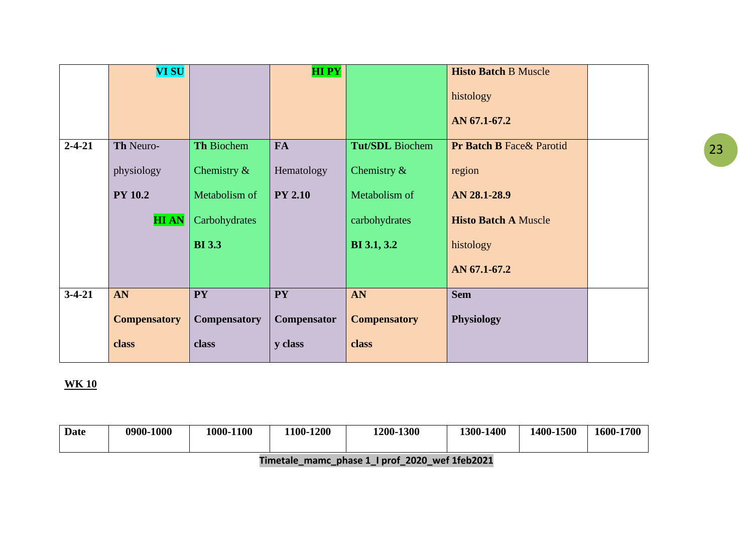|              | <b>VI SU</b>        |                     | <b>HIPY</b>    |                        | <b>Histo Batch B Muscle</b>          |  |
|--------------|---------------------|---------------------|----------------|------------------------|--------------------------------------|--|
|              |                     |                     |                |                        | histology                            |  |
|              |                     |                     |                |                        | AN 67.1-67.2                         |  |
| $2 - 4 - 21$ | Th Neuro-           | <b>Th Biochem</b>   | <b>FA</b>      | <b>Tut/SDL</b> Biochem | <b>Pr Batch B Face &amp; Parotid</b> |  |
|              | physiology          | Chemistry $\&$      | Hematology     | Chemistry $\&$         | region                               |  |
|              | <b>PY 10.2</b>      | Metabolism of       | <b>PY 2.10</b> | Metabolism of          | AN 28.1-28.9                         |  |
|              | <b>HIAN</b>         | Carbohydrates       |                | carbohydrates          | <b>Histo Batch A Muscle</b>          |  |
|              |                     | <b>BI</b> 3.3       |                | <b>BI</b> 3.1, 3.2     | histology                            |  |
|              |                     |                     |                |                        | AN 67.1-67.2                         |  |
| $3-4-21$     | AN                  | <b>PY</b>           | <b>PY</b>      | AN                     | <b>Sem</b>                           |  |
|              | <b>Compensatory</b> | <b>Compensatory</b> | Compensator    | <b>Compensatory</b>    | <b>Physiology</b>                    |  |
|              | class               | class               | y class        | class                  |                                      |  |
|              |                     |                     |                |                        |                                      |  |

| Date | 0900-1000 | 1000-1100 | $-1200$<br>$1100 -$ | 1200-1300 | 1400<br>1300 | 1400-1500 | 1600-1700 |
|------|-----------|-----------|---------------------|-----------|--------------|-----------|-----------|
|      |           |           |                     |           |              |           |           |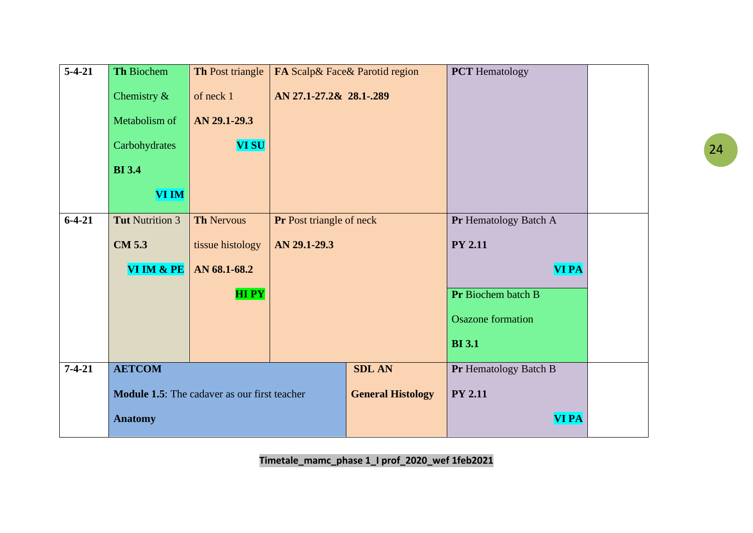| $5-4-21$     | Th Biochem                                          | Th Post triangle  |                                 | FA Scalp& Face& Parotid region | <b>PCT</b> Hematology    |  |
|--------------|-----------------------------------------------------|-------------------|---------------------------------|--------------------------------|--------------------------|--|
|              | Chemistry $\&$                                      | of neck 1         | AN 27.1-27.2& 28.1-.289         |                                |                          |  |
|              | Metabolism of                                       | AN 29.1-29.3      |                                 |                                |                          |  |
|              | Carbohydrates                                       | <b>VI SU</b>      |                                 |                                |                          |  |
|              | <b>BI</b> 3.4                                       |                   |                                 |                                |                          |  |
|              | <b>VI IM</b>                                        |                   |                                 |                                |                          |  |
| $6-4-21$     | <b>Tut Nutrition 3</b>                              | <b>Th Nervous</b> | <b>Pr</b> Post triangle of neck |                                | Pr Hematology Batch A    |  |
|              | <b>CM 5.3</b>                                       | tissue histology  | AN 29.1-29.3                    |                                | <b>PY 2.11</b>           |  |
|              | VI IM & PE                                          | AN 68.1-68.2      |                                 |                                | <b>VI PA</b>             |  |
|              |                                                     | <b>HIPY</b>       |                                 |                                | Pr Biochem batch B       |  |
|              |                                                     |                   |                                 |                                | <b>Osazone</b> formation |  |
|              |                                                     |                   |                                 |                                | <b>BI</b> 3.1            |  |
| $7 - 4 - 21$ | <b>AETCOM</b>                                       |                   |                                 | <b>SDL AN</b>                  | Pr Hematology Batch B    |  |
|              | <b>Module 1.5:</b> The cadaver as our first teacher |                   |                                 | <b>General Histology</b>       | <b>PY 2.11</b>           |  |
|              | <b>Anatomy</b>                                      |                   |                                 |                                | <b>VI PA</b>             |  |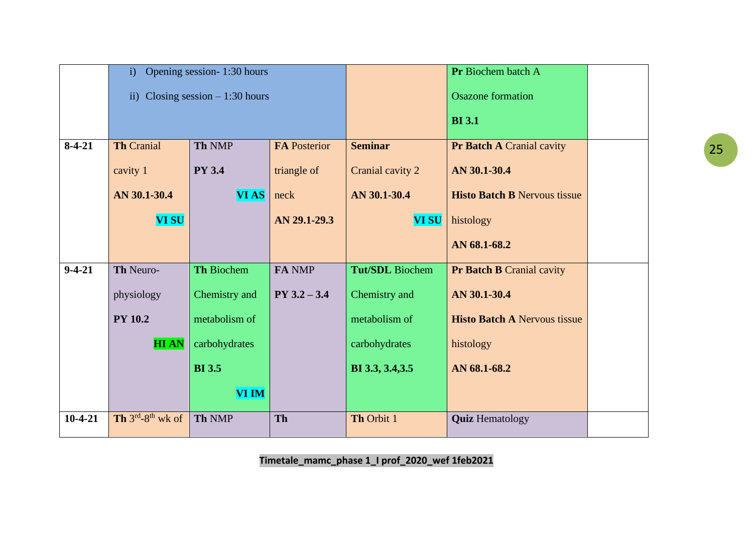|              | i)                                 | Opening session-1:30 hours        |                     |                  | Pr Biochem batch A                  |  |
|--------------|------------------------------------|-----------------------------------|---------------------|------------------|-------------------------------------|--|
|              |                                    | ii) Closing session $-1:30$ hours |                     |                  | <b>Osazone</b> formation            |  |
|              |                                    |                                   |                     |                  | <b>BI</b> 3.1                       |  |
| $8-4-21$     | <b>Th Cranial</b>                  | <b>Th NMP</b>                     | <b>FA Posterior</b> | <b>Seminar</b>   | <b>Pr Batch A Cranial cavity</b>    |  |
|              | cavity 1                           | <b>PY 3.4</b>                     | triangle of         | Cranial cavity 2 | AN 30.1-30.4                        |  |
|              | AN 30.1-30.4                       | <b>VIAS</b>                       | neck                | AN 30.1-30.4     | <b>Histo Batch B Nervous tissue</b> |  |
|              | <b>VI SU</b>                       | AN 29.1-29.3                      |                     | <b>VI SU</b>     | histology                           |  |
|              |                                    |                                   |                     |                  | AN 68.1-68.2                        |  |
| $9 - 4 - 21$ | Th Neuro-                          | <b>Th Biochem</b>                 | FA NMP              | Tut/SDL Biochem  | <b>Pr Batch B Cranial cavity</b>    |  |
|              | physiology                         | Chemistry and                     | $PY$ 3.2 $-$ 3.4    | Chemistry and    | AN 30.1-30.4                        |  |
|              | <b>PY 10.2</b>                     | metabolism of                     |                     | metabolism of    | <b>Histo Batch A Nervous tissue</b> |  |
|              | <b>HIAN</b>                        | carbohydrates                     |                     | carbohydrates    | histology                           |  |
|              |                                    | <b>BI</b> 3.5                     |                     | BI 3.3, 3.4, 3.5 | AN 68.1-68.2                        |  |
|              |                                    | VI IM                             |                     |                  |                                     |  |
| $10-4-21$    | Th $3^{rd}$ -8 <sup>th</sup> wk of | Th NMP                            | Th                  | Th Orbit 1       | <b>Quiz Hematology</b>              |  |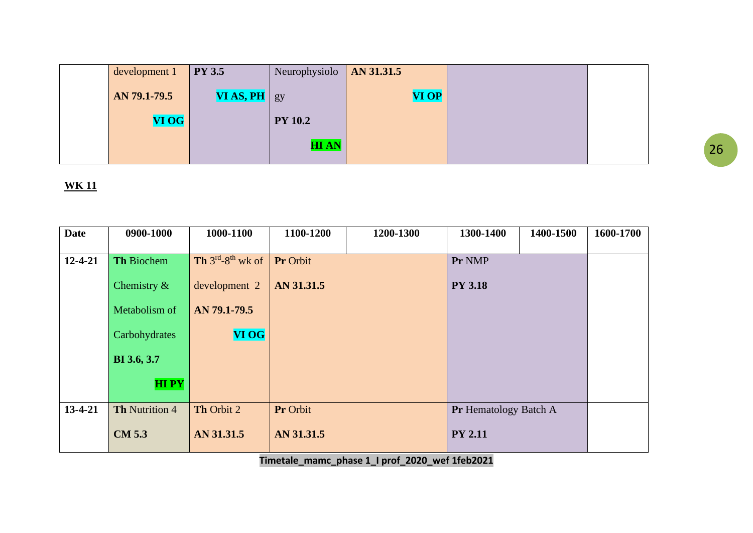| development 1 | <b>PY 3.5</b>    | Neurophysiolo  | AN 31.31.5   |  |
|---------------|------------------|----------------|--------------|--|
| AN 79.1-79.5  | $VIAS, PH$ $gy/$ |                | <b>VI OP</b> |  |
| VI OG         |                  | <b>PY 10.2</b> |              |  |
|               |                  | <b>HIAN</b>    |              |  |

| <b>Date</b>   | 0900-1000         | 1000-1100                         | 1100-1200  | 1200-1300 | 1300-1400             | 1400-1500 | 1600-1700 |
|---------------|-------------------|-----------------------------------|------------|-----------|-----------------------|-----------|-----------|
|               |                   |                                   |            |           |                       |           |           |
| $12 - 4 - 21$ | <b>Th Biochem</b> | <b>Th</b> $3^{rd} - 8^{th}$ wk of | Pr Orbit   |           | Pr NMP                |           |           |
|               | Chemistry $\&$    | development 2                     | AN 31.31.5 |           | <b>PY 3.18</b>        |           |           |
|               | Metabolism of     | AN 79.1-79.5                      |            |           |                       |           |           |
|               | Carbohydrates     | <b>VI OG</b>                      |            |           |                       |           |           |
|               | BI 3.6, 3.7       |                                   |            |           |                       |           |           |
|               | <b>HIPY</b>       |                                   |            |           |                       |           |           |
| 13-4-21       | Th Nutrition 4    | Th Orbit 2                        | Pr Orbit   |           | Pr Hematology Batch A |           |           |
|               |                   |                                   |            |           |                       |           |           |
|               | <b>CM 5.3</b>     | AN 31.31.5                        | AN 31.31.5 |           | <b>PY 2.11</b>        |           |           |
|               |                   |                                   |            |           |                       |           |           |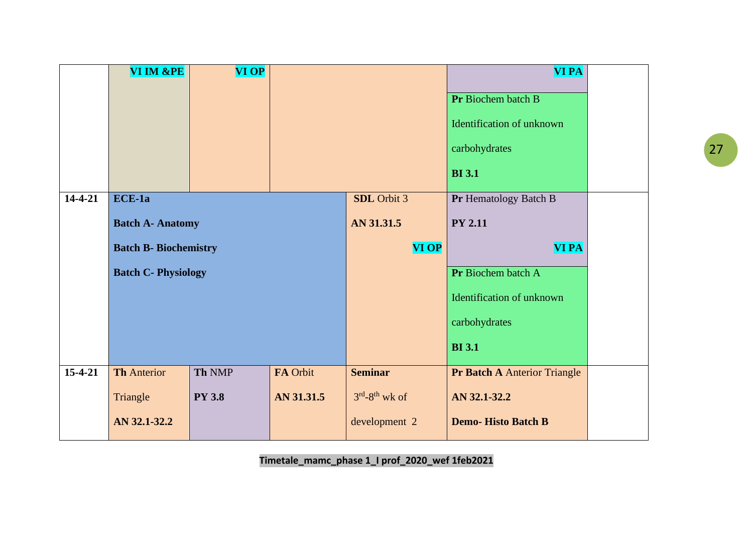|               | VI IM &PE                    | <b>VI OP</b>  |            |                 | <b>VI PA</b>                 |  |
|---------------|------------------------------|---------------|------------|-----------------|------------------------------|--|
|               |                              |               |            |                 | Pr Biochem batch B           |  |
|               |                              |               |            |                 | Identification of unknown    |  |
|               |                              |               |            |                 | carbohydrates                |  |
|               |                              |               |            |                 | <b>BI</b> 3.1                |  |
| $14-4-21$     | $ECE-1a$                     |               |            | SDL Orbit 3     | Pr Hematology Batch B        |  |
|               | <b>Batch A- Anatomy</b>      |               |            | AN 31.31.5      | <b>PY 2.11</b>               |  |
|               | <b>Batch B- Biochemistry</b> |               |            | <b>VI OP</b>    | <b>VI PA</b>                 |  |
|               | <b>Batch C- Physiology</b>   |               |            |                 | Pr Biochem batch A           |  |
|               |                              |               |            |                 | Identification of unknown    |  |
|               |                              |               |            |                 | carbohydrates                |  |
|               |                              |               |            |                 | <b>BI</b> 3.1                |  |
| $15 - 4 - 21$ | <b>Th Anterior</b>           | Th NMP        | FA Orbit   | <b>Seminar</b>  | Pr Batch A Anterior Triangle |  |
|               | Triangle                     | <b>PY 3.8</b> | AN 31.31.5 | $3rd-8th$ wk of | AN 32.1-32.2                 |  |
|               | AN 32.1-32.2                 |               |            | development 2   | <b>Demo-Histo Batch B</b>    |  |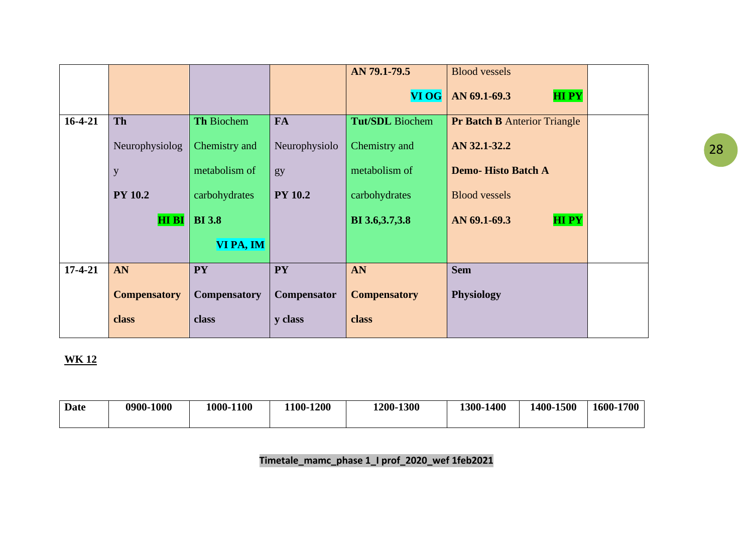|           |                     |                     |                | AN 79.1-79.5           | <b>Blood vessels</b>                |  |
|-----------|---------------------|---------------------|----------------|------------------------|-------------------------------------|--|
|           |                     |                     |                | <b>VI OG</b>           | <b>HIPY</b><br>AN 69.1-69.3         |  |
| $16-4-21$ | <b>Th</b>           | <b>Th Biochem</b>   | <b>FA</b>      | <b>Tut/SDL</b> Biochem | <b>Pr Batch B Anterior Triangle</b> |  |
|           | Neurophysiolog      | Chemistry and       | Neurophysiolo  | Chemistry and          | AN 32.1-32.2                        |  |
|           | y                   | metabolism of       | gy             | metabolism of          | <b>Demo-Histo Batch A</b>           |  |
|           | <b>PY 10.2</b>      | carbohydrates       | <b>PY 10.2</b> | carbohydrates          | <b>Blood vessels</b>                |  |
|           | <b>HIBI</b>         | <b>BI</b> 3.8       |                | BI 3.6, 3.7, 3.8       | <b>HIPY</b><br>AN 69.1-69.3         |  |
|           |                     | VI PA, IM           |                |                        |                                     |  |
| $17-4-21$ | AN                  | <b>PY</b>           | <b>PY</b>      | AN                     | <b>Sem</b>                          |  |
|           | <b>Compensatory</b> | <b>Compensatory</b> | Compensator    | <b>Compensatory</b>    | <b>Physiology</b>                   |  |
|           | class               | class               | y class        | class                  |                                     |  |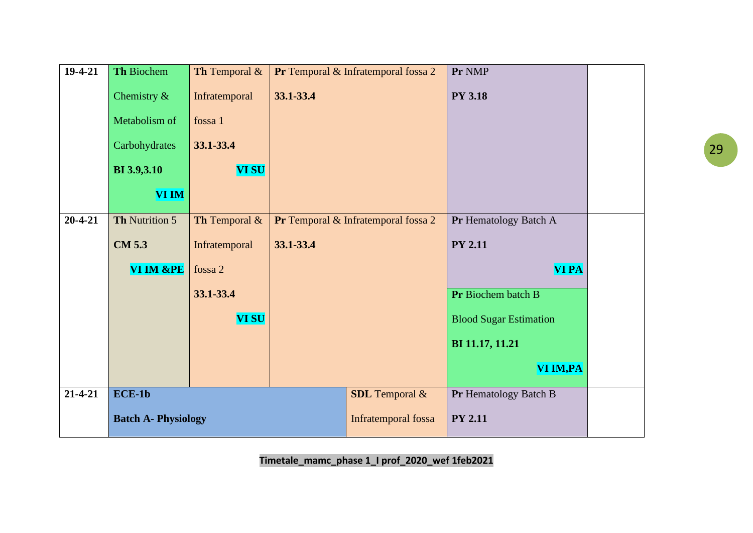| $19-4-21$     | Th Biochem                 | Th Temporal $&$ |           | Pr Temporal & Infratemporal fossa 2 | Pr NMP                        |  |
|---------------|----------------------------|-----------------|-----------|-------------------------------------|-------------------------------|--|
|               | Chemistry $\&$             | Infratemporal   | 33.1-33.4 |                                     | <b>PY 3.18</b>                |  |
|               | Metabolism of              | fossa 1         |           |                                     |                               |  |
|               | Carbohydrates              | 33.1-33.4       |           |                                     |                               |  |
|               | <b>BI</b> 3.9,3.10         | <b>VI SU</b>    |           |                                     |                               |  |
|               | <b>VI IM</b>               |                 |           |                                     |                               |  |
| $20 - 4 - 21$ | Th Nutrition 5             | Th Temporal &   |           | Pr Temporal & Infratemporal fossa 2 | Pr Hematology Batch A         |  |
|               | <b>CM 5.3</b>              | Infratemporal   | 33.1-33.4 |                                     | <b>PY 2.11</b>                |  |
|               | VI IM &PE                  | fossa 2         |           |                                     | <b>VI PA</b>                  |  |
|               |                            | 33.1-33.4       |           |                                     | Pr Biochem batch B            |  |
|               |                            | <b>VI SU</b>    |           |                                     | <b>Blood Sugar Estimation</b> |  |
|               |                            |                 |           |                                     | BI 11.17, 11.21               |  |
|               |                            |                 |           |                                     | VI IM, PA                     |  |
| $21 - 4 - 21$ | $\overline{ECE-1}$         |                 |           | <b>SDL</b> Temporal &               | Pr Hematology Batch B         |  |
|               | <b>Batch A- Physiology</b> |                 |           | Infratemporal fossa                 | <b>PY 2.11</b>                |  |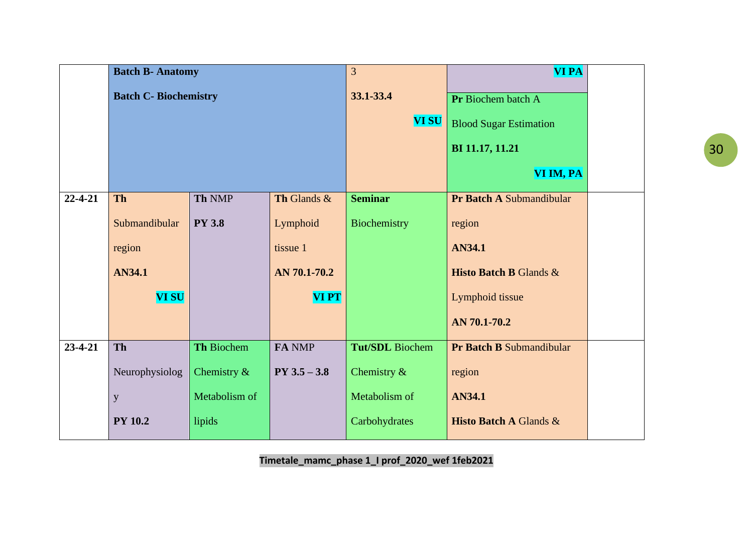|               | <b>Batch B- Anatomy</b>      |                |                  | 3                      | <b>VI PA</b>                      |  |
|---------------|------------------------------|----------------|------------------|------------------------|-----------------------------------|--|
|               | <b>Batch C- Biochemistry</b> |                |                  | 33.1-33.4              | Pr Biochem batch A                |  |
|               |                              |                |                  | <b>VI SU</b>           | <b>Blood Sugar Estimation</b>     |  |
|               |                              |                |                  |                        | BI 11.17, 11.21                   |  |
|               |                              |                |                  |                        | VI IM, PA                         |  |
| $22 - 4 - 21$ | <b>Th</b>                    | Th NMP         | Th Glands &      | <b>Seminar</b>         | Pr Batch A Submandibular          |  |
|               | Submandibular                | <b>PY 3.8</b>  | Lymphoid         | Biochemistry           | region                            |  |
|               | region                       |                | tissue 1         |                        | AN34.1                            |  |
|               | <b>AN34.1</b>                |                | AN 70.1-70.2     |                        | <b>Histo Batch B Glands &amp;</b> |  |
|               | <b>VI SU</b>                 |                | <b>VIPT</b>      |                        | Lymphoid tissue                   |  |
|               |                              |                |                  |                        | AN 70.1-70.2                      |  |
| $23 - 4 - 21$ | <b>Th</b>                    | Th Biochem     | FA NMP           | <b>Tut/SDL</b> Biochem | Pr Batch B Submandibular          |  |
|               | Neurophysiolog               | Chemistry $\&$ | $PY$ 3.5 $-$ 3.8 | Chemistry $\&$         | region                            |  |
|               | Metabolism of<br>y           |                | Metabolism of    | AN34.1                 |                                   |  |
|               | <b>PY 10.2</b>               | lipids         |                  | Carbohydrates          | <b>Histo Batch A Glands &amp;</b> |  |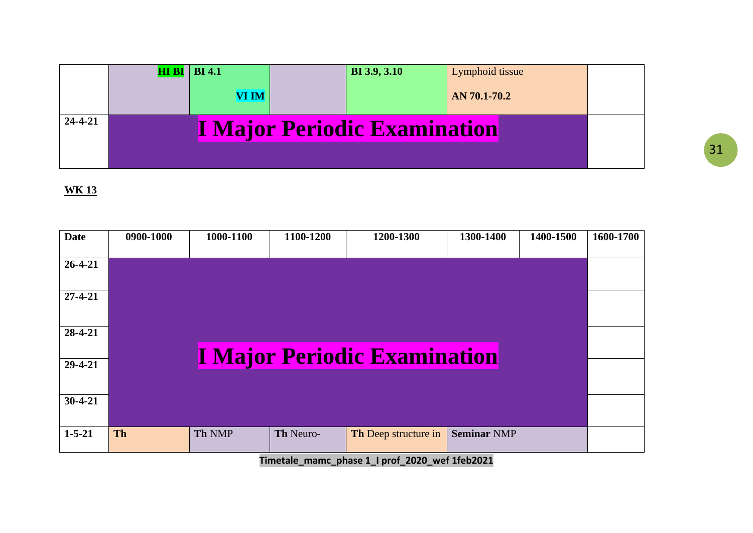|               | $HI \, BI \,   \, BI \, 4.1$ | <b>BI</b> 3.9, 3.10                 | Lymphoid tissue |  |
|---------------|------------------------------|-------------------------------------|-----------------|--|
|               | <b>VI IM</b>                 |                                     | AN 70.1-70.2    |  |
| $24 - 4 - 21$ |                              | <b>I Major Periodic Examination</b> |                 |  |

| <b>Date</b>   | 0900-1000 | 1000-1100 | 1100-1200 | 1200-1300                           | 1300-1400          | 1400-1500 | 1600-1700 |
|---------------|-----------|-----------|-----------|-------------------------------------|--------------------|-----------|-----------|
| $26 - 4 - 21$ |           |           |           |                                     |                    |           |           |
| $27 - 4 - 21$ |           |           |           |                                     |                    |           |           |
| 28-4-21       |           |           |           | <b>I Major Periodic Examination</b> |                    |           |           |
| 29-4-21       |           |           |           |                                     |                    |           |           |
| $30-4-21$     |           |           |           |                                     |                    |           |           |
| $1 - 5 - 21$  | <b>Th</b> | Th NMP    | Th Neuro- | Th Deep structure in                | <b>Seminar NMP</b> |           |           |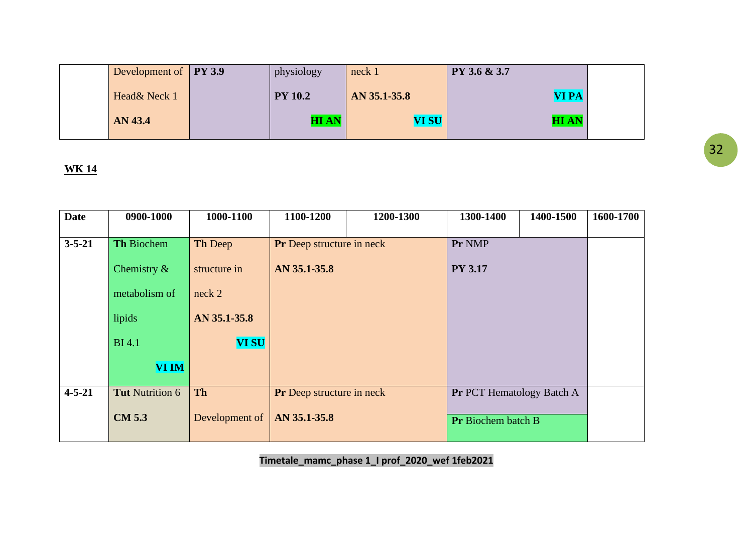| Development of <b>PY 3.9</b> | physiology     | neck 1       | PY 3.6 & 3.7 |  |
|------------------------------|----------------|--------------|--------------|--|
| Head& Neck 1                 | <b>PY 10.2</b> | AN 35.1-35.8 | <b>VI PA</b> |  |
| AN 43.4                      | <b>HIAN</b>    | <b>VI SU</b> | <b>HIAN</b>  |  |

| <b>Date</b>  | 0900-1000         | 1000-1100      | 1100-1200                        | 1200-1300 | 1300-1400                        | 1400-1500 | 1600-1700 |
|--------------|-------------------|----------------|----------------------------------|-----------|----------------------------------|-----------|-----------|
| $3 - 5 - 21$ | <b>Th Biochem</b> | <b>Th Deep</b> | <b>Pr</b> Deep structure in neck |           | Pr NMP                           |           |           |
|              | Chemistry $\&$    | structure in   | AN 35.1-35.8                     |           | <b>PY 3.17</b>                   |           |           |
|              | metabolism of     | neck 2         |                                  |           |                                  |           |           |
|              | lipids            | AN 35.1-35.8   |                                  |           |                                  |           |           |
|              | <b>BI</b> 4.1     | <b>VI SU</b>   |                                  |           |                                  |           |           |
|              | <b>VI IM</b>      |                |                                  |           |                                  |           |           |
| $4 - 5 - 21$ | Tut Nutrition 6   | <b>Th</b>      | <b>Pr</b> Deep structure in neck |           | <b>Pr PCT Hematology Batch A</b> |           |           |
|              | <b>CM 5.3</b>     | Development of | AN 35.1-35.8                     |           | <b>Pr</b> Biochem batch B        |           |           |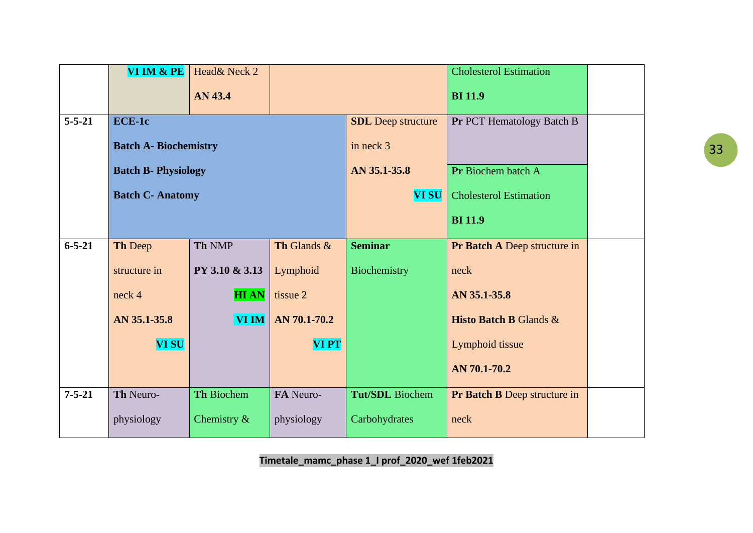|              | VI IM & PE                   | Head& Neck 2      |              |                           | <b>Cholesterol Estimation</b>       |  |
|--------------|------------------------------|-------------------|--------------|---------------------------|-------------------------------------|--|
|              |                              | AN 43.4           |              |                           | <b>BI</b> 11.9                      |  |
| $5 - 5 - 21$ | <b>ECE-1c</b>                |                   |              | <b>SDL</b> Deep structure | Pr PCT Hematology Batch B           |  |
|              | <b>Batch A- Biochemistry</b> |                   |              | in neck 3                 |                                     |  |
|              | <b>Batch B- Physiology</b>   |                   |              | AN 35.1-35.8              | Pr Biochem batch A                  |  |
|              | <b>Batch C- Anatomy</b>      |                   |              | <b>VI SU</b>              | <b>Cholesterol Estimation</b>       |  |
|              |                              |                   |              |                           | <b>BI</b> 11.9                      |  |
| $6 - 5 - 21$ | Th Deep                      | <b>Th NMP</b>     | Th Glands &  | <b>Seminar</b>            | Pr Batch A Deep structure in        |  |
|              | structure in                 | PY 3.10 & 3.13    | Lymphoid     | Biochemistry              | neck                                |  |
|              | neck 4                       | <b>HIAN</b>       | tissue 2     |                           | AN 35.1-35.8                        |  |
|              | AN 35.1-35.8                 | <b>VI IM</b>      | AN 70.1-70.2 |                           | <b>Histo Batch B Glands &amp;</b>   |  |
|              | <b>VI SU</b>                 |                   | <b>VIPT</b>  |                           | Lymphoid tissue                     |  |
|              |                              |                   |              |                           | AN 70.1-70.2                        |  |
| $7 - 5 - 21$ | Th Neuro-                    | <b>Th Biochem</b> | FA Neuro-    | Tut/SDL Biochem           | <b>Pr Batch B Deep structure in</b> |  |
|              | physiology                   | Chemistry $\&$    | physiology   | Carbohydrates             | neck                                |  |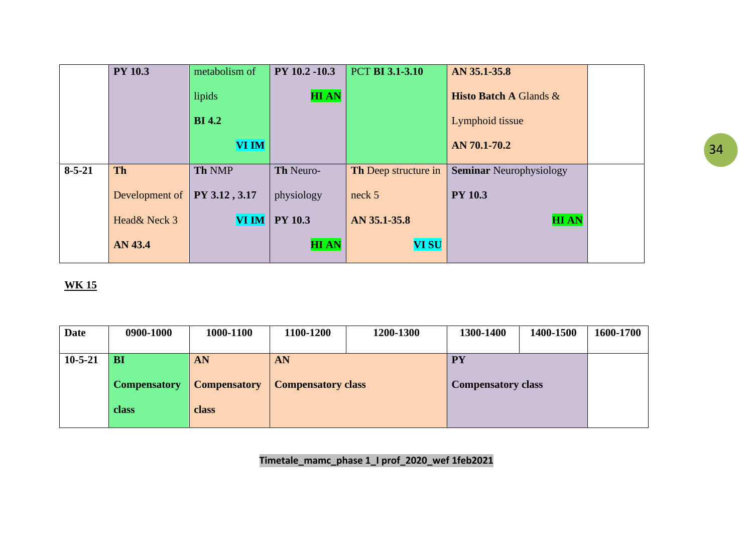|              | <b>PY 10.3</b> | metabolism of | PY 10.2 -10.3  | <b>PCT BI 3.1-3.10</b>      | AN 35.1-35.8                      |  |
|--------------|----------------|---------------|----------------|-----------------------------|-----------------------------------|--|
|              |                | lipids        | <b>HIAN</b>    |                             | <b>Histo Batch A Glands &amp;</b> |  |
|              |                | <b>BI</b> 4.2 |                |                             | Lymphoid tissue                   |  |
|              |                | <b>VI IM</b>  |                |                             | AN 70.1-70.2                      |  |
| $8 - 5 - 21$ | <b>Th</b>      | Th NMP        | Th Neuro-      | <b>Th</b> Deep structure in | <b>Seminar Neurophysiology</b>    |  |
|              | Development of | PY 3.12, 3.17 | physiology     | neck 5                      | <b>PY 10.3</b>                    |  |
|              | Head& Neck 3   | <b>VI IM</b>  | <b>PY 10.3</b> | AN 35.1-35.8                | <b>HIAN</b>                       |  |
|              | AN 43.4        |               | <b>HIAN</b>    | <b>VI SU</b>                |                                   |  |

| <b>Date</b>   | 0900-1000           | 1000-1100           | 1100-1200                 | 1200-1300 | 1300-1400                 | 1400-1500 | 1600-1700 |
|---------------|---------------------|---------------------|---------------------------|-----------|---------------------------|-----------|-----------|
| $10 - 5 - 21$ | <b>BI</b>           | AN                  | AN                        |           | <b>PY</b>                 |           |           |
|               | <b>Compensatory</b> | <b>Compensatory</b> | <b>Compensatory class</b> |           | <b>Compensatory class</b> |           |           |
|               | class               | class               |                           |           |                           |           |           |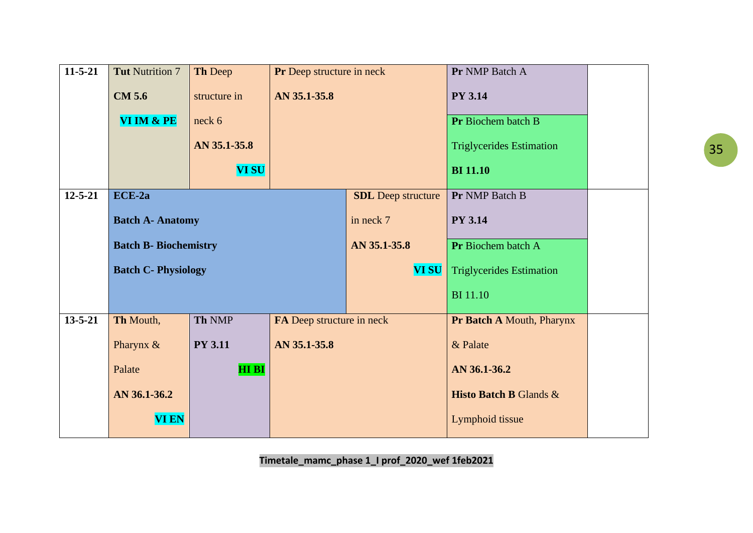| $11-5-21$     | <b>Tut Nutrition 7</b>       | Th Deep        | Pr Deep structure in neck |                           | Pr NMP Batch A                    |  |
|---------------|------------------------------|----------------|---------------------------|---------------------------|-----------------------------------|--|
|               | <b>CM 5.6</b>                | structure in   | AN 35.1-35.8              |                           | <b>PY 3.14</b>                    |  |
|               | VI IM & PE                   | neck 6         |                           |                           | Pr Biochem batch B                |  |
|               |                              | AN 35.1-35.8   |                           |                           | <b>Triglycerides Estimation</b>   |  |
|               |                              | <b>VI SU</b>   |                           |                           | <b>BI</b> 11.10                   |  |
| $12 - 5 - 21$ | ECE-2a                       |                |                           | <b>SDL</b> Deep structure | Pr NMP Batch B                    |  |
|               | <b>Batch A- Anatomy</b>      |                |                           |                           | <b>PY 3.14</b>                    |  |
|               | <b>Batch B- Biochemistry</b> |                |                           | AN 35.1-35.8              | Pr Biochem batch A                |  |
|               | <b>Batch C- Physiology</b>   |                |                           | <b>VI SU</b>              | <b>Triglycerides Estimation</b>   |  |
|               |                              |                |                           |                           | <b>BI</b> 11.10                   |  |
| $13 - 5 - 21$ | Th Mouth,                    | Th NMP         | FA Deep structure in neck |                           | Pr Batch A Mouth, Pharynx         |  |
|               | Pharynx &                    | <b>PY 3.11</b> | AN 35.1-35.8              |                           | & Palate                          |  |
|               | Palate                       | <b>HIBI</b>    |                           |                           | AN 36.1-36.2                      |  |
|               | AN 36.1-36.2                 |                |                           |                           | <b>Histo Batch B Glands &amp;</b> |  |
|               | <b>VI EN</b>                 |                |                           |                           | Lymphoid tissue                   |  |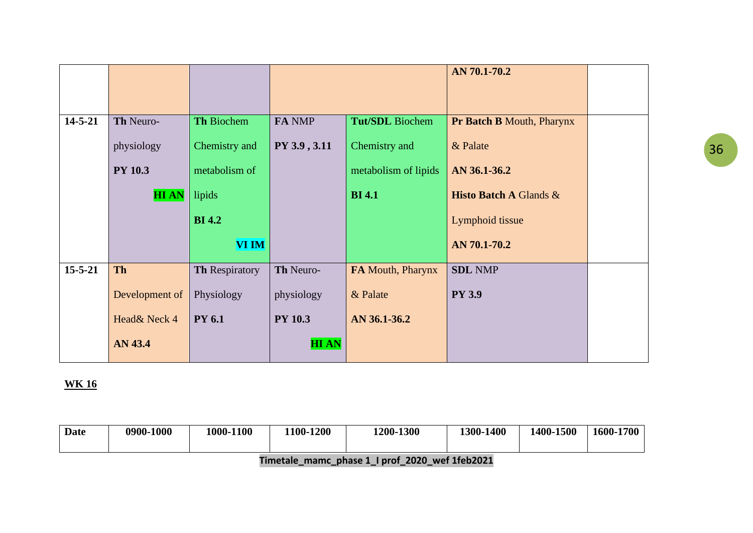|               |                |                       |                |                        | AN 70.1-70.2                      |  |
|---------------|----------------|-----------------------|----------------|------------------------|-----------------------------------|--|
|               |                |                       |                |                        |                                   |  |
|               |                |                       |                |                        |                                   |  |
| $14 - 5 - 21$ | Th Neuro-      | <b>Th Biochem</b>     | FA NMP         | <b>Tut/SDL</b> Biochem | <b>Pr Batch B Mouth, Pharynx</b>  |  |
|               | physiology     | Chemistry and         | PY 3.9, 3.11   | Chemistry and          | & Palate                          |  |
|               | <b>PY 10.3</b> | metabolism of         |                | metabolism of lipids   | AN 36.1-36.2                      |  |
|               | <b>HIAN</b>    | lipids                |                | <b>BI</b> 4.1          | <b>Histo Batch A Glands &amp;</b> |  |
|               |                | <b>BI</b> 4.2         |                |                        | Lymphoid tissue                   |  |
|               |                | <b>VI IM</b>          |                |                        | AN 70.1-70.2                      |  |
| $15 - 5 - 21$ | <b>Th</b>      | <b>Th Respiratory</b> | Th Neuro-      | FA Mouth, Pharynx      | <b>SDL NMP</b>                    |  |
|               | Development of | Physiology            | physiology     | & Palate               | <b>PY 3.9</b>                     |  |
|               | Head& Neck 4   | <b>PY 6.1</b>         | <b>PY 10.3</b> | AN 36.1-36.2           |                                   |  |
|               | AN 43.4        |                       | <b>HIAN</b>    |                        |                                   |  |

| Date | 0900-1000 | 1000-1100 | 1100-1200 | 1200-1300 | <b>1400</b><br>1300 | 1400-1500 | 1600-1700 |
|------|-----------|-----------|-----------|-----------|---------------------|-----------|-----------|
|      |           |           |           |           |                     |           |           |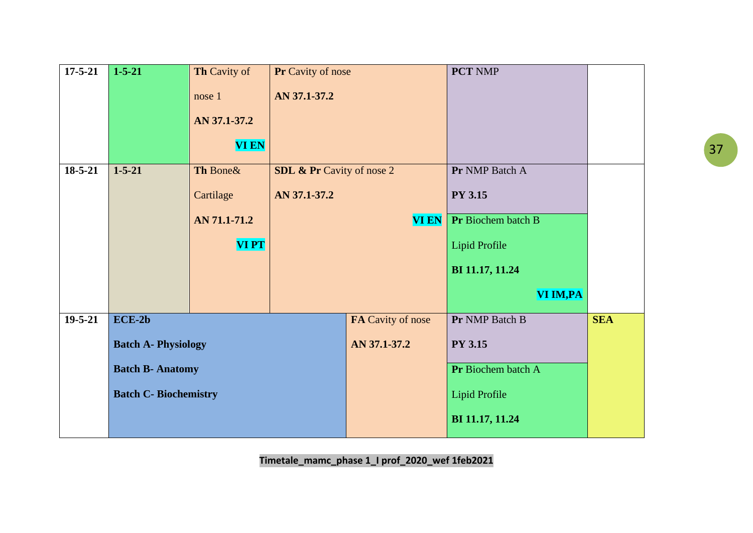| $17 - 5 - 21$ | $1 - 5 - 21$               | Th Cavity of                 | Pr Cavity of nose                    |                   | <b>PCT NMP</b>       |            |
|---------------|----------------------------|------------------------------|--------------------------------------|-------------------|----------------------|------------|
|               |                            | nose 1                       | AN 37.1-37.2                         |                   |                      |            |
|               |                            | AN 37.1-37.2                 |                                      |                   |                      |            |
|               |                            | <b>VI EN</b>                 |                                      |                   |                      |            |
| $18 - 5 - 21$ | $1 - 5 - 21$               | Th Bone&                     | <b>SDL &amp; Pr</b> Cavity of nose 2 |                   | Pr NMP Batch A       |            |
|               |                            | Cartilage                    | AN 37.1-37.2                         |                   | <b>PY 3.15</b>       |            |
|               |                            | AN 71.1-71.2                 |                                      | <b>VI EN</b>      | Pr Biochem batch B   |            |
|               |                            | <b>VIPT</b>                  |                                      |                   | <b>Lipid Profile</b> |            |
|               |                            |                              |                                      |                   | BI 11.17, 11.24      |            |
|               |                            |                              |                                      |                   | VI IM, PA            |            |
| $19 - 5 - 21$ | $ECE-2b$                   |                              |                                      | FA Cavity of nose | Pr NMP Batch B       | <b>SEA</b> |
|               | <b>Batch A- Physiology</b> |                              |                                      | AN 37.1-37.2      | <b>PY 3.15</b>       |            |
|               | <b>Batch B- Anatomy</b>    |                              |                                      |                   | Pr Biochem batch A   |            |
|               |                            | <b>Batch C- Biochemistry</b> |                                      |                   | <b>Lipid Profile</b> |            |
|               |                            |                              |                                      |                   | BI 11.17, 11.24      |            |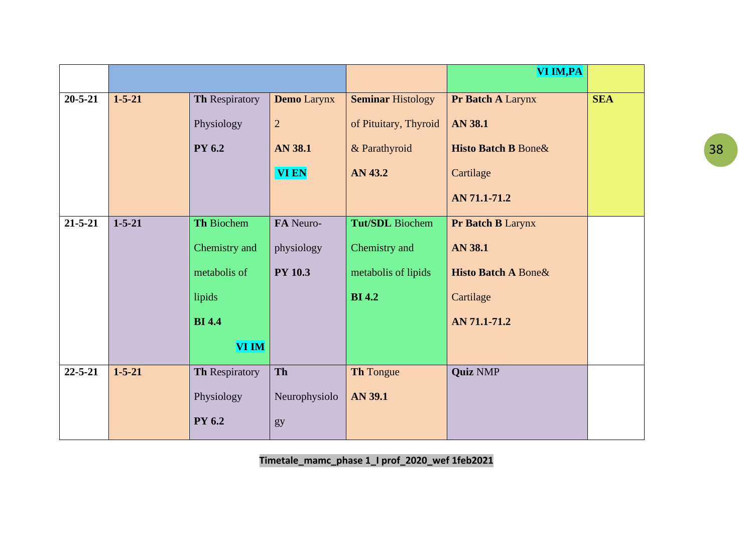|               |              |                |                    |                          | VI IM, PA                       |            |
|---------------|--------------|----------------|--------------------|--------------------------|---------------------------------|------------|
| $20 - 5 - 21$ | $1 - 5 - 21$ |                |                    |                          |                                 | <b>SEA</b> |
|               |              | Th Respiratory | <b>Demo</b> Larynx | <b>Seminar Histology</b> | Pr Batch A Larynx               |            |
|               |              | Physiology     | $\overline{2}$     | of Pituitary, Thyroid    | <b>AN 38.1</b>                  |            |
|               |              | <b>PY 6.2</b>  | <b>AN 38.1</b>     | & Parathyroid            | <b>Histo Batch B Bone&amp;</b>  |            |
|               |              |                | <b>VI EN</b>       | AN 43.2                  | Cartilage                       |            |
|               |              |                |                    |                          | AN 71.1-71.2                    |            |
| $21 - 5 - 21$ | $1 - 5 - 21$ | Th Biochem     | FA Neuro-          | <b>Tut/SDL</b> Biochem   | Pr Batch B Larynx               |            |
|               |              | Chemistry and  | physiology         | Chemistry and            | <b>AN 38.1</b>                  |            |
|               |              | metabolis of   | <b>PY 10.3</b>     | metabolis of lipids      | <b>Histo Batch A Bone &amp;</b> |            |
|               |              | lipids         |                    | <b>BI</b> 4.2            | Cartilage                       |            |
|               |              | <b>BI</b> 4.4  |                    |                          | AN 71.1-71.2                    |            |
|               |              | <b>VI IM</b>   |                    |                          |                                 |            |
| $22 - 5 - 21$ | $1 - 5 - 21$ | Th Respiratory | Th                 | Th Tongue                | <b>Quiz NMP</b>                 |            |
|               |              | Physiology     | Neurophysiolo      | <b>AN 39.1</b>           |                                 |            |
|               |              | PY 6.2         | gy                 |                          |                                 |            |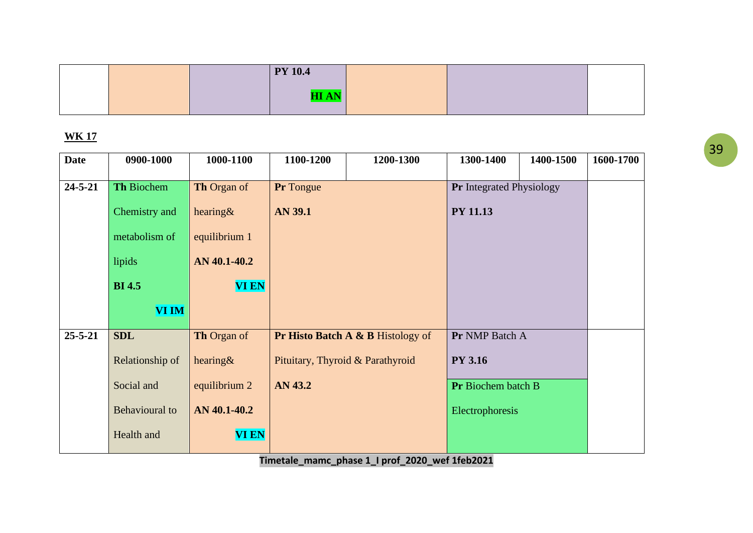|  | <b>PY 10.4</b> |  |  |
|--|----------------|--|--|
|  | ree a st<br>.  |  |  |
|  |                |  |  |

| <b>Date</b>   | 0900-1000             | 1000-1100          | 1100-1200        | 1200-1300                         | 1300-1400                       | 1400-1500 | 1600-1700 |
|---------------|-----------------------|--------------------|------------------|-----------------------------------|---------------------------------|-----------|-----------|
| $24 - 5 - 21$ | Th Biochem            | <b>Th Organ of</b> | <b>Pr</b> Tongue |                                   | <b>Pr</b> Integrated Physiology |           |           |
|               | Chemistry and         | hearing $\&$       | <b>AN 39.1</b>   |                                   | <b>PY 11.13</b>                 |           |           |
|               | metabolism of         | equilibrium 1      |                  |                                   |                                 |           |           |
|               | lipids                | AN 40.1-40.2       |                  |                                   |                                 |           |           |
|               | <b>BI</b> 4.5         | <b>VI EN</b>       |                  |                                   |                                 |           |           |
|               | <b>VI IM</b>          |                    |                  |                                   |                                 |           |           |
| $25 - 5 - 21$ | <b>SDL</b>            | <b>Th Organ of</b> |                  | Pr Histo Batch A & B Histology of | Pr NMP Batch A                  |           |           |
|               | Relationship of       | hearing $\&$       |                  | Pituitary, Thyroid & Parathyroid  | <b>PY 3.16</b>                  |           |           |
|               | Social and            | equilibrium 2      | AN 43.2          |                                   | Pr Biochem batch B              |           |           |
|               | <b>Behavioural</b> to | AN 40.1-40.2       |                  |                                   | Electrophoresis                 |           |           |
|               | Health and            | <b>VI EN</b>       |                  |                                   |                                 |           |           |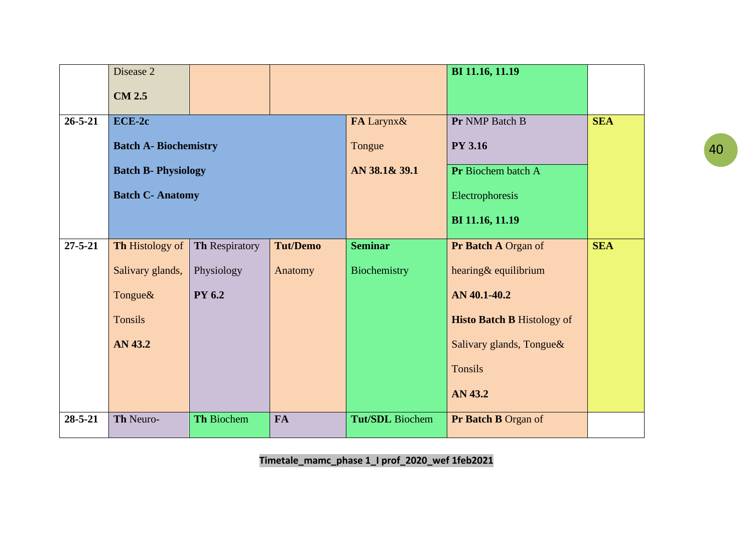|               | Disease 2                    |                |                 |                        | BI 11.16, 11.19                   |            |
|---------------|------------------------------|----------------|-----------------|------------------------|-----------------------------------|------------|
|               | <b>CM 2.5</b>                |                |                 |                        |                                   |            |
| $26 - 5 - 21$ | $ECE-2c$                     |                |                 | FA Larynx&             | Pr NMP Batch B                    | <b>SEA</b> |
|               | <b>Batch A- Biochemistry</b> |                |                 | Tongue                 | <b>PY 3.16</b>                    |            |
|               | <b>Batch B- Physiology</b>   |                |                 | AN 38.1& 39.1          | Pr Biochem batch A                |            |
|               | <b>Batch C- Anatomy</b>      |                |                 |                        | Electrophoresis                   |            |
|               |                              |                |                 |                        | BI 11.16, 11.19                   |            |
| $27 - 5 - 21$ | Th Histology of              | Th Respiratory | <b>Tut/Demo</b> | <b>Seminar</b>         | Pr Batch A Organ of               | <b>SEA</b> |
|               | Salivary glands,             | Physiology     | Anatomy         | Biochemistry           | hearing& equilibrium              |            |
|               | Tongue&                      | <b>PY 6.2</b>  |                 |                        | AN 40.1-40.2                      |            |
|               | <b>Tonsils</b>               |                |                 |                        | <b>Histo Batch B Histology of</b> |            |
|               | AN 43.2                      |                |                 |                        | Salivary glands, Tongue&          |            |
|               |                              |                |                 |                        | Tonsils                           |            |
|               |                              |                |                 |                        | AN 43.2                           |            |
| $28 - 5 - 21$ | Th Neuro-                    | Th Biochem     | <b>FA</b>       | <b>Tut/SDL</b> Biochem | Pr Batch B Organ of               |            |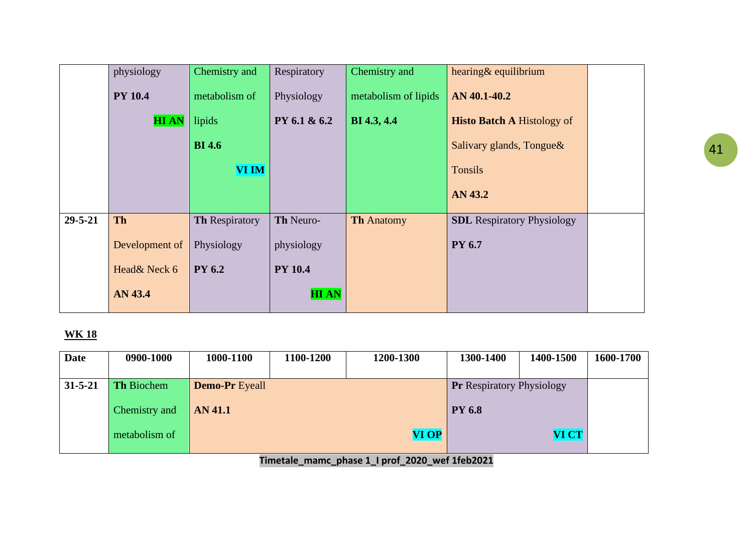|               | physiology     | Chemistry and         | Respiratory    | Chemistry and        | hearing& equilibrium              |  |
|---------------|----------------|-----------------------|----------------|----------------------|-----------------------------------|--|
|               | <b>PY 10.4</b> | metabolism of         | Physiology     | metabolism of lipids | AN 40.1-40.2                      |  |
|               | <b>HIAN</b>    | lipids                | PY 6.1 & 6.2   | <b>BI</b> 4.3, 4.4   | <b>Histo Batch A Histology of</b> |  |
|               |                | <b>BI</b> 4.6         |                |                      | Salivary glands, Tongue &         |  |
|               |                | <b>VI IM</b>          |                |                      | <b>Tonsils</b>                    |  |
|               |                |                       |                |                      | AN 43.2                           |  |
| $29 - 5 - 21$ | <b>Th</b>      | <b>Th Respiratory</b> | Th Neuro-      | <b>Th Anatomy</b>    | <b>SDL</b> Respiratory Physiology |  |
|               | Development of | Physiology            | physiology     |                      | <b>PY 6.7</b>                     |  |
|               | Head& Neck 6   | <b>PY</b> 6.2         | <b>PY 10.4</b> |                      |                                   |  |
|               | AN 43.4        |                       | <b>HIAN</b>    |                      |                                   |  |

| <b>Date</b>   | 0900-1000         | 1000-1100             | 1100-1200 | 1200-1300    | 1300-1400                        | 1400-1500    | 1600-1700 |
|---------------|-------------------|-----------------------|-----------|--------------|----------------------------------|--------------|-----------|
|               |                   |                       |           |              |                                  |              |           |
| $31 - 5 - 21$ | <b>Th Biochem</b> | <b>Demo-Pr</b> Eyeall |           |              | <b>Pr</b> Respiratory Physiology |              |           |
|               |                   |                       |           |              |                                  |              |           |
|               | Chemistry and     | <b>AN 41.1</b>        |           |              | <b>PY 6.8</b>                    |              |           |
|               | metabolism of     |                       |           | <b>VI OP</b> |                                  | <b>VI CT</b> |           |
|               |                   |                       |           |              |                                  |              |           |
|               |                   |                       |           |              |                                  |              |           |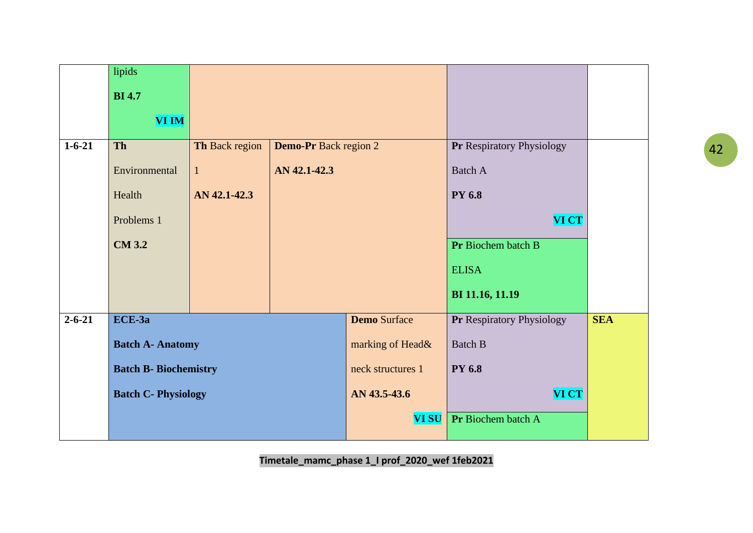|              | lipids                       |                |                              |                     |                           |            |
|--------------|------------------------------|----------------|------------------------------|---------------------|---------------------------|------------|
|              | <b>BI</b> 4.7                |                |                              |                     |                           |            |
|              | <b>VI IM</b>                 |                |                              |                     |                           |            |
| $1 - 6 - 21$ | <b>Th</b>                    | Th Back region | <b>Demo-Pr</b> Back region 2 |                     | Pr Respiratory Physiology |            |
|              | Environmental                | $\mathbf{1}$   | AN 42.1-42.3                 |                     | <b>Batch A</b>            |            |
|              | Health                       | AN 42.1-42.3   |                              |                     | <b>PY 6.8</b>             |            |
|              | Problems 1                   |                |                              |                     | <b>VI CT</b>              |            |
|              | <b>CM 3.2</b>                |                |                              |                     | Pr Biochem batch B        |            |
|              |                              |                |                              |                     | <b>ELISA</b>              |            |
|              |                              |                |                              |                     | BI 11.16, 11.19           |            |
| $2 - 6 - 21$ | ECE-3a                       |                |                              | <b>Demo Surface</b> | Pr Respiratory Physiology | <b>SEA</b> |
|              | <b>Batch A- Anatomy</b>      |                |                              | marking of Head&    | <b>Batch B</b>            |            |
|              | <b>Batch B- Biochemistry</b> |                |                              | neck structures 1   | <b>PY 6.8</b>             |            |
|              | <b>Batch C- Physiology</b>   |                |                              | AN 43.5-43.6        | <b>VI CT</b>              |            |
|              |                              |                |                              | <b>VI SU</b>        | Pr Biochem batch A        |            |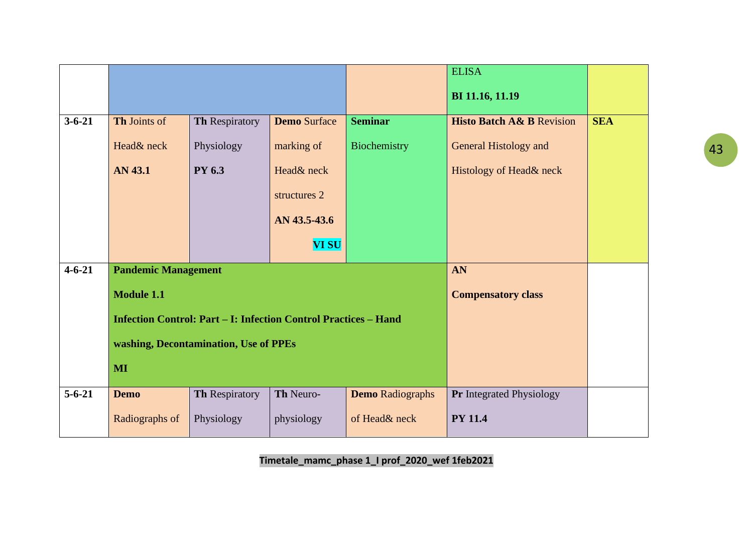|              |                            |                                                                        |                     |                         | <b>ELISA</b>                         |            |
|--------------|----------------------------|------------------------------------------------------------------------|---------------------|-------------------------|--------------------------------------|------------|
|              |                            |                                                                        |                     |                         | BI 11.16, 11.19                      |            |
| $3 - 6 - 21$ | Th Joints of               | Th Respiratory                                                         | <b>Demo Surface</b> | <b>Seminar</b>          | <b>Histo Batch A&amp; B Revision</b> | <b>SEA</b> |
|              | Head& neck                 | Physiology                                                             | marking of          | Biochemistry            | <b>General Histology and</b>         |            |
|              | AN 43.1                    | PY 6.3                                                                 | Head& neck          |                         | Histology of Head& neck              |            |
|              |                            |                                                                        | structures 2        |                         |                                      |            |
|              |                            |                                                                        | AN 43.5-43.6        |                         |                                      |            |
|              |                            |                                                                        | <b>VI SU</b>        |                         |                                      |            |
| $4 - 6 - 21$ | <b>Pandemic Management</b> |                                                                        |                     |                         | AN                                   |            |
|              | <b>Module 1.1</b>          |                                                                        |                     |                         | <b>Compensatory class</b>            |            |
|              |                            | <b>Infection Control: Part – I: Infection Control Practices – Hand</b> |                     |                         |                                      |            |
|              |                            | washing, Decontamination, Use of PPEs                                  |                     |                         |                                      |            |
|              | MI                         |                                                                        |                     |                         |                                      |            |
| $5 - 6 - 21$ | <b>Demo</b>                | Th Respiratory                                                         | Th Neuro-           | <b>Demo</b> Radiographs | Pr Integrated Physiology             |            |
|              | Radiographs of             | Physiology                                                             | physiology          | of Head& neck           | <b>PY 11.4</b>                       |            |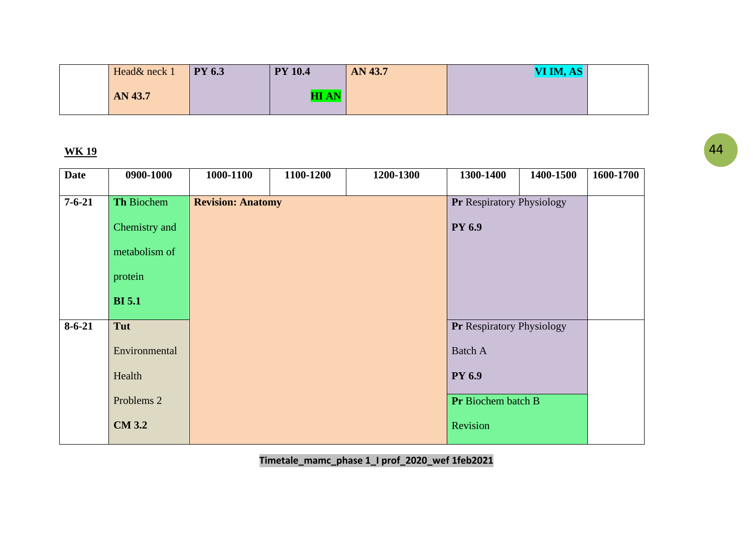| Head& neck 1 | <b>PY 6.3</b> | <b>PY 10.4</b> | AN 43.7 | VI IM, AS |  |
|--------------|---------------|----------------|---------|-----------|--|
| AN 43.7      |               | <b>AI AN</b>   |         |           |  |

| <b>Date</b>  | 0900-1000             | 1000-1100                | 1100-1200 | 1200-1300 | 1300-1400                        | 1400-1500 | 1600-1700 |
|--------------|-----------------------|--------------------------|-----------|-----------|----------------------------------|-----------|-----------|
| $7 - 6 - 21$ | Th Biochem            | <b>Revision: Anatomy</b> |           |           | <b>Pr Respiratory Physiology</b> |           |           |
|              | Chemistry and         |                          |           |           | <b>PY 6.9</b>                    |           |           |
|              | metabolism of         |                          |           |           |                                  |           |           |
|              | protein               |                          |           |           |                                  |           |           |
|              | <b>BI</b> 5.1         |                          |           |           |                                  |           |           |
| $8 - 6 - 21$ | Tut                   |                          |           |           | Pr Respiratory Physiology        |           |           |
|              | Environmental         |                          |           |           | <b>Batch A</b>                   |           |           |
|              | Health                |                          |           |           | <b>PY 6.9</b>                    |           |           |
|              | Problems <sub>2</sub> |                          |           |           | <b>Pr</b> Biochem batch B        |           |           |
|              | <b>CM 3.2</b>         |                          |           |           | Revision                         |           |           |
|              |                       |                          |           |           |                                  |           |           |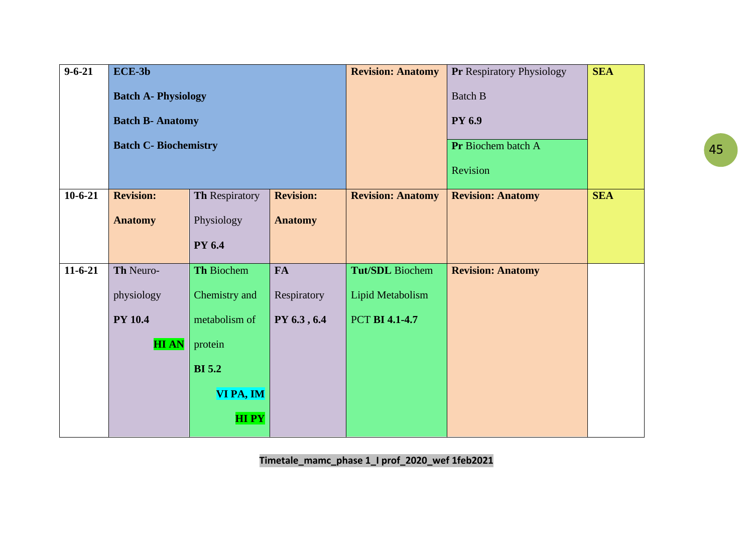| $9 - 6 - 21$ | $ECE-3b$                     |                |                  | <b>Revision: Anatomy</b> | <b>Pr Respiratory Physiology</b> | <b>SEA</b> |
|--------------|------------------------------|----------------|------------------|--------------------------|----------------------------------|------------|
|              | <b>Batch A- Physiology</b>   |                |                  |                          | <b>Batch B</b>                   |            |
|              | <b>Batch B- Anatomy</b>      |                |                  |                          | <b>PY 6.9</b>                    |            |
|              | <b>Batch C- Biochemistry</b> |                |                  |                          | Pr Biochem batch A               |            |
|              |                              |                |                  |                          | Revision                         |            |
| $10-6-21$    | <b>Revision:</b>             | Th Respiratory | <b>Revision:</b> | <b>Revision: Anatomy</b> | <b>Revision: Anatomy</b>         | <b>SEA</b> |
|              | <b>Anatomy</b>               | Physiology     | <b>Anatomy</b>   |                          |                                  |            |
|              |                              | <b>PY 6.4</b>  |                  |                          |                                  |            |
| $11-6-21$    | Th Neuro-                    | Th Biochem     | <b>FA</b>        | <b>Tut/SDL</b> Biochem   | <b>Revision: Anatomy</b>         |            |
|              |                              |                |                  |                          |                                  |            |
|              | physiology                   | Chemistry and  | Respiratory      | Lipid Metabolism         |                                  |            |
|              | <b>PY 10.4</b>               | metabolism of  | PY 6.3, 6.4      | <b>PCT BI 4.1-4.7</b>    |                                  |            |
|              | <b>HIAN</b>                  | protein        |                  |                          |                                  |            |
|              |                              | <b>BI</b> 5.2  |                  |                          |                                  |            |
|              |                              | VI PA, IM      |                  |                          |                                  |            |
|              |                              | <b>HIPY</b>    |                  |                          |                                  |            |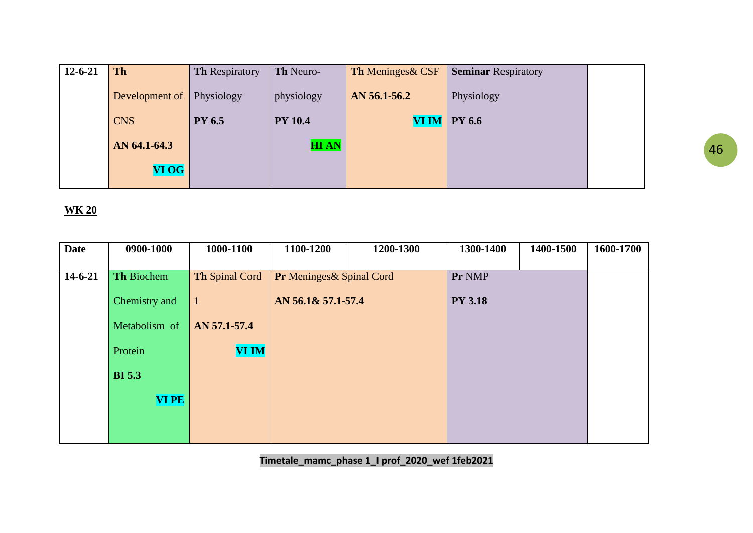| $12 - 6 - 21$ | <b>Th</b>      | <b>Th Respiratory</b> | Th Neuro-      | <b>Th Meninges &amp; CSF</b> | <b>Seminar Respiratory</b> |  |
|---------------|----------------|-----------------------|----------------|------------------------------|----------------------------|--|
|               | Development of | Physiology            | physiology     | AN 56.1-56.2                 | Physiology                 |  |
|               | <b>CNS</b>     | <b>PY 6.5</b>         | <b>PY 10.4</b> | <b>VI IM</b>                 | <b>PY 6.6</b>              |  |
|               | AN 64.1-64.3   |                       | <b>HIAN</b>    |                              |                            |  |
|               | <b>VI OG</b>   |                       |                |                              |                            |  |

| <b>Date</b>   | 0900-1000     | 1000-1100      | 1100-1200                | 1200-1300 | 1300-1400      | 1400-1500 | 1600-1700 |
|---------------|---------------|----------------|--------------------------|-----------|----------------|-----------|-----------|
|               |               |                |                          |           |                |           |           |
| $14 - 6 - 21$ | Th Biochem    | Th Spinal Cord | Pr Meninges& Spinal Cord |           | Pr NMP         |           |           |
|               |               |                |                          |           |                |           |           |
|               | Chemistry and | -1             | AN 56.1& 57.1-57.4       |           | <b>PY 3.18</b> |           |           |
|               | Metabolism of | AN 57.1-57.4   |                          |           |                |           |           |
|               |               |                |                          |           |                |           |           |
|               | Protein       | <b>VI IM</b>   |                          |           |                |           |           |
|               | <b>BI</b> 5.3 |                |                          |           |                |           |           |
|               |               |                |                          |           |                |           |           |
|               | <b>VI PE</b>  |                |                          |           |                |           |           |
|               |               |                |                          |           |                |           |           |
|               |               |                |                          |           |                |           |           |
|               |               |                |                          |           |                |           |           |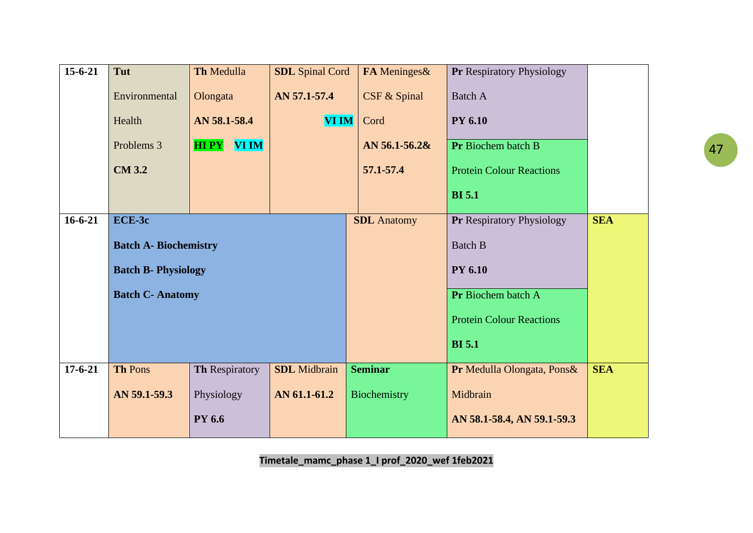| $15 - 6 - 21$ | Tut                          | Th Medulla       | <b>SDL</b> Spinal Cord | FA Meninges&       | <b>Pr Respiratory Physiology</b> |            |
|---------------|------------------------------|------------------|------------------------|--------------------|----------------------------------|------------|
|               | Environmental                | Olongata         | AN 57.1-57.4           | CSF & Spinal       | <b>Batch A</b>                   |            |
|               | Health                       | AN 58.1-58.4     | <b>VI IM</b>           | Cord               | <b>PY 6.10</b>                   |            |
|               | Problems 3                   | <b>HIPY VIIM</b> |                        | AN 56.1-56.2&      | Pr Biochem batch B               |            |
|               | <b>CM 3.2</b>                |                  |                        | 57.1-57.4          | <b>Protein Colour Reactions</b>  |            |
|               |                              |                  |                        |                    | <b>BI</b> 5.1                    |            |
| $16 - 6 - 21$ | ECE-3c                       |                  |                        | <b>SDL</b> Anatomy | <b>Pr Respiratory Physiology</b> | <b>SEA</b> |
|               | <b>Batch A- Biochemistry</b> |                  |                        |                    | <b>Batch B</b>                   |            |
|               | <b>Batch B- Physiology</b>   |                  |                        |                    | <b>PY 6.10</b>                   |            |
|               | <b>Batch C- Anatomy</b>      |                  |                        |                    | Pr Biochem batch A               |            |
|               |                              |                  |                        |                    | <b>Protein Colour Reactions</b>  |            |
|               |                              |                  |                        |                    | <b>BI</b> 5.1                    |            |
| $17 - 6 - 21$ | <b>Th Pons</b>               | Th Respiratory   | <b>SDL</b> Midbrain    | <b>Seminar</b>     | Pr Medulla Olongata, Pons&       | <b>SEA</b> |
|               | AN 59.1-59.3                 | Physiology       | AN 61.1-61.2           | Biochemistry       | Midbrain                         |            |
|               |                              | <b>PY 6.6</b>    |                        |                    | AN 58.1-58.4, AN 59.1-59.3       |            |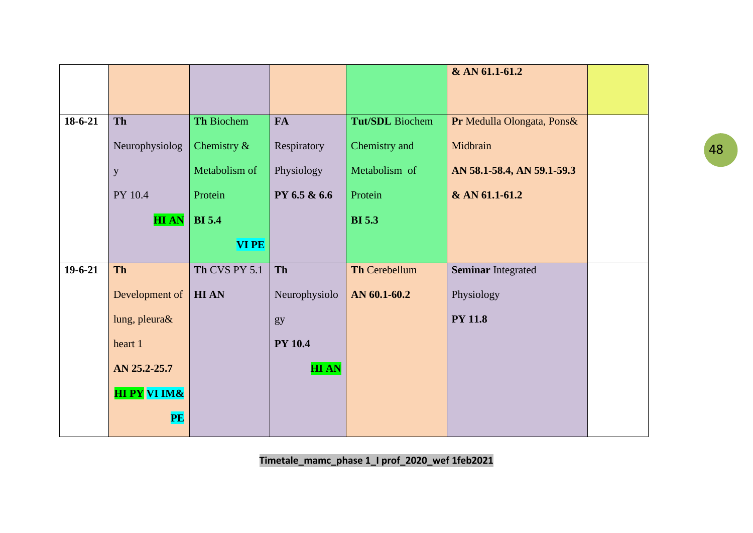|           |                         |                |                |                 | & AN 61.1-61.2             |  |
|-----------|-------------------------|----------------|----------------|-----------------|----------------------------|--|
|           |                         |                |                |                 |                            |  |
|           |                         |                |                |                 |                            |  |
| $18-6-21$ | <b>Th</b>               | Th Biochem     | <b>FA</b>      | Tut/SDL Biochem | Pr Medulla Olongata, Pons& |  |
|           | Neurophysiolog          | Chemistry $\&$ | Respiratory    | Chemistry and   | Midbrain                   |  |
|           | y                       | Metabolism of  | Physiology     | Metabolism of   | AN 58.1-58.4, AN 59.1-59.3 |  |
|           | PY 10.4                 | Protein        | PY 6.5 & 6.6   | Protein         | & AN 61.1-61.2             |  |
|           | <b>HIAN</b>             | <b>BI</b> 5.4  |                | <b>BI</b> 5.3   |                            |  |
|           |                         | <b>VIPE</b>    |                |                 |                            |  |
| $19-6-21$ | <b>Th</b>               | Th CVS PY 5.1  | Th             | Th Cerebellum   | <b>Seminar Integrated</b>  |  |
|           | Development of          | <b>HIAN</b>    | Neurophysiolo  | AN 60.1-60.2    | Physiology                 |  |
|           | lung, pleura&           |                | gy             |                 | <b>PY 11.8</b>             |  |
|           | heart 1                 |                | <b>PY 10.4</b> |                 |                            |  |
|           | AN 25.2-25.7            |                | <b>HIAN</b>    |                 |                            |  |
|           | <b>HI PY VI IM&amp;</b> |                |                |                 |                            |  |
|           | PE                      |                |                |                 |                            |  |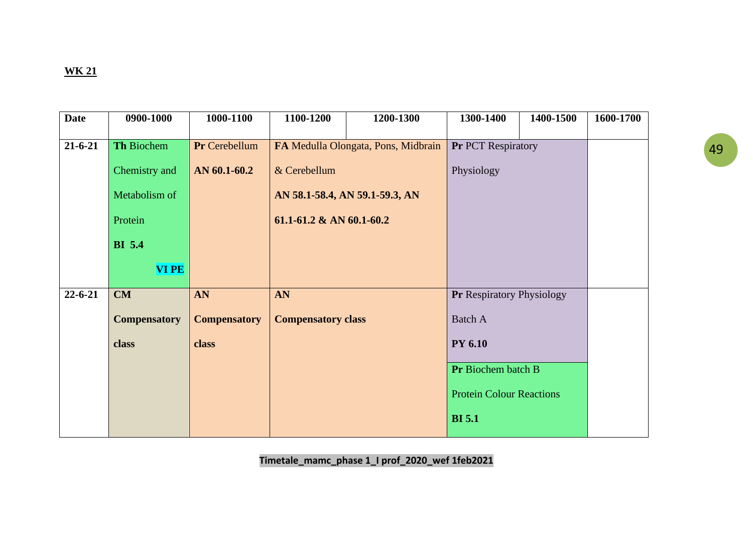| <b>Date</b>   | 0900-1000           | 1000-1100           | 1100-1200                       | 1200-1300                           | 1300-1400                        | 1400-1500 | 1600-1700 |
|---------------|---------------------|---------------------|---------------------------------|-------------------------------------|----------------------------------|-----------|-----------|
| $21 - 6 - 21$ | Th Biochem          | Pr Cerebellum       |                                 | FA Medulla Olongata, Pons, Midbrain | Pr PCT Respiratory               |           |           |
|               | Chemistry and       | AN 60.1-60.2        | & Cerebellum                    |                                     | Physiology                       |           |           |
|               | Metabolism of       |                     | AN 58.1-58.4, AN 59.1-59.3, AN  |                                     |                                  |           |           |
|               | Protein             |                     | $61.1 - 61.2 \& AN 60.1 - 60.2$ |                                     |                                  |           |           |
|               | <b>BI</b> 5.4       |                     |                                 |                                     |                                  |           |           |
|               | <b>VIPE</b>         |                     |                                 |                                     |                                  |           |           |
| $22 - 6 - 21$ | CM                  | AN                  | AN                              |                                     | <b>Pr Respiratory Physiology</b> |           |           |
|               | <b>Compensatory</b> | <b>Compensatory</b> | <b>Compensatory class</b>       |                                     | <b>Batch A</b>                   |           |           |
|               | class               | class               |                                 |                                     | <b>PY 6.10</b>                   |           |           |
|               |                     |                     |                                 |                                     | Pr Biochem batch B               |           |           |
|               |                     |                     |                                 |                                     | <b>Protein Colour Reactions</b>  |           |           |
|               |                     |                     |                                 |                                     | <b>BI</b> 5.1                    |           |           |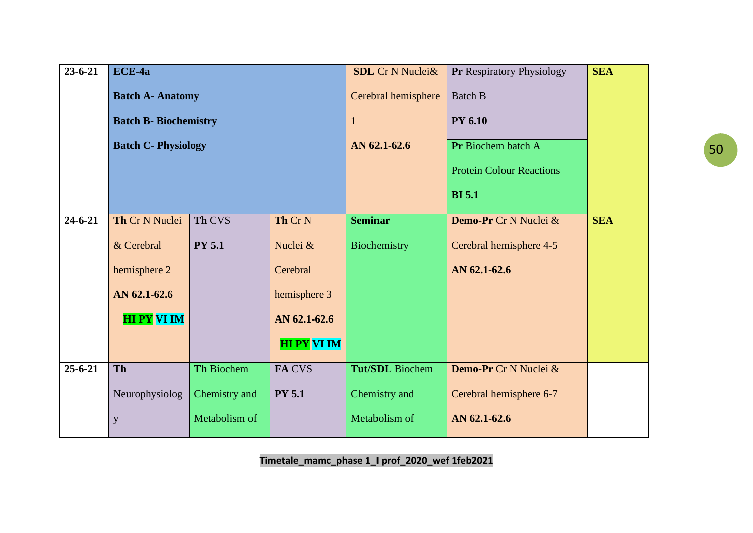| $23 - 6 - 21$ | ECE-4a                       |               |                    | <b>SDL</b> Cr N Nuclei& | Pr Respiratory Physiology       | <b>SEA</b> |
|---------------|------------------------------|---------------|--------------------|-------------------------|---------------------------------|------------|
|               | <b>Batch A- Anatomy</b>      |               |                    | Cerebral hemisphere     | <b>Batch B</b>                  |            |
|               | <b>Batch B- Biochemistry</b> |               |                    | $\mathbf{1}$            | <b>PY 6.10</b>                  |            |
|               | <b>Batch C- Physiology</b>   |               |                    | AN 62.1-62.6            | Pr Biochem batch A              |            |
|               |                              |               |                    |                         | <b>Protein Colour Reactions</b> |            |
|               |                              |               |                    |                         | <b>BI</b> 5.1                   |            |
| $24 - 6 - 21$ | Th Cr N Nuclei               | <b>Th CVS</b> | Th Cr N            | <b>Seminar</b>          | Demo-Pr Cr N Nuclei &           | <b>SEA</b> |
|               | & Cerebral                   | <b>PY 5.1</b> | Nuclei &           | Biochemistry            | Cerebral hemisphere 4-5         |            |
|               | hemisphere 2                 |               | Cerebral           |                         | AN 62.1-62.6                    |            |
|               | AN 62.1-62.6                 |               | hemisphere 3       |                         |                                 |            |
|               | <b>HIPY VIIM</b>             |               | AN 62.1-62.6       |                         |                                 |            |
|               |                              |               | <b>HI PY VI IM</b> |                         |                                 |            |
| $25 - 6 - 21$ | <b>Th</b>                    | Th Biochem    | FA CVS             | Tut/SDL Biochem         | Demo-Pr Cr N Nuclei &           |            |
|               | Neurophysiolog               | Chemistry and | <b>PY 5.1</b>      | Chemistry and           | Cerebral hemisphere 6-7         |            |
|               | y                            | Metabolism of |                    | Metabolism of           | AN 62.1-62.6                    |            |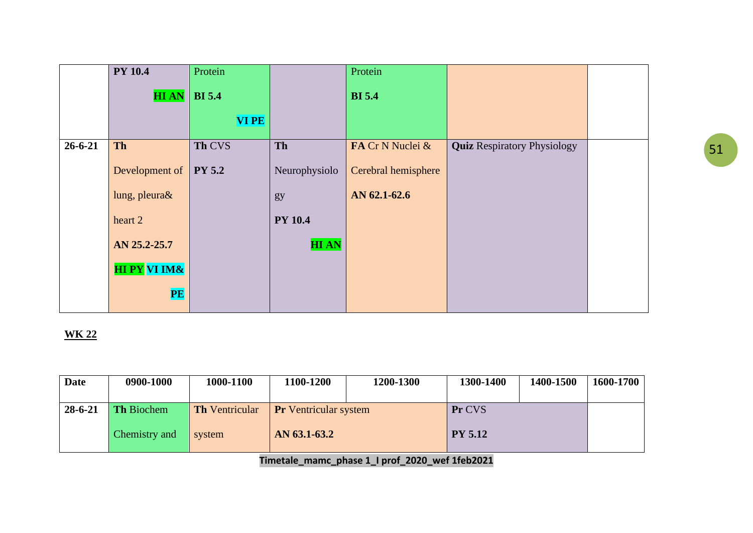|               | <b>PY 10.4</b>          | Protein       |                | Protein             |                                    |  |
|---------------|-------------------------|---------------|----------------|---------------------|------------------------------------|--|
|               | <b>HIAN</b>             | <b>BI</b> 5.4 |                | <b>BI</b> 5.4       |                                    |  |
|               |                         | <b>VIPE</b>   |                |                     |                                    |  |
| $26 - 6 - 21$ | Th                      | Th CVS        | Th             | FA Cr N Nuclei &    | <b>Quiz Respiratory Physiology</b> |  |
|               | Development of          | <b>PY 5.2</b> | Neurophysiolo  | Cerebral hemisphere |                                    |  |
|               | lung, pleura&           |               | gy             | AN 62.1-62.6        |                                    |  |
|               | heart 2                 |               | <b>PY 10.4</b> |                     |                                    |  |
|               | AN 25.2-25.7            |               | <b>HIAN</b>    |                     |                                    |  |
|               | <b>HI PY VI IM&amp;</b> |               |                |                     |                                    |  |
|               | PE                      |               |                |                     |                                    |  |

| <b>Date</b>   | 0900-1000         | 1000-1100             | 1100-1200                    | 1200-1300 | 1300-1400      | 1400-1500 | 1600-1700 |
|---------------|-------------------|-----------------------|------------------------------|-----------|----------------|-----------|-----------|
|               |                   |                       |                              |           |                |           |           |
| $28 - 6 - 21$ | <b>Th Biochem</b> | <b>Th</b> Ventricular | <b>Pr</b> Ventricular system |           | Pr CVS         |           |           |
|               |                   |                       |                              |           |                |           |           |
|               | Chemistry and     | system                | AN 63.1-63.2                 |           | <b>PY 5.12</b> |           |           |
|               |                   |                       |                              |           |                |           |           |
|               |                   |                       |                              |           |                |           |           |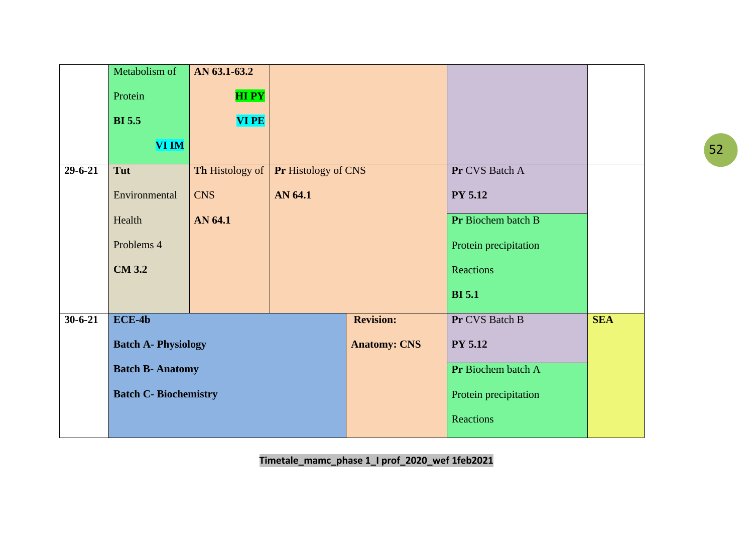|               | Metabolism of               | AN 63.1-63.2    |                     |                       |                       |            |
|---------------|-----------------------------|-----------------|---------------------|-----------------------|-----------------------|------------|
|               | Protein                     | <b>HIPY</b>     |                     |                       |                       |            |
|               | <b>BI</b> 5.5               | <b>VIPE</b>     |                     |                       |                       |            |
|               | <b>VI IM</b>                |                 |                     |                       |                       |            |
| $29 - 6 - 21$ | Tut                         | Th Histology of | Pr Histology of CNS |                       | Pr CVS Batch A        |            |
|               | Environmental               | <b>CNS</b>      | AN 64.1             |                       | <b>PY 5.12</b>        |            |
|               | Health                      | AN 64.1         |                     |                       | Pr Biochem batch B    |            |
|               | Problems 4                  |                 |                     |                       | Protein precipitation |            |
|               | <b>CM 3.2</b>               |                 |                     |                       | Reactions             |            |
|               |                             |                 |                     |                       | <b>BI</b> 5.1         |            |
| $30 - 6 - 21$ | $\overline{ECE-4b}$         |                 |                     | <b>Revision:</b>      | Pr CVS Batch B        | <b>SEA</b> |
|               | <b>Batch A- Physiology</b>  |                 |                     | <b>Anatomy: CNS</b>   | <b>PY 5.12</b>        |            |
|               | <b>Batch B- Anatomy</b>     |                 |                     |                       | Pr Biochem batch A    |            |
|               | <b>Batch C-Biochemistry</b> |                 |                     | Protein precipitation |                       |            |
|               |                             |                 |                     |                       | Reactions             |            |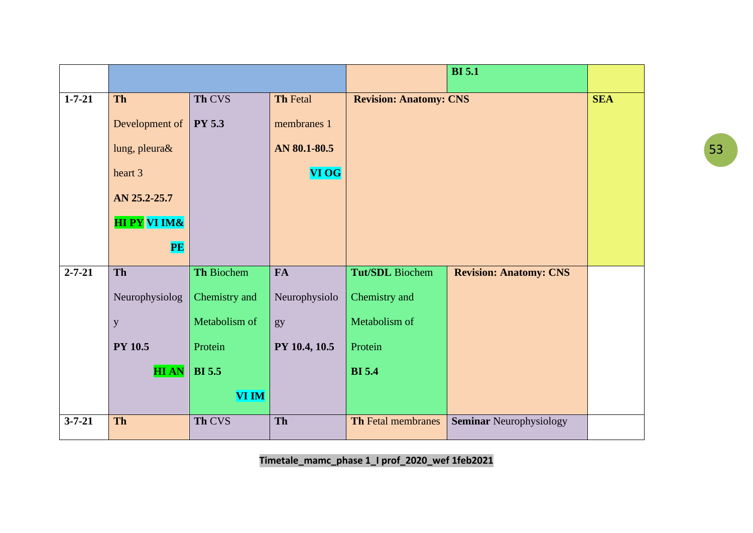|              |                         |               |                 |                               | <b>BI</b> 5.1                  |            |
|--------------|-------------------------|---------------|-----------------|-------------------------------|--------------------------------|------------|
| $1 - 7 - 21$ | Th                      | Th CVS        | <b>Th Fetal</b> | <b>Revision: Anatomy: CNS</b> |                                | <b>SEA</b> |
|              | Development of          | <b>PY 5.3</b> | membranes 1     |                               |                                |            |
|              | lung, pleura&           |               | AN 80.1-80.5    |                               |                                |            |
|              | heart 3                 |               | <b>VI OG</b>    |                               |                                |            |
|              | AN 25.2-25.7            |               |                 |                               |                                |            |
|              | <b>HI PY VI IM&amp;</b> |               |                 |                               |                                |            |
|              | <b>PE</b>               |               |                 |                               |                                |            |
| $2 - 7 - 21$ | <b>Th</b>               | Th Biochem    | <b>FA</b>       | Tut/SDL Biochem               | <b>Revision: Anatomy: CNS</b>  |            |
|              | Neurophysiolog          | Chemistry and | Neurophysiolo   | Chemistry and                 |                                |            |
|              | $\mathbf{y}$            | Metabolism of | gy              | Metabolism of                 |                                |            |
|              | <b>PY 10.5</b>          | Protein       | PY 10.4, 10.5   | Protein                       |                                |            |
|              | <b>HIAN</b>             | <b>BI</b> 5.5 |                 | <b>BI</b> 5.4                 |                                |            |
|              |                         | VI IM         |                 |                               |                                |            |
| $3 - 7 - 21$ | Th                      | Th CVS        | Th              | <b>Th Fetal membranes</b>     | <b>Seminar Neurophysiology</b> |            |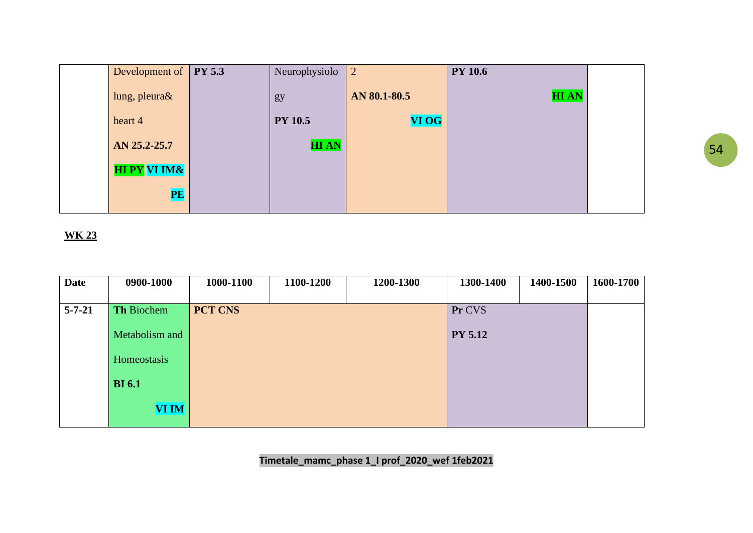| Development of PY 5.3 | Neurophysiolo  | $\vert 2 \vert$ | <b>PY 10.6</b> |  |
|-----------------------|----------------|-----------------|----------------|--|
| lung, pleura&         | gy             | AN 80.1-80.5    | <b>HIAN</b>    |  |
| heart 4               | <b>PY 10.5</b> | <b>VI OG</b>    |                |  |
| AN 25.2-25.7          | <b>HIAN</b>    |                 |                |  |
| <b>HIPY VIIM&amp;</b> |                |                 |                |  |
| <b>PE</b>             |                |                 |                |  |

| <b>Date</b>  | 0900-1000         | 1000-1100      | 1100-1200 | 1200-1300 | 1300-1400      | 1400-1500 | 1600-1700 |
|--------------|-------------------|----------------|-----------|-----------|----------------|-----------|-----------|
|              |                   |                |           |           |                |           |           |
| $5 - 7 - 21$ | <b>Th Biochem</b> | <b>PCT CNS</b> |           |           | Pr CVS         |           |           |
|              | Metabolism and    |                |           |           | <b>PY 5.12</b> |           |           |
|              | Homeostasis       |                |           |           |                |           |           |
|              | <b>BI</b> 6.1     |                |           |           |                |           |           |
|              | <b>VI IM</b>      |                |           |           |                |           |           |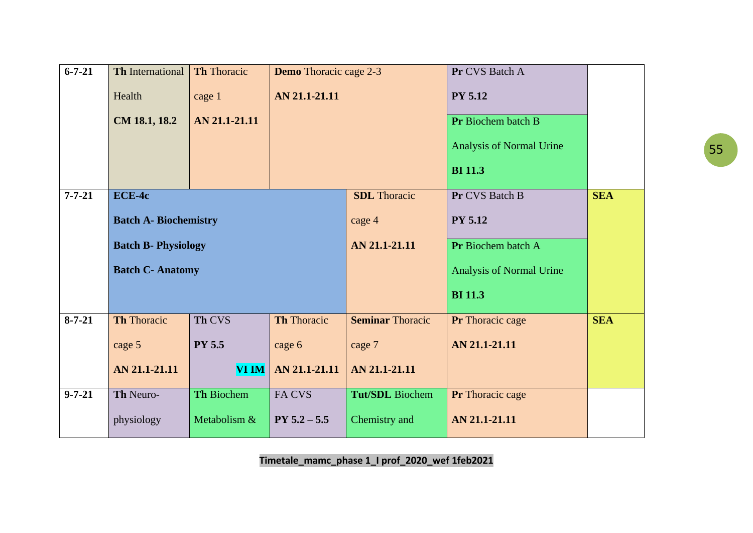| $\overline{6-7-21}$ | <b>Th International</b>      | <b>Th Thoracic</b> | <b>Demo</b> Thoracic cage 2-3 |                         | Pr CVS Batch A           |            |
|---------------------|------------------------------|--------------------|-------------------------------|-------------------------|--------------------------|------------|
|                     | Health                       | cage 1             | AN 21.1-21.11                 |                         | <b>PY 5.12</b>           |            |
|                     | CM 18.1, 18.2                | AN 21.1-21.11      |                               |                         | Pr Biochem batch B       |            |
|                     |                              |                    |                               |                         | Analysis of Normal Urine |            |
|                     |                              |                    |                               |                         | <b>BI</b> 11.3           |            |
| $7 - 7 - 21$        | ECE-4c                       |                    |                               | <b>SDL</b> Thoracic     | Pr CVS Batch B           | <b>SEA</b> |
|                     | <b>Batch A- Biochemistry</b> |                    |                               | cage 4                  | <b>PY 5.12</b>           |            |
|                     | <b>Batch B- Physiology</b>   |                    |                               | AN 21.1-21.11           | Pr Biochem batch A       |            |
|                     | <b>Batch C- Anatomy</b>      |                    |                               |                         | Analysis of Normal Urine |            |
|                     |                              |                    |                               |                         | <b>BI</b> 11.3           |            |
| $8 - 7 - 21$        | <b>Th Thoracic</b>           | Th CVS             | <b>Th Thoracic</b>            | <b>Seminar Thoracic</b> | Pr Thoracic cage         | <b>SEA</b> |
|                     | cage 5                       | <b>PY 5.5</b>      | cage 6                        | cage 7                  | AN 21.1-21.11            |            |
|                     | AN 21.1-21.11                | <b>VI IM</b>       | AN 21.1-21.11                 | AN 21.1-21.11           |                          |            |
| $9 - 7 - 21$        | Th Neuro-                    | Th Biochem         | FA CVS                        | <b>Tut/SDL</b> Biochem  | Pr Thoracic cage         |            |
|                     | physiology                   | Metabolism &       | $PY 5.2 - 5.5$                | Chemistry and           | AN 21.1-21.11            |            |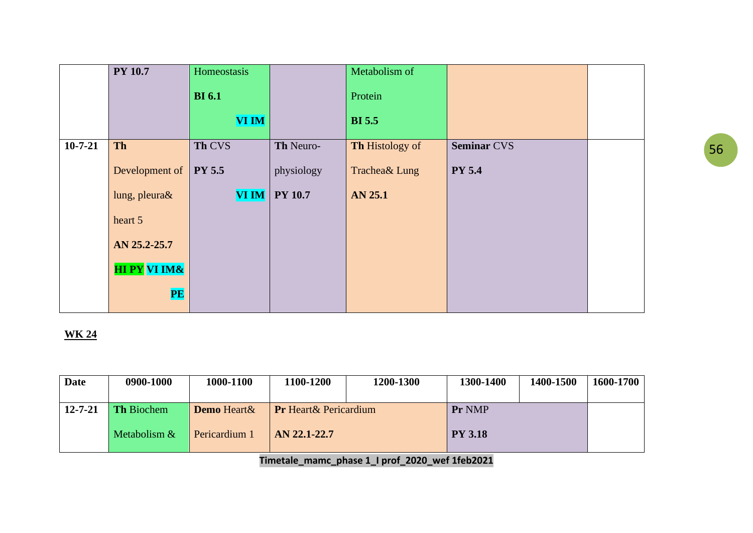|           | <b>PY 10.7</b>          | Homeostasis      |                | Metabolism of   |                    |  |
|-----------|-------------------------|------------------|----------------|-----------------|--------------------|--|
|           |                         | <b>BI</b> 6.1    |                | Protein         |                    |  |
|           |                         | <b>VI IM</b>     |                | <b>BI</b> 5.5   |                    |  |
| $10-7-21$ | Th                      | Th CVS           | Th Neuro-      | Th Histology of | <b>Seminar CVS</b> |  |
|           | Development of $\vert$  | <b>PY 5.5</b>    | physiology     | Trachea& Lung   | <b>PY 5.4</b>      |  |
|           | lung, pleura&           | $\bf VI\,I\bf M$ | <b>PY 10.7</b> | <b>AN 25.1</b>  |                    |  |
|           | heart 5                 |                  |                |                 |                    |  |
|           | AN 25.2-25.7            |                  |                |                 |                    |  |
|           | <b>HI PY VI IM&amp;</b> |                  |                |                 |                    |  |
|           | PE                      |                  |                |                 |                    |  |

| <b>Date</b>   | 0900-1000         | 1000-1100          | 1100-1200                     | 1200-1300 | 1300-1400      | 1400-1500 | 1600-1700 |
|---------------|-------------------|--------------------|-------------------------------|-----------|----------------|-----------|-----------|
|               |                   |                    |                               |           |                |           |           |
| $12 - 7 - 21$ | <b>Th Biochem</b> | <b>Demo</b> Heart& | <b>Pr</b> Heart & Pericardium |           | Pr NMP         |           |           |
|               |                   |                    |                               |           |                |           |           |
|               | Metabolism $&$    | Pericardium 1      | AN 22.1-22.7                  |           | <b>PY 3.18</b> |           |           |
|               |                   |                    |                               |           |                |           |           |
|               |                   |                    |                               |           |                |           |           |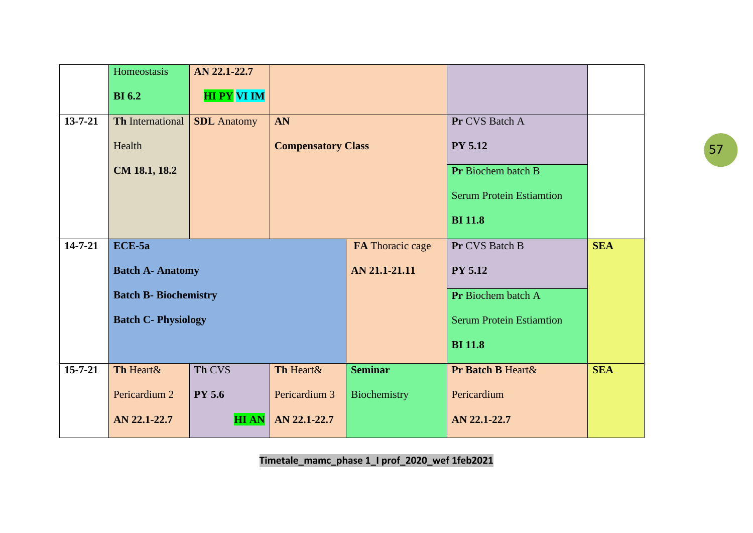|               | Homeostasis                  | AN 22.1-22.7       |                           |                  |                                 |            |
|---------------|------------------------------|--------------------|---------------------------|------------------|---------------------------------|------------|
|               | <b>BI</b> 6.2                | <b>HI PY VI IM</b> |                           |                  |                                 |            |
| $13 - 7 - 21$ | <b>Th</b> International      | <b>SDL</b> Anatomy | AN                        |                  | Pr CVS Batch A                  |            |
|               | Health                       |                    | <b>Compensatory Class</b> |                  | <b>PY 5.12</b>                  |            |
|               | CM 18.1, 18.2                |                    |                           |                  | Pr Biochem batch B              |            |
|               |                              |                    |                           |                  | <b>Serum Protein Estiamtion</b> |            |
|               |                              |                    |                           |                  | <b>BI</b> 11.8                  |            |
| $14 - 7 - 21$ | ECE-5a                       |                    |                           | FA Thoracic cage | Pr CVS Batch B                  | <b>SEA</b> |
|               | <b>Batch A- Anatomy</b>      |                    |                           | AN 21.1-21.11    | <b>PY 5.12</b>                  |            |
|               | <b>Batch B- Biochemistry</b> |                    |                           |                  | Pr Biochem batch A              |            |
|               | <b>Batch C- Physiology</b>   |                    |                           |                  | <b>Serum Protein Estiamtion</b> |            |
|               |                              |                    |                           |                  | <b>BI</b> 11.8                  |            |
| $15 - 7 - 21$ | Th Heart&                    | Th CVS             | Th Heart&                 | <b>Seminar</b>   | Pr Batch B Heart &              | <b>SEA</b> |
|               | Pericardium 2                | <b>PY 5.6</b>      | Pericardium 3             | Biochemistry     | Pericardium                     |            |
|               | AN 22.1-22.7                 | <b>HIAN</b>        | AN 22.1-22.7              |                  | AN 22.1-22.7                    |            |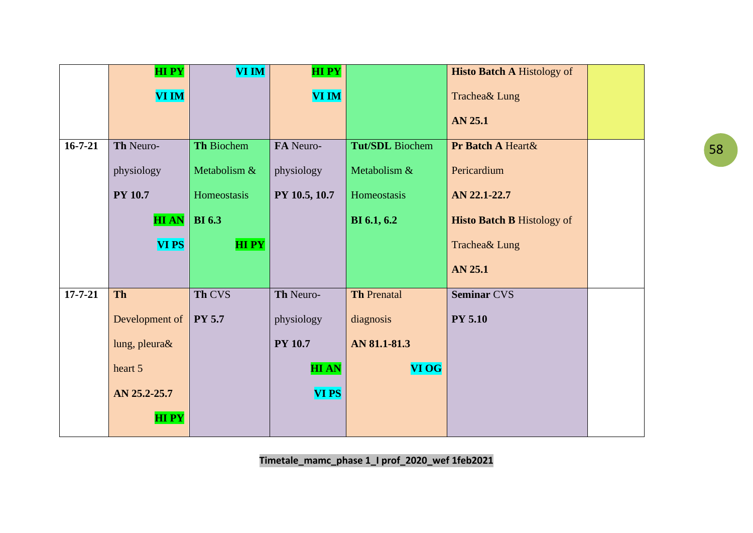|               | <b>HIPY</b>    | <b>VI IM</b>  | <b>HIPY</b>    |                        | <b>Histo Batch A Histology of</b> |  |
|---------------|----------------|---------------|----------------|------------------------|-----------------------------------|--|
|               | <b>VI IM</b>   |               | <b>VI IM</b>   |                        | Trachea& Lung                     |  |
|               |                |               |                |                        | AN 25.1                           |  |
| $16 - 7 - 21$ | Th Neuro-      | Th Biochem    | FA Neuro-      | <b>Tut/SDL</b> Biochem | Pr Batch A Heart &                |  |
|               | physiology     | Metabolism &  | physiology     | Metabolism &           | Pericardium                       |  |
|               | <b>PY 10.7</b> | Homeostasis   | PY 10.5, 10.7  | Homeostasis            | AN 22.1-22.7                      |  |
|               | <b>HIAN</b>    | <b>BI</b> 6.3 |                | <b>BI</b> 6.1, 6.2     | <b>Histo Batch B Histology of</b> |  |
|               | <b>VIPS</b>    | <b>HIPY</b>   |                |                        | Trachea& Lung                     |  |
|               |                |               |                |                        | <b>AN 25.1</b>                    |  |
| $17 - 7 - 21$ | <b>Th</b>      | Th CVS        | Th Neuro-      | <b>Th Prenatal</b>     | <b>Seminar CVS</b>                |  |
|               | Development of | <b>PY 5.7</b> | physiology     | diagnosis              | <b>PY 5.10</b>                    |  |
|               | lung, pleura&  |               | <b>PY 10.7</b> | AN 81.1-81.3           |                                   |  |
|               | heart 5        |               | <b>HIAN</b>    | <b>VI OG</b>           |                                   |  |
|               | AN 25.2-25.7   |               | <b>VI PS</b>   |                        |                                   |  |
|               | <b>HIPY</b>    |               |                |                        |                                   |  |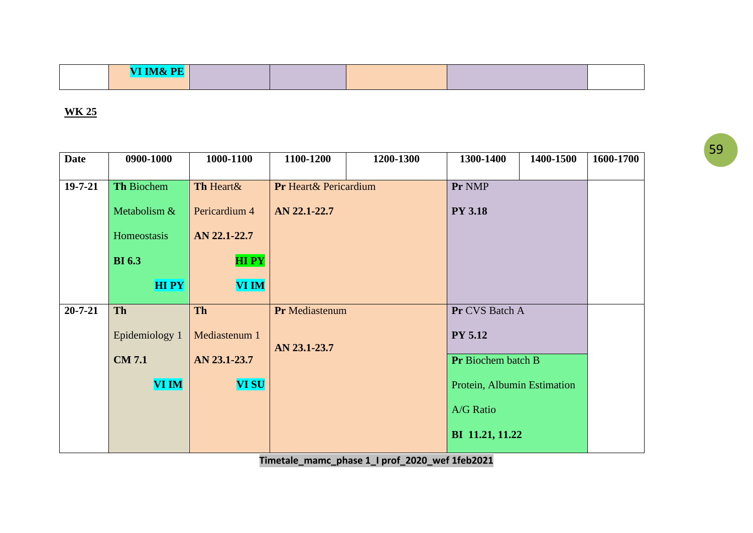| <b>THTMAD DEL</b> |  |  |  |
|-------------------|--|--|--|
|                   |  |  |  |

| <b>Date</b>   | 0900-1000         | 1000-1100     | 1100-1200              | 1200-1300 | 1300-1400                   | 1400-1500 | 1600-1700 |
|---------------|-------------------|---------------|------------------------|-----------|-----------------------------|-----------|-----------|
| $19 - 7 - 21$ | <b>Th Biochem</b> | Th Heart&     | Pr Heart & Pericardium |           | Pr NMP                      |           |           |
|               | Metabolism &      | Pericardium 4 | AN 22.1-22.7           |           | <b>PY 3.18</b>              |           |           |
|               | Homeostasis       | AN 22.1-22.7  |                        |           |                             |           |           |
|               | <b>BI</b> 6.3     | <b>HIPY</b>   |                        |           |                             |           |           |
|               |                   |               |                        |           |                             |           |           |
|               | <b>HIPY</b>       | <b>VI IM</b>  |                        |           |                             |           |           |
| $20 - 7 - 21$ | Th                | Th            | Pr Mediastenum         |           | Pr CVS Batch A              |           |           |
|               | Epidemiology 1    | Mediastenum 1 |                        |           | <b>PY 5.12</b>              |           |           |
|               | <b>CM7.1</b>      | AN 23.1-23.7  | AN 23.1-23.7           |           | Pr Biochem batch B          |           |           |
|               | <b>VI IM</b>      | <b>VI SU</b>  |                        |           | Protein, Albumin Estimation |           |           |
|               |                   |               |                        |           | A/G Ratio                   |           |           |
|               |                   |               |                        |           | BI 11.21, 11.22             |           |           |
|               |                   |               |                        |           |                             |           |           |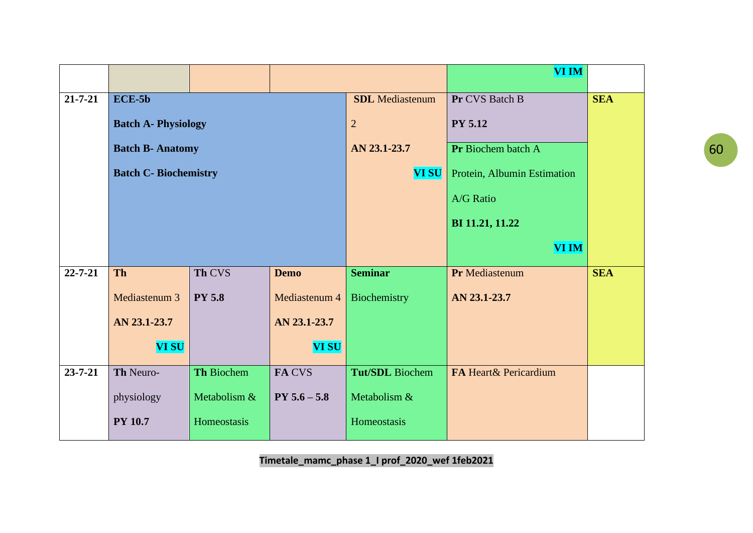|               |                              |               |                |                        | <b>VI IM</b>                |            |  |
|---------------|------------------------------|---------------|----------------|------------------------|-----------------------------|------------|--|
| $21 - 7 - 21$ | $ECE-5b$                     |               |                | <b>SDL</b> Mediastenum | Pr CVS Batch B              | <b>SEA</b> |  |
|               | <b>Batch A- Physiology</b>   |               |                | $\overline{2}$         | <b>PY 5.12</b>              |            |  |
|               | <b>Batch B- Anatomy</b>      |               |                | AN 23.1-23.7           | Pr Biochem batch A          |            |  |
|               | <b>Batch C- Biochemistry</b> |               |                | <b>VI SU</b>           | Protein, Albumin Estimation |            |  |
|               |                              |               |                |                        | <b>A/G Ratio</b>            |            |  |
|               |                              |               |                |                        | BI 11.21, 11.22             |            |  |
|               |                              |               |                |                        | <b>VI IM</b>                |            |  |
| $22 - 7 - 21$ | <b>Th</b>                    | Th CVS        | <b>Demo</b>    | <b>Seminar</b>         | Pr Mediastenum              | <b>SEA</b> |  |
|               | Mediastenum 3                | <b>PY 5.8</b> | Mediastenum 4  | Biochemistry           | AN 23.1-23.7                |            |  |
|               | AN 23.1-23.7                 |               | AN 23.1-23.7   |                        |                             |            |  |
|               | <b>VI SU</b>                 |               | <b>VI SU</b>   |                        |                             |            |  |
| $23 - 7 - 21$ | Th Neuro-                    | Th Biochem    | FA CVS         | <b>Tut/SDL</b> Biochem | FA Heart& Pericardium       |            |  |
|               | physiology                   | Metabolism &  | $PY 5.6 - 5.8$ | Metabolism &           |                             |            |  |
|               | <b>PY 10.7</b>               | Homeostasis   |                | Homeostasis            |                             |            |  |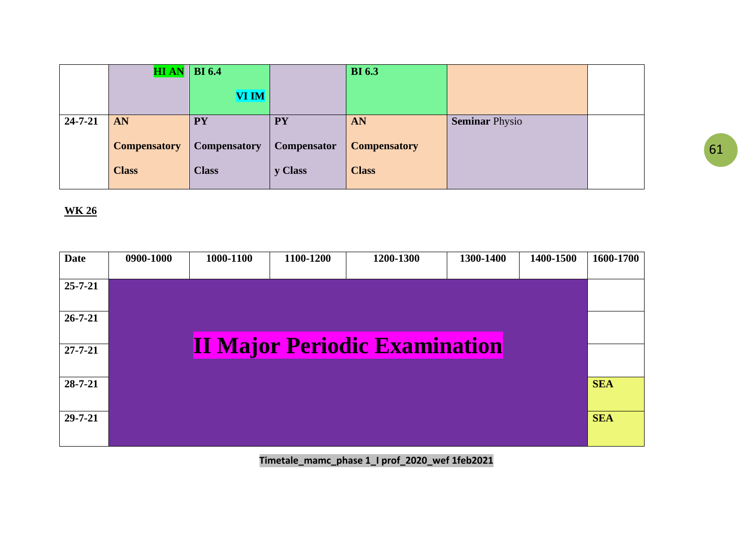|               | $HI AN$ BI 6.4      |                     |                    | <b>BI</b> 6.3       |                       |  |
|---------------|---------------------|---------------------|--------------------|---------------------|-----------------------|--|
|               |                     | <b>VI IM</b>        |                    |                     |                       |  |
| $24 - 7 - 21$ | AN                  | <b>PY</b>           | <b>PY</b>          | AN                  | <b>Seminar Physio</b> |  |
|               | <b>Compensatory</b> | <b>Compensatory</b> | <b>Compensator</b> | <b>Compensatory</b> |                       |  |
|               | <b>Class</b>        | <b>Class</b>        | y Class            | <b>Class</b>        |                       |  |

| <b>Date</b>   | 0900-1000 | 1000-1100 | 1100-1200 | 1200-1300                            | 1300-1400 | 1400-1500 | 1600-1700  |
|---------------|-----------|-----------|-----------|--------------------------------------|-----------|-----------|------------|
| $25 - 7 - 21$ |           |           |           |                                      |           |           |            |
| $26 - 7 - 21$ |           |           |           |                                      |           |           |            |
| $27 - 7 - 21$ |           |           |           | <b>II Major Periodic Examination</b> |           |           |            |
| $28 - 7 - 21$ |           |           |           |                                      |           |           | <b>SEA</b> |
| $29 - 7 - 21$ |           |           |           |                                      |           |           | <b>SEA</b> |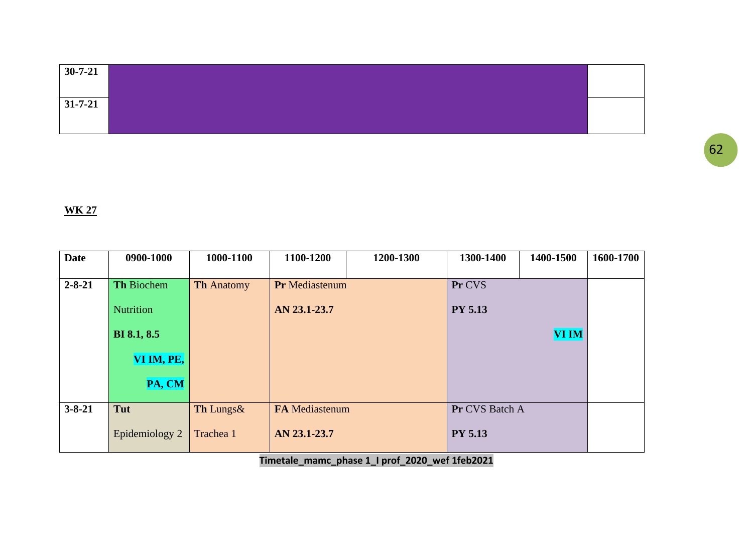| $30 - 7 - 21$ |  |
|---------------|--|
|               |  |
|               |  |
| $31 - 7 - 21$ |  |
|               |  |
|               |  |

| <b>Date</b>  | 0900-1000          | 1000-1100         | 1100-1200             | 1200-1300 | 1300-1400      | 1400-1500    | 1600-1700 |
|--------------|--------------------|-------------------|-----------------------|-----------|----------------|--------------|-----------|
| $2 - 8 - 21$ | Th Biochem         | <b>Th Anatomy</b> | <b>Pr</b> Mediastenum |           | Pr CVS         |              |           |
|              | <b>Nutrition</b>   |                   | AN 23.1-23.7          |           | <b>PY 5.13</b> |              |           |
|              | <b>BI</b> 8.1, 8.5 |                   |                       |           |                | <b>VI IM</b> |           |
|              | VI IM, PE,         |                   |                       |           |                |              |           |
|              | PA, CM             |                   |                       |           |                |              |           |
| $3 - 8 - 21$ | Tut                | Th Lungs&         | <b>FA</b> Mediastenum |           | Pr CVS Batch A |              |           |
|              | Epidemiology 2     | Trachea 1         | AN 23.1-23.7          |           | <b>PY 5.13</b> |              |           |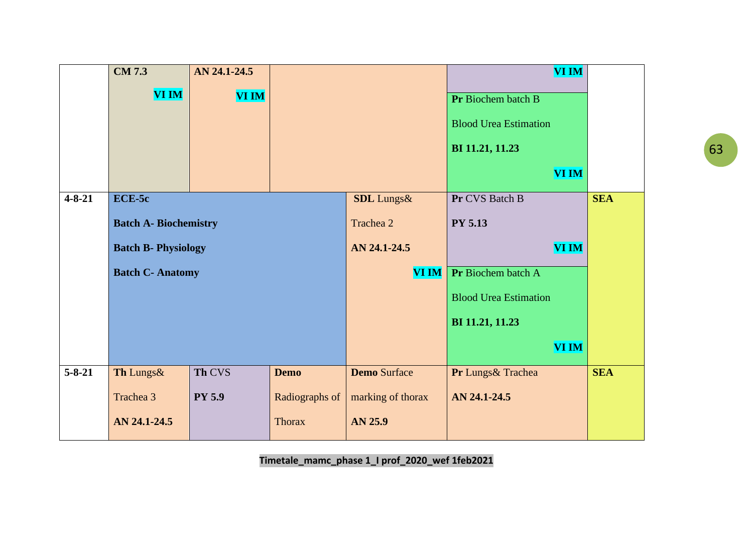|              | $\overline{\text{CM }7.3}$   | AN 24.1-24.5  |                |                     | <b>VI IM</b>                 |            |
|--------------|------------------------------|---------------|----------------|---------------------|------------------------------|------------|
|              | VI IM                        | <b>VI IM</b>  |                |                     | Pr Biochem batch B           |            |
|              |                              |               |                |                     |                              |            |
|              |                              |               |                |                     | <b>Blood Urea Estimation</b> |            |
|              |                              |               |                |                     | BI 11.21, 11.23              |            |
|              |                              |               |                |                     | <b>VI IM</b>                 |            |
| $4 - 8 - 21$ | $ECE-5c$                     |               |                | <b>SDL</b> Lungs&   | Pr CVS Batch B               | <b>SEA</b> |
|              | <b>Batch A- Biochemistry</b> |               |                | Trachea 2           | <b>PY 5.13</b>               |            |
|              | <b>Batch B- Physiology</b>   |               |                | AN 24.1-24.5        | <b>VI IM</b>                 |            |
|              | <b>Batch C- Anatomy</b>      |               |                | <b>VI IM</b>        | Pr Biochem batch A           |            |
|              |                              |               |                |                     | <b>Blood Urea Estimation</b> |            |
|              |                              |               |                |                     | BI 11.21, 11.23              |            |
|              |                              |               |                |                     | <b>VI IM</b>                 |            |
| $5 - 8 - 21$ | Th Lungs&                    | Th CVS        | <b>Demo</b>    | <b>Demo Surface</b> | Pr Lungs& Trachea            | <b>SEA</b> |
|              | Trachea 3                    | <b>PY 5.9</b> | Radiographs of | marking of thorax   | AN 24.1-24.5                 |            |
|              | AN 24.1-24.5                 |               | <b>Thorax</b>  | AN 25.9             |                              |            |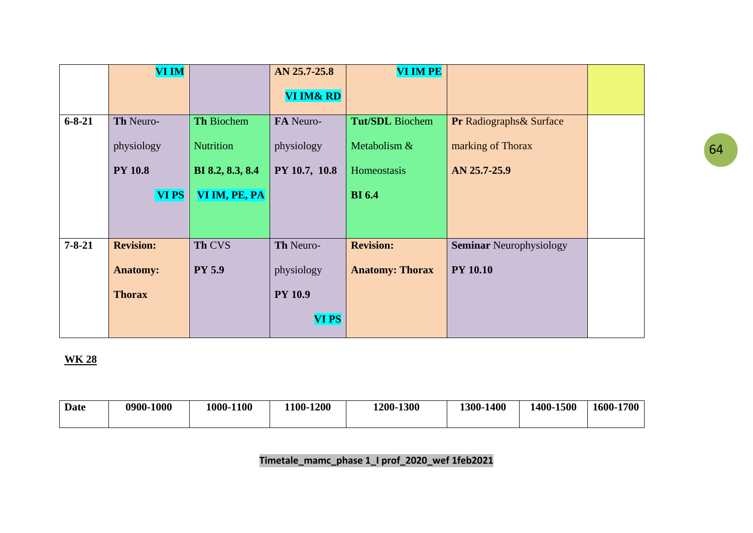|              | <b>VI IM</b>     |                   | AN 25.7-25.8         | <b>VI IM PE</b>        |                                     |  |
|--------------|------------------|-------------------|----------------------|------------------------|-------------------------------------|--|
|              |                  |                   | <b>VI IM&amp; RD</b> |                        |                                     |  |
| $6 - 8 - 21$ | Th Neuro-        | <b>Th Biochem</b> | FA Neuro-            | <b>Tut/SDL</b> Biochem | <b>Pr Radiographs &amp; Surface</b> |  |
|              | physiology       | Nutrition         | physiology           | Metabolism &           | marking of Thorax                   |  |
|              | <b>PY 10.8</b>   | BI 8.2, 8.3, 8.4  | PY 10.7, 10.8        | Homeostasis            | AN 25.7-25.9                        |  |
|              | <b>VIPS</b>      | VI IM, PE, PA     |                      | <b>BI</b> 6.4          |                                     |  |
|              |                  |                   |                      |                        |                                     |  |
|              |                  |                   |                      |                        |                                     |  |
| $7 - 8 - 21$ | <b>Revision:</b> | Th CVS            | Th Neuro-            | <b>Revision:</b>       | <b>Seminar Neurophysiology</b>      |  |
|              | <b>Anatomy:</b>  | <b>PY 5.9</b>     | physiology           | <b>Anatomy: Thorax</b> | <b>PY 10.10</b>                     |  |
|              | <b>Thorax</b>    |                   | <b>PY 10.9</b>       |                        |                                     |  |
|              |                  |                   | <b>VI PS</b>         |                        |                                     |  |

| Date | 0900-1000 | 1000-1100 | 1200<br>$100-$ | 1200-1300 | $-1400$<br>$1300 -$ | 1400-1500 | 1600-1700 |
|------|-----------|-----------|----------------|-----------|---------------------|-----------|-----------|
|------|-----------|-----------|----------------|-----------|---------------------|-----------|-----------|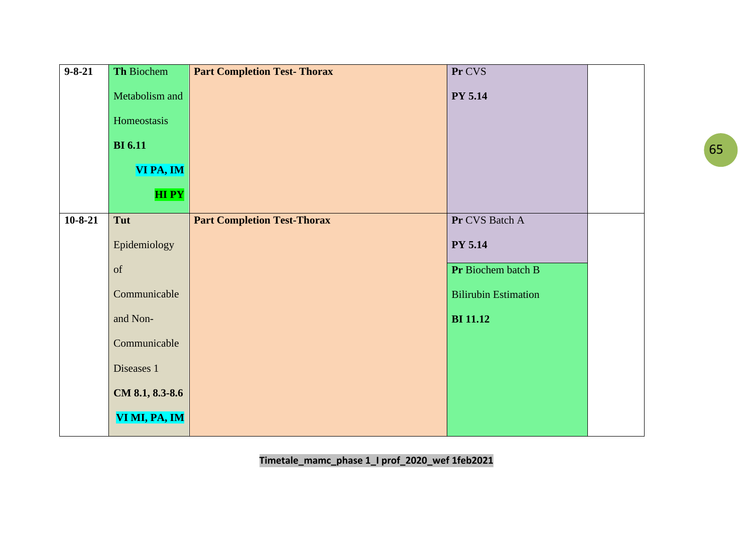| $9 - 8 - 21$ | Th Biochem      | <b>Part Completion Test-Thorax</b> | Pr CVS                      |  |
|--------------|-----------------|------------------------------------|-----------------------------|--|
|              | Metabolism and  |                                    | <b>PY 5.14</b>              |  |
|              | Homeostasis     |                                    |                             |  |
|              | <b>BI</b> 6.11  |                                    |                             |  |
|              | VI PA, IM       |                                    |                             |  |
|              | <b>HIPY</b>     |                                    |                             |  |
| $10-8-21$    | Tut             | <b>Part Completion Test-Thorax</b> | Pr CVS Batch A              |  |
|              | Epidemiology    |                                    | PY 5.14                     |  |
|              | <sub>of</sub>   |                                    | Pr Biochem batch B          |  |
|              | Communicable    |                                    | <b>Bilirubin Estimation</b> |  |
|              | and Non-        |                                    | <b>BI</b> 11.12             |  |
|              | Communicable    |                                    |                             |  |
|              | Diseases 1      |                                    |                             |  |
|              | CM 8.1, 8.3-8.6 |                                    |                             |  |
|              | VI MI, PA, IM   |                                    |                             |  |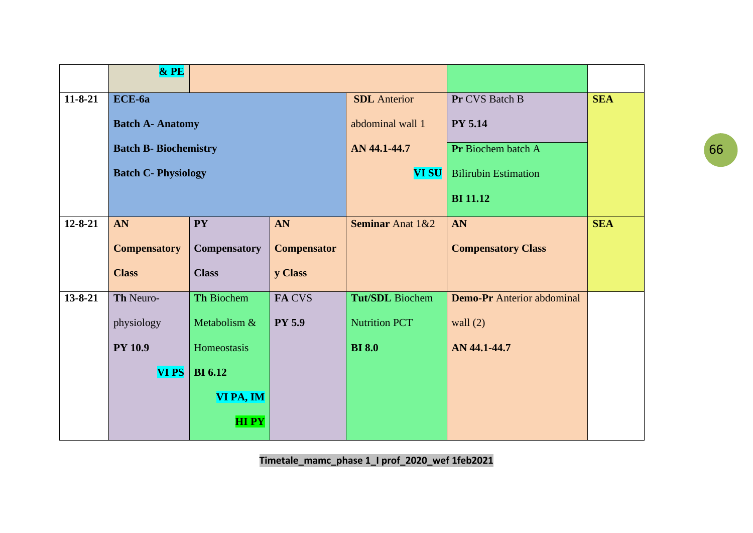|               | $&$ PE                       |                     |                    |                             |                                   |            |
|---------------|------------------------------|---------------------|--------------------|-----------------------------|-----------------------------------|------------|
| $11 - 8 - 21$ | ECE-6a                       |                     |                    | <b>SDL</b> Anterior         | Pr CVS Batch B                    | <b>SEA</b> |
|               | <b>Batch A- Anatomy</b>      |                     |                    | abdominal wall 1            | <b>PY 5.14</b>                    |            |
|               | <b>Batch B- Biochemistry</b> |                     |                    | AN 44.1-44.7                | Pr Biochem batch A                |            |
|               | <b>Batch C- Physiology</b>   |                     |                    | <b>VI SU</b>                | <b>Bilirubin Estimation</b>       |            |
|               |                              |                     |                    |                             | <b>BI</b> 11.12                   |            |
| $12 - 8 - 21$ | AN                           | <b>PY</b>           | AN                 | <b>Seminar Anat 1&amp;2</b> | AN                                | <b>SEA</b> |
|               | <b>Compensatory</b>          | <b>Compensatory</b> | <b>Compensator</b> |                             | <b>Compensatory Class</b>         |            |
|               | <b>Class</b>                 | <b>Class</b>        | y Class            |                             |                                   |            |
| $13 - 8 - 21$ | Th Neuro-                    | Th Biochem          | FA CVS             | <b>Tut/SDL</b> Biochem      | <b>Demo-Pr</b> Anterior abdominal |            |
|               | physiology                   | Metabolism &        | <b>PY 5.9</b>      | <b>Nutrition PCT</b>        | wall $(2)$                        |            |
|               | <b>PY 10.9</b>               | Homeostasis         |                    | <b>BI</b> 8.0               | AN 44.1-44.7                      |            |
|               | <b>VIPS</b>                  | <b>BI</b> 6.12      |                    |                             |                                   |            |
|               |                              | VI PA, IM           |                    |                             |                                   |            |
|               |                              | <b>HIPY</b>         |                    |                             |                                   |            |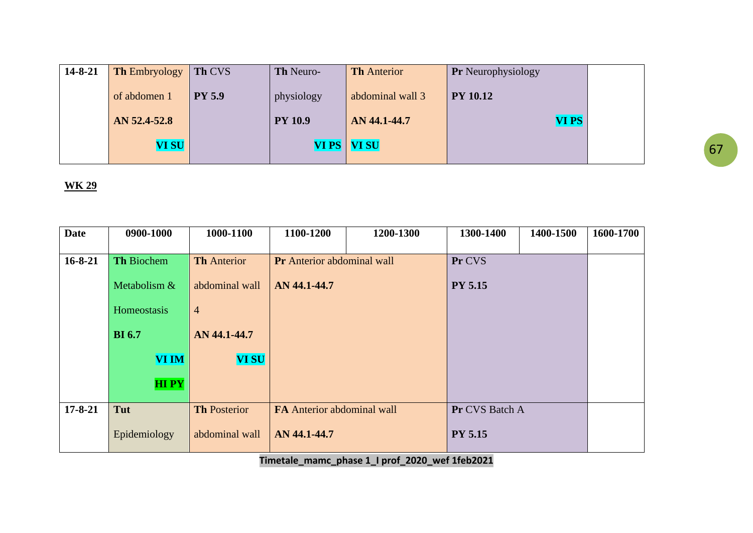| $14 - 8 - 21$ | <b>Th Embryology</b> | Th CVS        | <b>Th Neuro-</b> | <b>Th</b> Anterior | <b>Pr</b> Neurophysiology |  |
|---------------|----------------------|---------------|------------------|--------------------|---------------------------|--|
|               | of abdomen 1         | <b>PY 5.9</b> | physiology       | abdominal wall 3   | <b>PY 10.12</b>           |  |
|               | AN 52.4-52.8         |               | <b>PY 10.9</b>   | AN 44.1-44.7       | VI PS                     |  |
|               | <b>VI SU</b>         |               |                  | VI PS   VI SU      |                           |  |

| <b>Date</b>   | 0900-1000         | 1000-1100           | 1100-1200                         | 1200-1300 | 1300-1400      | 1400-1500 | 1600-1700 |
|---------------|-------------------|---------------------|-----------------------------------|-----------|----------------|-----------|-----------|
|               |                   |                     |                                   |           |                |           |           |
| $16 - 8 - 21$ | <b>Th Biochem</b> | <b>Th</b> Anterior  | <b>Pr</b> Anterior abdominal wall |           | Pr CVS         |           |           |
|               | Metabolism &      | abdominal wall      | AN 44.1-44.7                      |           | <b>PY 5.15</b> |           |           |
|               | Homeostasis       | $\overline{4}$      |                                   |           |                |           |           |
|               | <b>BI</b> 6.7     | AN 44.1-44.7        |                                   |           |                |           |           |
|               | <b>VI IM</b>      | <b>VI SU</b>        |                                   |           |                |           |           |
|               | <b>HIPY</b>       |                     |                                   |           |                |           |           |
|               |                   |                     |                                   |           |                |           |           |
| $17 - 8 - 21$ | Tut               | <b>Th Posterior</b> | <b>FA</b> Anterior abdominal wall |           | Pr CVS Batch A |           |           |
|               | Epidemiology      | abdominal wall      | AN 44.1-44.7                      |           | <b>PY 5.15</b> |           |           |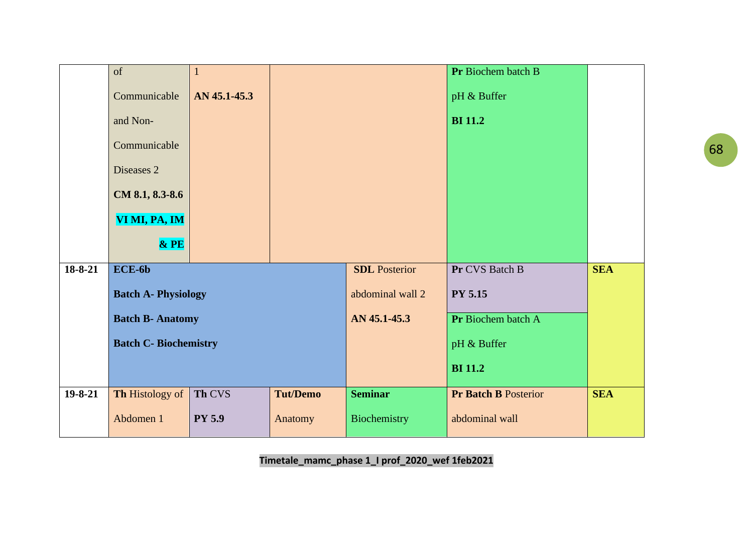|               | of                           | $\mathbf{1}$  |                 |                      | Pr Biochem batch B          |            |
|---------------|------------------------------|---------------|-----------------|----------------------|-----------------------------|------------|
|               | Communicable                 | AN 45.1-45.3  |                 |                      | pH & Buffer                 |            |
|               | and Non-                     |               |                 |                      | <b>BI</b> 11.2              |            |
|               | Communicable                 |               |                 |                      |                             |            |
|               | Diseases 2                   |               |                 |                      |                             |            |
|               | CM 8.1, 8.3-8.6              |               |                 |                      |                             |            |
|               | VI MI, PA, IM                |               |                 |                      |                             |            |
|               | $&$ PE                       |               |                 |                      |                             |            |
| 18-8-21       | ECE-6b                       |               |                 | <b>SDL</b> Posterior | Pr CVS Batch B              | <b>SEA</b> |
|               | <b>Batch A- Physiology</b>   |               |                 | abdominal wall 2     | <b>PY 5.15</b>              |            |
|               | <b>Batch B- Anatomy</b>      |               |                 | AN 45.1-45.3         | Pr Biochem batch A          |            |
|               | <b>Batch C- Biochemistry</b> |               |                 |                      | pH & Buffer                 |            |
|               |                              |               |                 |                      | <b>BI</b> 11.2              |            |
| $19 - 8 - 21$ | Th Histology of              | Th CVS        | <b>Tut/Demo</b> | <b>Seminar</b>       | <b>Pr Batch B Posterior</b> | <b>SEA</b> |
|               | Abdomen 1                    | <b>PY 5.9</b> | Anatomy         | Biochemistry         | abdominal wall              |            |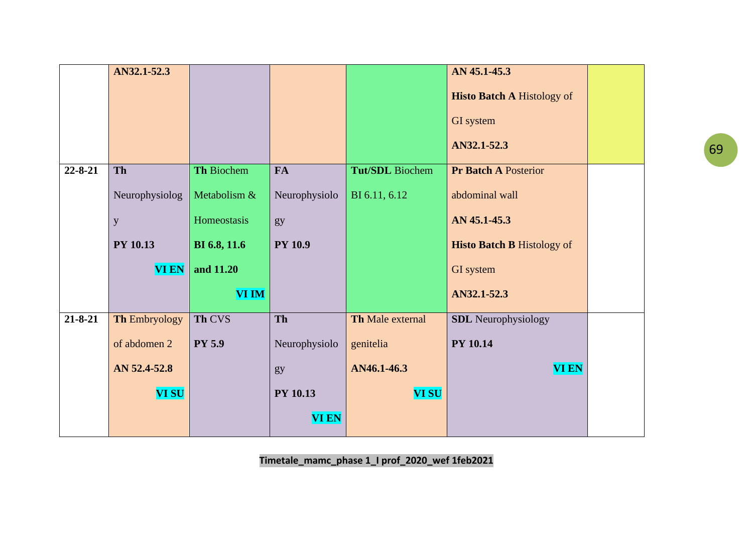|               | AN32.1-52.3          |               |                 |                        | AN 45.1-45.3                      |  |
|---------------|----------------------|---------------|-----------------|------------------------|-----------------------------------|--|
|               |                      |               |                 |                        | <b>Histo Batch A Histology of</b> |  |
|               |                      |               |                 |                        | GI system                         |  |
|               |                      |               |                 |                        | AN32.1-52.3                       |  |
| $22 - 8 - 21$ | Th                   | Th Biochem    | <b>FA</b>       | <b>Tut/SDL</b> Biochem | <b>Pr Batch A Posterior</b>       |  |
|               | Neurophysiolog       | Metabolism &  | Neurophysiolo   | BI 6.11, 6.12          | abdominal wall                    |  |
|               | $\mathbf y$          | Homeostasis   | gy              |                        | AN 45.1-45.3                      |  |
|               | <b>PY 10.13</b>      | BI 6.8, 11.6  | <b>PY 10.9</b>  |                        | <b>Histo Batch B Histology of</b> |  |
|               | <b>VI EN</b>         | and 11.20     |                 |                        | GI system                         |  |
|               |                      | <b>VI IM</b>  |                 |                        | AN32.1-52.3                       |  |
| $21 - 8 - 21$ | <b>Th Embryology</b> | Th CVS        | Th              | Th Male external       | <b>SDL</b> Neurophysiology        |  |
|               | of abdomen 2         | <b>PY 5.9</b> | Neurophysiolo   | genitelia              | <b>PY 10.14</b>                   |  |
|               | AN 52.4-52.8         |               | gy              | AN46.1-46.3            | <b>VI EN</b>                      |  |
|               | <b>VI SU</b>         |               | <b>PY 10.13</b> | <b>VI SU</b>           |                                   |  |
|               |                      |               | <b>VI EN</b>    |                        |                                   |  |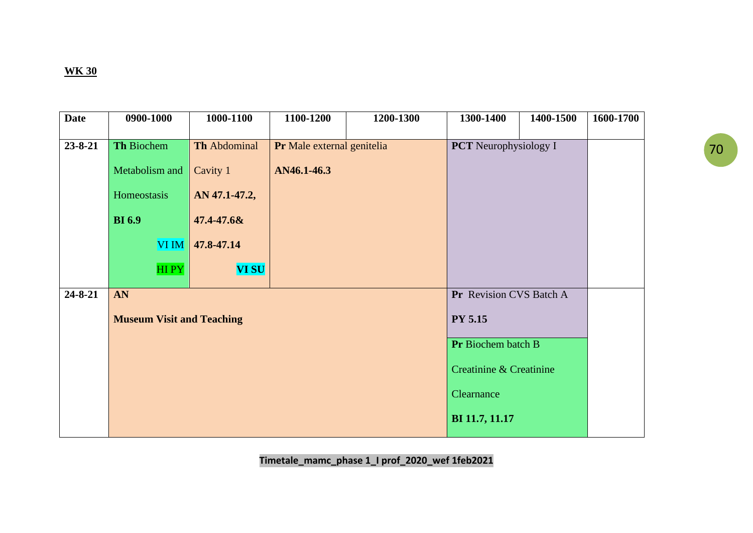| <b>Date</b>   | 0900-1000                        | 1000-1100     | 1100-1200                  | 1200-1300 | 1300-1400                    | 1400-1500 | 1600-1700 |
|---------------|----------------------------------|---------------|----------------------------|-----------|------------------------------|-----------|-----------|
| $23 - 8 - 21$ | <b>Th Biochem</b>                | Th Abdominal  | Pr Male external genitelia |           | <b>PCT</b> Neurophysiology I |           |           |
|               | Metabolism and                   | Cavity 1      | AN46.1-46.3                |           |                              |           |           |
|               | Homeostasis                      | AN 47.1-47.2, |                            |           |                              |           |           |
|               | <b>BI</b> 6.9                    | 47.4-47.6&    |                            |           |                              |           |           |
|               | <b>VIIM</b>                      | 47.8-47.14    |                            |           |                              |           |           |
|               | HIPY                             | <b>VI SU</b>  |                            |           |                              |           |           |
| $24 - 8 - 21$ | AN                               |               |                            |           | Pr Revision CVS Batch A      |           |           |
|               | <b>Museum Visit and Teaching</b> |               |                            |           | <b>PY 5.15</b>               |           |           |
|               |                                  |               |                            |           | Pr Biochem batch B           |           |           |
|               |                                  |               |                            |           | Creatinine & Creatinine      |           |           |
|               |                                  |               |                            |           | Clearnance                   |           |           |
|               |                                  |               |                            |           | BI 11.7, 11.17               |           |           |
|               |                                  |               |                            |           |                              |           |           |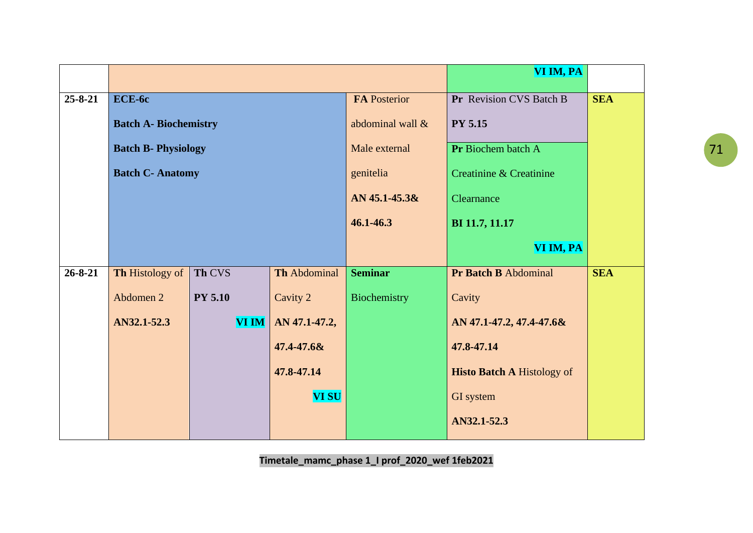|               |                              |                | VI IM, PA     |                     |                                   |            |
|---------------|------------------------------|----------------|---------------|---------------------|-----------------------------------|------------|
| $25 - 8 - 21$ | ECE-6c                       |                |               | <b>FA Posterior</b> | Pr Revision CVS Batch B           | <b>SEA</b> |
|               | <b>Batch A- Biochemistry</b> |                |               | abdominal wall &    | <b>PY 5.15</b>                    |            |
|               | <b>Batch B- Physiology</b>   |                |               | Male external       | Pr Biochem batch A                |            |
|               | <b>Batch C- Anatomy</b>      |                |               | genitelia           | Creatinine & Creatinine           |            |
|               |                              |                |               | AN 45.1-45.3&       | Clearnance                        |            |
|               |                              |                |               | 46.1-46.3           | BI 11.7, 11.17                    |            |
|               |                              |                |               |                     | VI IM, PA                         |            |
| $26 - 8 - 21$ | Th Histology of              | Th CVS         | Th Abdominal  | <b>Seminar</b>      | Pr Batch B Abdominal              | <b>SEA</b> |
|               | Abdomen 2                    | <b>PY 5.10</b> | Cavity 2      | Biochemistry        | Cavity                            |            |
|               | AN32.1-52.3                  | <b>VI IM</b>   | AN 47.1-47.2, |                     | AN 47.1-47.2, 47.4-47.6&          |            |
|               |                              |                | 47.4-47.6&    |                     | 47.8-47.14                        |            |
|               |                              |                | 47.8-47.14    |                     | <b>Histo Batch A Histology of</b> |            |
|               |                              |                | <b>VI SU</b>  |                     | GI system                         |            |
|               |                              |                |               |                     | AN32.1-52.3                       |            |
|               |                              |                |               |                     |                                   |            |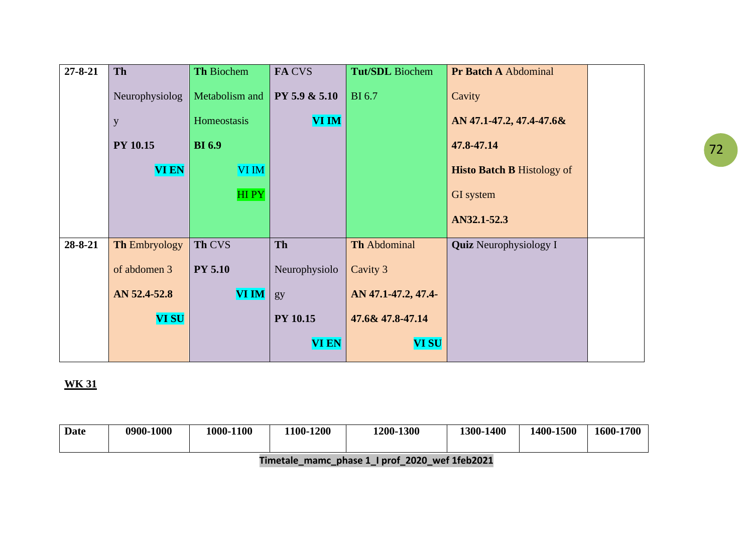| $27 - 8 - 21$ | Th                   | Th Biochem     | FA CVS          | <b>Tut/SDL</b> Biochem | <b>Pr Batch A Abdominal</b>       |  |
|---------------|----------------------|----------------|-----------------|------------------------|-----------------------------------|--|
|               | Neurophysiolog       | Metabolism and | PY 5.9 & 5.10   | <b>BI6.7</b>           | Cavity                            |  |
|               | y                    | Homeostasis    | <b>VI IM</b>    |                        | AN 47.1-47.2, 47.4-47.6&          |  |
|               | <b>PY 10.15</b>      | <b>BI</b> 6.9  |                 |                        | 47.8-47.14                        |  |
|               | <b>VI EN</b>         | VI IM          |                 |                        | <b>Histo Batch B Histology of</b> |  |
|               |                      | <b>HIPY</b>    |                 |                        | GI system                         |  |
|               |                      |                |                 |                        | AN32.1-52.3                       |  |
| 28-8-21       | <b>Th Embryology</b> | Th CVS         | <b>Th</b>       | <b>Th Abdominal</b>    | <b>Quiz</b> Neurophysiology I     |  |
|               | of abdomen 3         | <b>PY 5.10</b> | Neurophysiolo   | Cavity 3               |                                   |  |
|               | AN 52.4-52.8         | <b>VI IM</b>   | gy              | AN 47.1-47.2, 47.4-    |                                   |  |
|               | <b>VI SU</b>         |                | <b>PY 10.15</b> | 47.6& 47.8-47.14       |                                   |  |
|               |                      |                | <b>VI EN</b>    | <b>VI SU</b>           |                                   |  |

| <b>Date</b> | 0900-1000 | 1000-1100 | 1100-1200 | 1200-1300 | <b>1400</b><br>1300 | 1400-1500 | 1600-1700 |
|-------------|-----------|-----------|-----------|-----------|---------------------|-----------|-----------|
|             |           |           |           |           |                     |           |           |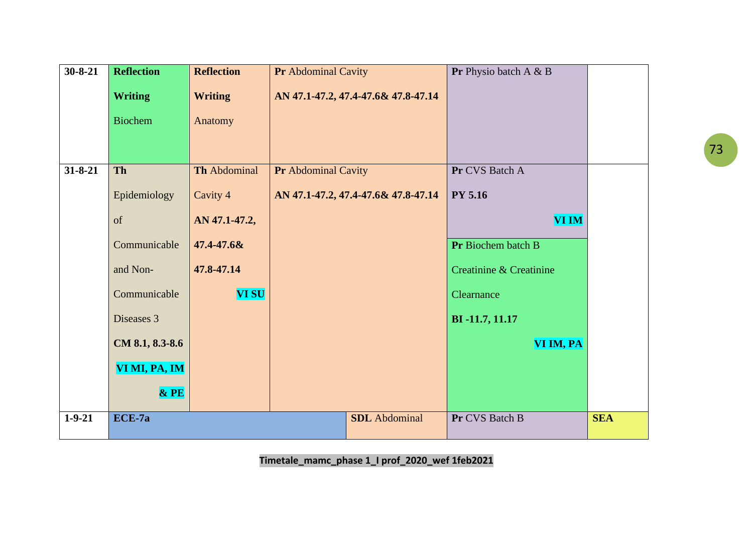| $30 - 8 - 21$ | <b>Reflection</b> | <b>Reflection</b> | <b>Pr</b> Abdominal Cavity |                                     | Pr Physio batch A & B   |            |
|---------------|-------------------|-------------------|----------------------------|-------------------------------------|-------------------------|------------|
|               | <b>Writing</b>    | <b>Writing</b>    |                            | AN 47.1-47.2, 47.4-47.6& 47.8-47.14 |                         |            |
|               | <b>Biochem</b>    | Anatomy           |                            |                                     |                         |            |
|               |                   |                   |                            |                                     |                         |            |
|               |                   |                   |                            |                                     |                         |            |
| $31 - 8 - 21$ | <b>Th</b>         | Th Abdominal      | <b>Pr</b> Abdominal Cavity |                                     | Pr CVS Batch A          |            |
|               | Epidemiology      | Cavity 4          |                            | AN 47.1-47.2, 47.4-47.6& 47.8-47.14 | <b>PY 5.16</b>          |            |
|               | of                | AN 47.1-47.2,     |                            |                                     | <b>VI IM</b>            |            |
|               | Communicable      | 47.4-47.6&        |                            |                                     | Pr Biochem batch B      |            |
|               | and Non-          | 47.8-47.14        |                            |                                     | Creatinine & Creatinine |            |
|               | Communicable      | <b>VI SU</b>      |                            |                                     | Clearnance              |            |
|               | Diseases 3        |                   |                            |                                     | BI-11.7, 11.17          |            |
|               | CM 8.1, 8.3-8.6   |                   |                            |                                     | VI IM, PA               |            |
|               | VI MI, PA, IM     |                   |                            |                                     |                         |            |
|               | $&$ PE            |                   |                            |                                     |                         |            |
| $1 - 9 - 21$  | ECE-7a            |                   |                            | <b>SDL</b> Abdominal                | Pr CVS Batch B          | <b>SEA</b> |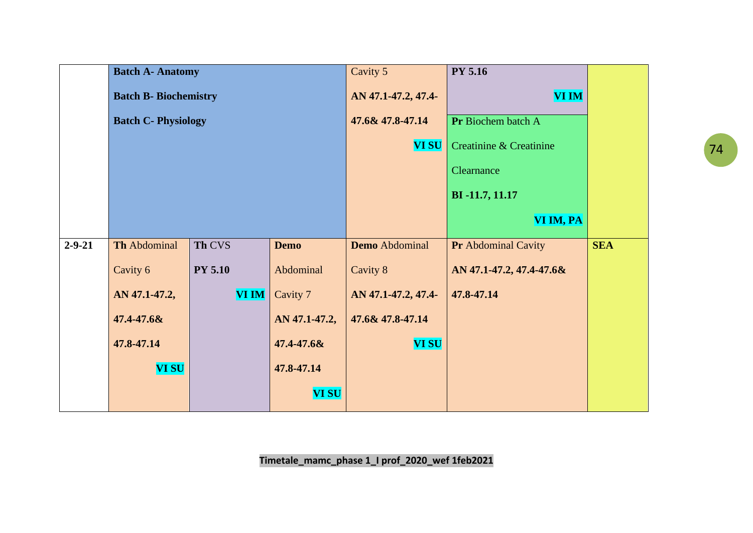|              | <b>Batch A- Anatomy</b>      |                            |               | Cavity 5              | <b>PY 5.16</b>             |            |
|--------------|------------------------------|----------------------------|---------------|-----------------------|----------------------------|------------|
|              | <b>Batch B- Biochemistry</b> |                            |               | AN 47.1-47.2, 47.4-   | <b>VI IM</b>               |            |
|              |                              | <b>Batch C- Physiology</b> |               |                       | Pr Biochem batch A         |            |
|              |                              |                            |               | <b>VI SU</b>          | Creatinine & Creatinine    |            |
|              |                              |                            |               |                       | Clearnance                 |            |
|              |                              |                            |               |                       | BI-11.7, 11.17             |            |
|              |                              |                            |               |                       | VI IM, PA                  |            |
| $2 - 9 - 21$ | Th Abdominal                 | Th CVS                     | <b>Demo</b>   | <b>Demo</b> Abdominal | <b>Pr</b> Abdominal Cavity | <b>SEA</b> |
|              | Cavity 6                     | <b>PY 5.10</b>             | Abdominal     | Cavity 8              | AN 47.1-47.2, 47.4-47.6&   |            |
|              | AN 47.1-47.2,                | <b>VI IM</b>               | Cavity 7      | AN 47.1-47.2, 47.4-   | 47.8-47.14                 |            |
|              | 47.4-47.6&                   |                            | AN 47.1-47.2, | 47.6& 47.8-47.14      |                            |            |
|              | 47.8-47.14                   |                            | 47.4-47.6&    | <b>VI SU</b>          |                            |            |
|              | <b>VI SU</b>                 |                            | 47.8-47.14    |                       |                            |            |
|              |                              |                            | <b>VI SU</b>  |                       |                            |            |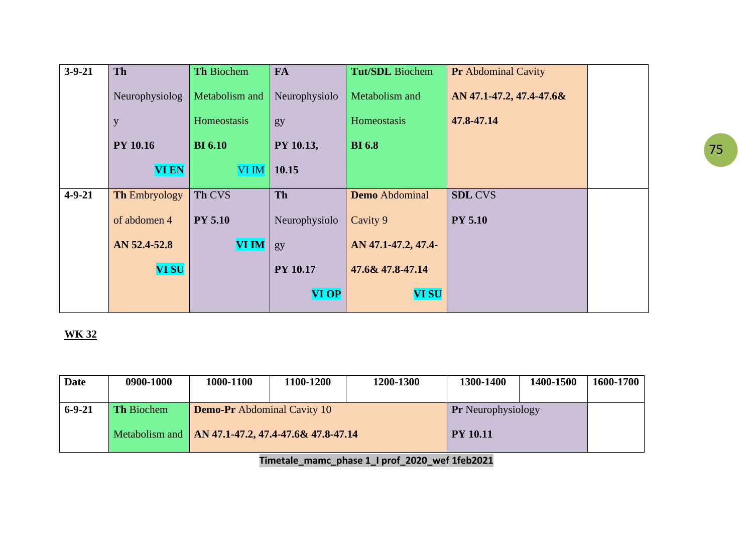| $3 - 9 - 21$ | <b>Th</b>            | Th Biochem     | <b>FA</b>       | Tut/SDL Biochem       | <b>Pr</b> Abdominal Cavity |  |
|--------------|----------------------|----------------|-----------------|-----------------------|----------------------------|--|
|              | Neurophysiolog       | Metabolism and | Neurophysiolo   | Metabolism and        | AN 47.1-47.2, 47.4-47.6&   |  |
|              | y                    | Homeostasis    | gy              | Homeostasis           | 47.8-47.14                 |  |
|              | <b>PY 10.16</b>      | <b>BI</b> 6.10 | PY 10.13,       | <b>BI</b> 6.8         |                            |  |
|              | <b>VI EN</b>         | <b>VI IM</b>   | 10.15           |                       |                            |  |
| $4 - 9 - 21$ | <b>Th Embryology</b> | Th CVS         | Th              | <b>Demo</b> Abdominal | <b>SDL CVS</b>             |  |
|              | of abdomen 4         | <b>PY 5.10</b> | Neurophysiolo   | Cavity 9              | <b>PY 5.10</b>             |  |
|              | AN 52.4-52.8         | <b>VI IM</b>   | gy              | AN 47.1-47.2, 47.4-   |                            |  |
|              | <b>VI SU</b>         |                | <b>PY 10.17</b> | 47.6& 47.8-47.14      |                            |  |
|              |                      |                | <b>VI OP</b>    | <b>VI SU</b>          |                            |  |

| <b>Date</b>  | 0900-1000         | 1000-1100                                            | 1100-1200 | 1200-1300 | 1300-1400                 | 1400-1500 | 1600-1700 |
|--------------|-------------------|------------------------------------------------------|-----------|-----------|---------------------------|-----------|-----------|
| $6 - 9 - 21$ | <b>Th Biochem</b> | <b>Demo-Pr</b> Abdominal Cavity 10                   |           |           | <b>Pr</b> Neurophysiology |           |           |
|              |                   | Metabolism and   AN 47.1-47.2, 47.4-47.6& 47.8-47.14 |           |           | <b>PY 10.11</b>           |           |           |
|              |                   |                                                      |           |           |                           |           |           |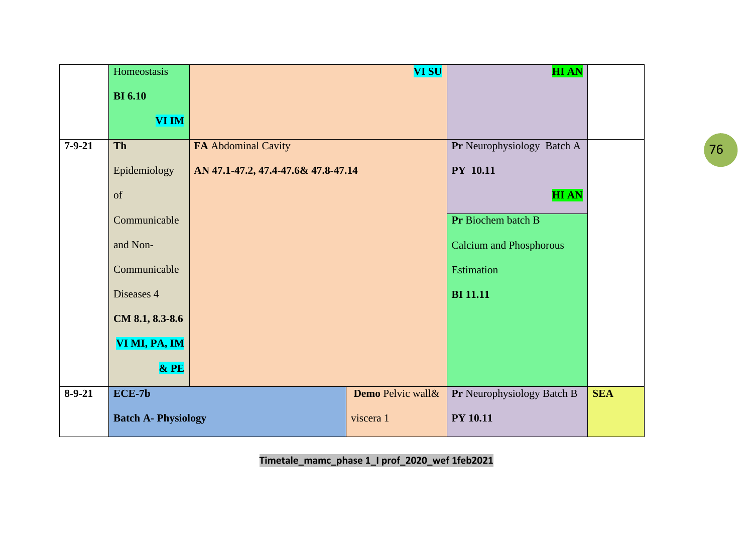|              | Homeostasis                |                                     | <b>VI SU</b>      | <b>HIAN</b>                    |            |
|--------------|----------------------------|-------------------------------------|-------------------|--------------------------------|------------|
|              | <b>BI</b> 6.10             |                                     |                   |                                |            |
|              | <b>VI IM</b>               |                                     |                   |                                |            |
|              |                            |                                     |                   |                                |            |
| $7 - 9 - 21$ | Th                         | FA Abdominal Cavity                 |                   | Pr Neurophysiology Batch A     |            |
|              | Epidemiology               | AN 47.1-47.2, 47.4-47.6& 47.8-47.14 |                   | <b>PY 10.11</b>                |            |
|              | of                         |                                     |                   | <b>HIAN</b>                    |            |
|              | Communicable               |                                     |                   | Pr Biochem batch B             |            |
|              | and Non-                   |                                     |                   | <b>Calcium and Phosphorous</b> |            |
|              | Communicable               |                                     |                   | Estimation                     |            |
|              | Diseases 4                 |                                     |                   | <b>BI</b> 11.11                |            |
|              | CM 8.1, 8.3-8.6            |                                     |                   |                                |            |
|              | VI MI, PA, IM              |                                     |                   |                                |            |
|              | $&$ PE                     |                                     |                   |                                |            |
| $8 - 9 - 21$ | $ECE-7b$                   |                                     | Demo Pelvic wall& | Pr Neurophysiology Batch B     | <b>SEA</b> |
|              | <b>Batch A- Physiology</b> |                                     | viscera 1         | <b>PY 10.11</b>                |            |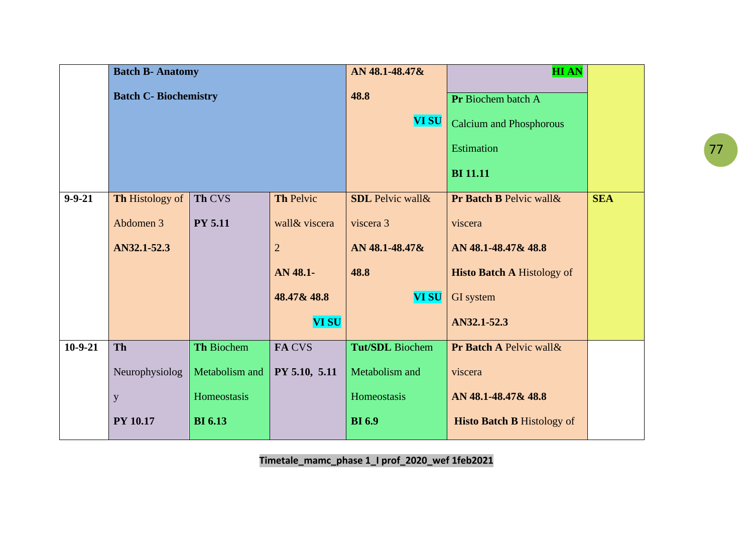|              | <b>Batch B- Anatomy</b>     |                   |                | AN 48.1-48.47&           | <b>HIAN</b>                       |            |
|--------------|-----------------------------|-------------------|----------------|--------------------------|-----------------------------------|------------|
|              | <b>Batch C-Biochemistry</b> |                   |                | 48.8                     | Pr Biochem batch A                |            |
|              |                             |                   |                | <b>VI SU</b>             | <b>Calcium and Phosphorous</b>    |            |
|              |                             |                   |                |                          | <b>Estimation</b>                 |            |
|              |                             |                   |                |                          | <b>BI</b> 11.11                   |            |
| $9 - 9 - 21$ | Th Histology of             | Th CVS            | Th Pelvic      | <b>SDL</b> Pelvic wall & | Pr Batch B Pelvic wall &          | <b>SEA</b> |
|              | Abdomen 3                   | <b>PY 5.11</b>    | wall & viscera | viscera 3                | viscera                           |            |
|              | AN32.1-52.3                 |                   | $\overline{2}$ | AN 48.1-48.47&           | AN 48.1-48.47& 48.8               |            |
|              |                             |                   | AN 48.1-       | 48.8                     | <b>Histo Batch A Histology of</b> |            |
|              |                             |                   | 48.47& 48.8    | <b>VI SU</b>             | GI system                         |            |
|              |                             |                   | <b>VI SU</b>   |                          | AN32.1-52.3                       |            |
| $10-9-21$    | <b>Th</b>                   | <b>Th Biochem</b> | <b>FACVS</b>   | <b>Tut/SDL</b> Biochem   | Pr Batch A Pelvic wall &          |            |
|              | Neurophysiolog              | Metabolism and    | PY 5.10, 5.11  | Metabolism and           | viscera                           |            |
|              | y                           | Homeostasis       |                | Homeostasis              | AN 48.1-48.47& 48.8               |            |
|              | <b>PY 10.17</b>             | <b>BI</b> 6.13    |                | <b>BI</b> 6.9            | <b>Histo Batch B Histology of</b> |            |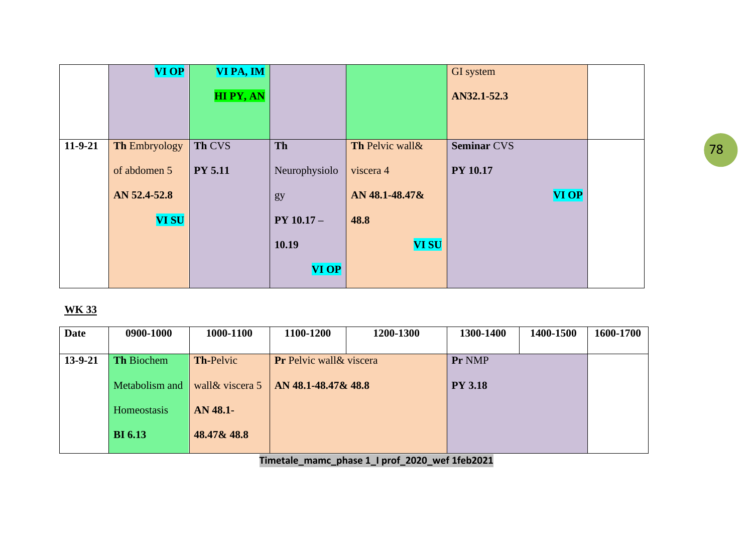|           | <b>VI OP</b>         | VI PA, IM       |               |                  | GI system          |  |
|-----------|----------------------|-----------------|---------------|------------------|--------------------|--|
|           |                      | <b>HIPY, AN</b> |               |                  | AN32.1-52.3        |  |
| $11-9-21$ | <b>Th Embryology</b> | Th CVS          | Th            | Th Pelvic wall & | <b>Seminar CVS</b> |  |
|           |                      |                 |               |                  |                    |  |
|           | of abdomen 5         | <b>PY 5.11</b>  | Neurophysiolo | viscera 4        | <b>PY 10.17</b>    |  |
|           | AN 52.4-52.8         |                 | gy            | AN 48.1-48.47&   | <b>VI OP</b>       |  |
|           | <b>VI SU</b>         |                 | $PY 10.17 -$  | 48.8             |                    |  |
|           |                      |                 | 10.19         | <b>VI SU</b>     |                    |  |
|           |                      |                 | <b>VI OP</b>  |                  |                    |  |

| <b>Date</b> | 0900-1000         | 1000-1100        | 1100-1200                       | 1200-1300 | 1300-1400      | 1400-1500 | 1600-1700 |
|-------------|-------------------|------------------|---------------------------------|-----------|----------------|-----------|-----------|
|             |                   |                  |                                 |           |                |           |           |
| 13-9-21     | <b>Th Biochem</b> | <b>Th-Pelvic</b> | <b>Pr</b> Pelvic wall & viscera |           | Pr NMP         |           |           |
|             |                   |                  |                                 |           |                |           |           |
|             | Metabolism and    | wall & viscera 5 | AN 48.1-48.47& 48.8             |           | <b>PY 3.18</b> |           |           |
|             |                   |                  |                                 |           |                |           |           |
|             | Homeostasis       | AN 48.1-         |                                 |           |                |           |           |
|             |                   |                  |                                 |           |                |           |           |
|             | <b>BI</b> 6.13    | 48.47& 48.8      |                                 |           |                |           |           |
|             |                   |                  |                                 |           |                |           |           |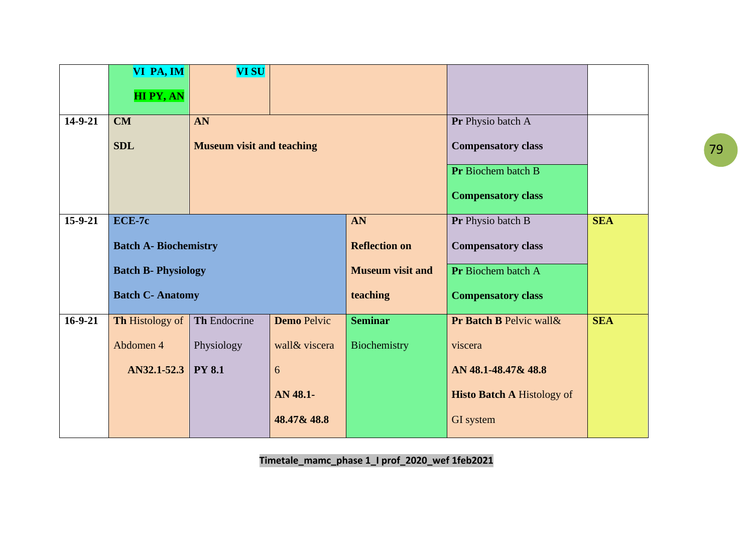|           | VI PA, IM                    | <b>VI SU</b>                     |                    |                         |                                   |            |
|-----------|------------------------------|----------------------------------|--------------------|-------------------------|-----------------------------------|------------|
|           | HI PY, AN                    |                                  |                    |                         |                                   |            |
|           |                              |                                  |                    |                         |                                   |            |
| 14-9-21   | <b>CM</b>                    | AN                               |                    |                         | Pr Physio batch A                 |            |
|           | <b>SDL</b>                   | <b>Museum visit and teaching</b> |                    |                         | <b>Compensatory class</b>         |            |
|           |                              |                                  |                    |                         | Pr Biochem batch B                |            |
|           |                              |                                  |                    |                         | <b>Compensatory class</b>         |            |
| $15-9-21$ | ECE-7c                       |                                  |                    | AN                      | Pr Physio batch B                 | <b>SEA</b> |
|           | <b>Batch A- Biochemistry</b> |                                  |                    | <b>Reflection on</b>    | <b>Compensatory class</b>         |            |
|           | <b>Batch B- Physiology</b>   |                                  |                    | <b>Museum visit and</b> | Pr Biochem batch A                |            |
|           | <b>Batch C- Anatomy</b>      |                                  |                    | teaching                | <b>Compensatory class</b>         |            |
| $16-9-21$ | Th Histology of              | Th Endocrine                     | <b>Demo</b> Pelvic | <b>Seminar</b>          | Pr Batch B Pelvic wall &          | <b>SEA</b> |
|           | Abdomen 4                    | Physiology                       | wall & viscera     | Biochemistry            | viscera                           |            |
|           | AN32.1-52.3                  | <b>PY 8.1</b>                    | 6                  |                         | AN 48.1-48.47& 48.8               |            |
|           |                              |                                  | AN 48.1-           |                         | <b>Histo Batch A Histology of</b> |            |
|           |                              |                                  | 48.47& 48.8        |                         | GI system                         |            |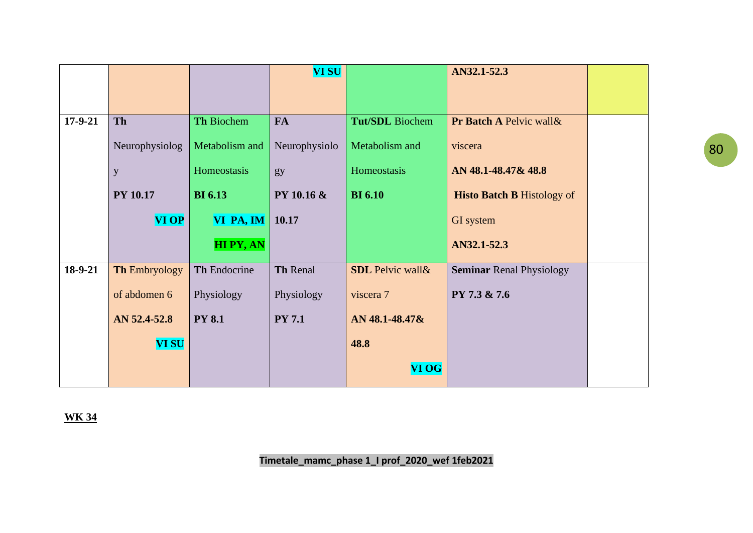|           |                 |                 | <b>VI SU</b>  |                          | AN32.1-52.3                       |  |
|-----------|-----------------|-----------------|---------------|--------------------------|-----------------------------------|--|
|           |                 |                 |               |                          |                                   |  |
|           |                 |                 |               |                          |                                   |  |
| $17-9-21$ | Th              | Th Biochem      | <b>FA</b>     | <b>Tut/SDL</b> Biochem   | Pr Batch A Pelvic wall &          |  |
|           | Neurophysiolog  | Metabolism and  | Neurophysiolo | Metabolism and           | viscera                           |  |
|           | $\mathbf y$     | Homeostasis     | gy            | Homeostasis              | AN 48.1-48.47& 48.8               |  |
|           | <b>PY 10.17</b> | <b>BI</b> 6.13  | PY 10.16 &    | <b>BI</b> 6.10           | <b>Histo Batch B Histology of</b> |  |
|           | <b>VI OP</b>    | VI PA, IM       | $\vert$ 10.17 |                          | GI system                         |  |
|           |                 | <b>HIPY, AN</b> |               |                          | AN32.1-52.3                       |  |
| 18-9-21   | Th Embryology   | Th Endocrine    | Th Renal      | <b>SDL</b> Pelvic wall & | <b>Seminar Renal Physiology</b>   |  |
|           | of abdomen 6    | Physiology      | Physiology    | viscera 7                | PY 7.3 & 7.6                      |  |
|           | AN 52.4-52.8    | <b>PY 8.1</b>   | <b>PY 7.1</b> | AN 48.1-48.47&           |                                   |  |
|           | <b>VI SU</b>    |                 |               | 48.8                     |                                   |  |
|           |                 |                 |               | <b>VI OG</b>             |                                   |  |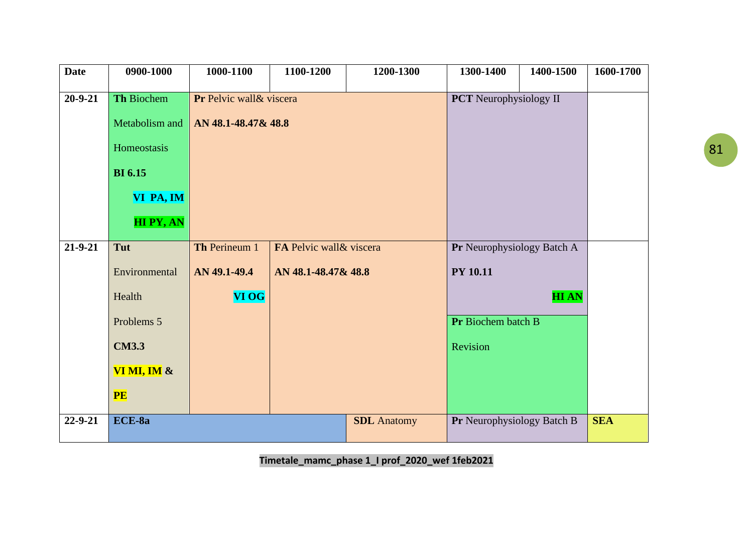| <b>Date</b>   | 0900-1000       | 1000-1100                | 1100-1200                | 1200-1300          | 1300-1400                     | 1400-1500   | 1600-1700  |
|---------------|-----------------|--------------------------|--------------------------|--------------------|-------------------------------|-------------|------------|
|               |                 |                          |                          |                    |                               |             |            |
| $20 - 9 - 21$ | Th Biochem      | Pr Pelvic wall & viscera |                          |                    | <b>PCT</b> Neurophysiology II |             |            |
|               | Metabolism and  | AN 48.1-48.47& 48.8      |                          |                    |                               |             |            |
|               | Homeostasis     |                          |                          |                    |                               |             |            |
|               | <b>BI</b> 6.15  |                          |                          |                    |                               |             |            |
|               | VI PA, IM       |                          |                          |                    |                               |             |            |
|               | <b>HIPY, AN</b> |                          |                          |                    |                               |             |            |
| $21 - 9 - 21$ | Tut             | Th Perineum 1            | FA Pelvic wall & viscera |                    | Pr Neurophysiology Batch A    |             |            |
|               | Environmental   | AN 49.1-49.4             | AN 48.1-48.47& 48.8      |                    | <b>PY 10.11</b>               |             |            |
|               | Health          | <b>VI OG</b>             |                          |                    |                               | <b>HIAN</b> |            |
|               | Problems 5      |                          |                          |                    | Pr Biochem batch B            |             |            |
|               | <b>CM3.3</b>    |                          |                          |                    | Revision                      |             |            |
|               | VI MI, IM $\&$  |                          |                          |                    |                               |             |            |
|               | PE              |                          |                          |                    |                               |             |            |
| 22-9-21       | ECE-8a          |                          |                          | <b>SDL</b> Anatomy | Pr Neurophysiology Batch B    |             | <b>SEA</b> |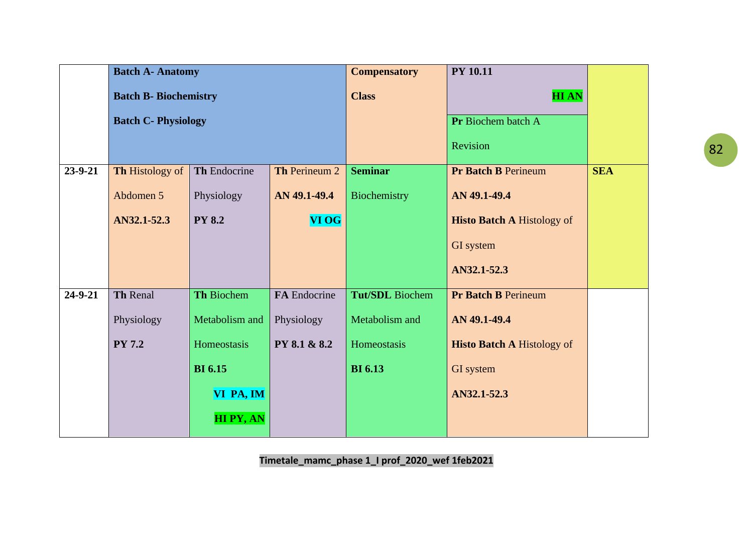|               | <b>Batch A- Anatomy</b>      |                   |               | <b>Compensatory</b>    | <b>PY 10.11</b>                   |            |
|---------------|------------------------------|-------------------|---------------|------------------------|-----------------------------------|------------|
|               | <b>Batch B- Biochemistry</b> |                   |               | <b>Class</b>           | <b>HIAN</b>                       |            |
|               | <b>Batch C- Physiology</b>   |                   |               |                        | Pr Biochem batch A                |            |
|               |                              |                   |               |                        | Revision                          |            |
| $23 - 9 - 21$ | Th Histology of              | Th Endocrine      | Th Perineum 2 | <b>Seminar</b>         | <b>Pr Batch B Perineum</b>        | <b>SEA</b> |
|               | Abdomen 5                    | Physiology        | AN 49.1-49.4  | Biochemistry           | AN 49.1-49.4                      |            |
|               | AN32.1-52.3                  | <b>PY 8.2</b>     | <b>VI OG</b>  |                        | <b>Histo Batch A Histology of</b> |            |
|               |                              |                   |               |                        | GI system                         |            |
|               |                              |                   |               |                        | AN32.1-52.3                       |            |
| $24 - 9 - 21$ | <b>Th Renal</b>              | <b>Th Biochem</b> | FA Endocrine  | <b>Tut/SDL</b> Biochem | <b>Pr Batch B Perineum</b>        |            |
|               | Physiology                   | Metabolism and    | Physiology    | Metabolism and         | AN 49.1-49.4                      |            |
|               | <b>PY 7.2</b>                | Homeostasis       | PY 8.1 & 8.2  | Homeostasis            | <b>Histo Batch A Histology of</b> |            |
|               |                              | <b>BI</b> 6.15    |               | <b>BI</b> 6.13         | GI system                         |            |
|               |                              | VI PA, IM         |               |                        | AN32.1-52.3                       |            |
|               |                              | <b>HIPY, AN</b>   |               |                        |                                   |            |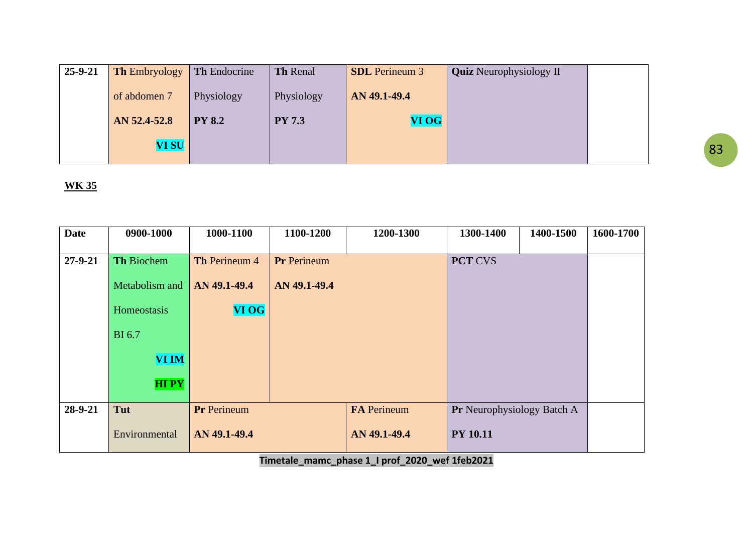| $25 - 9 - 21$ | <b>Th Embryology</b> | <b>Th</b> Endocrine | <b>Th Renal</b> | <b>SDL</b> Perineum 3 | <b>Quiz</b> Neurophysiology II |  |
|---------------|----------------------|---------------------|-----------------|-----------------------|--------------------------------|--|
|               | of abdomen 7         | Physiology          | Physiology      | AN 49.1-49.4          |                                |  |
|               | AN 52.4-52.8         | <b>PY 8.2</b>       | <b>PY 7.3</b>   | VI OG                 |                                |  |
|               | <b>VI SU</b>         |                     |                 |                       |                                |  |

| <b>Date</b>   | 0900-1000         | 1000-1100     | 1100-1200          | 1200-1300          | 1300-1400                         | 1400-1500 | 1600-1700 |
|---------------|-------------------|---------------|--------------------|--------------------|-----------------------------------|-----------|-----------|
|               |                   |               |                    |                    |                                   |           |           |
| $27 - 9 - 21$ | <b>Th Biochem</b> | Th Perineum 4 | <b>Pr</b> Perineum |                    | <b>PCT CVS</b>                    |           |           |
|               | Metabolism and    | AN 49.1-49.4  | AN 49.1-49.4       |                    |                                   |           |           |
|               | Homeostasis       | <b>VI OG</b>  |                    |                    |                                   |           |           |
|               | <b>BI</b> 6.7     |               |                    |                    |                                   |           |           |
|               | <b>VI IM</b>      |               |                    |                    |                                   |           |           |
|               | <b>HIPY</b>       |               |                    |                    |                                   |           |           |
| 28-9-21       | Tut               | Pr Perineum   |                    | <b>FA</b> Perineum | <b>Pr</b> Neurophysiology Batch A |           |           |
|               | Environmental     | AN 49.1-49.4  |                    | AN 49.1-49.4       | <b>PY 10.11</b>                   |           |           |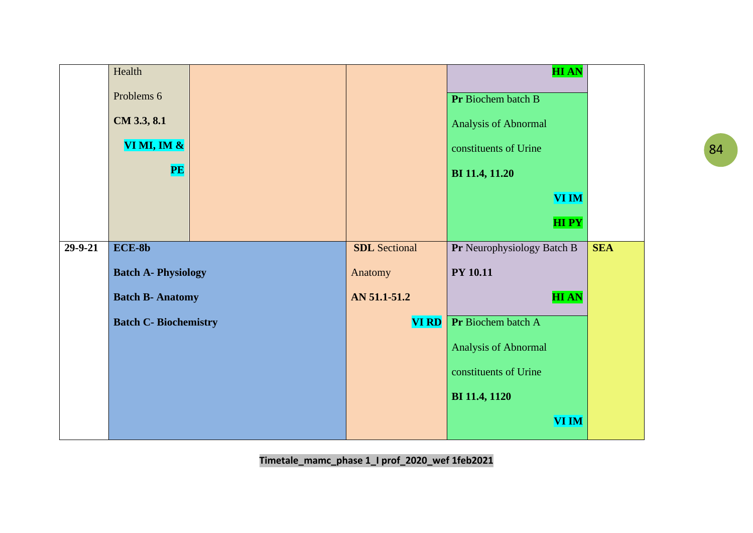|         | Health                      |  |                      | <b>HIAN</b>                |            |
|---------|-----------------------------|--|----------------------|----------------------------|------------|
|         | Problems 6                  |  |                      | Pr Biochem batch B         |            |
|         | CM 3.3, 8.1                 |  |                      | Analysis of Abnormal       |            |
|         | VI MI, IM &                 |  |                      | constituents of Urine      |            |
|         | <b>PE</b>                   |  |                      | BI 11.4, 11.20             |            |
|         |                             |  |                      | <b>VI IM</b>               |            |
|         |                             |  |                      | <b>HIPY</b>                |            |
| 29-9-21 | $ECE-8b$                    |  | <b>SDL</b> Sectional | Pr Neurophysiology Batch B | <b>SEA</b> |
|         | <b>Batch A- Physiology</b>  |  | Anatomy              | <b>PY 10.11</b>            |            |
|         | <b>Batch B- Anatomy</b>     |  | AN 51.1-51.2         | <b>HIAN</b>                |            |
|         | <b>Batch C-Biochemistry</b> |  | <b>VI RD</b>         | Pr Biochem batch A         |            |
|         |                             |  |                      | Analysis of Abnormal       |            |
|         |                             |  |                      | constituents of Urine      |            |
|         |                             |  |                      | <b>BI</b> 11.4, 1120       |            |
|         |                             |  |                      | <b>VI IM</b>               |            |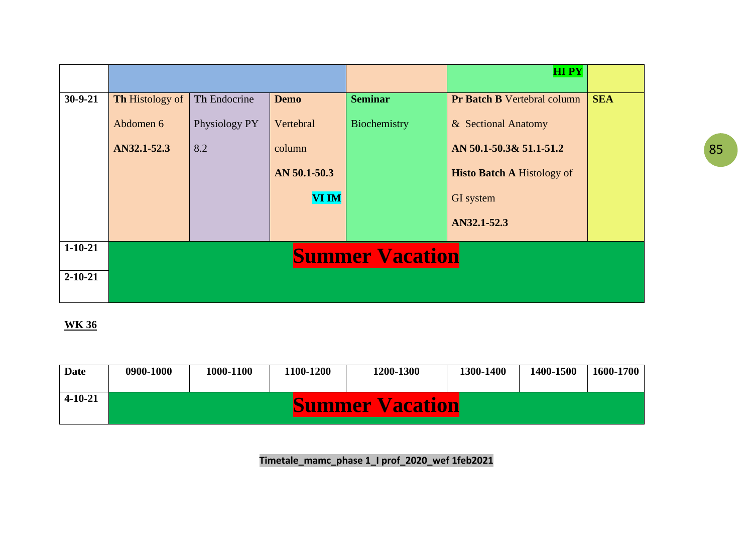|               |                        |                        |              |                | <b>HIPY</b>                        |            |  |  |  |  |
|---------------|------------------------|------------------------|--------------|----------------|------------------------------------|------------|--|--|--|--|
| $30 - 9 - 21$ | <b>Th Histology of</b> | Th Endocrine           | <b>Demo</b>  | <b>Seminar</b> | <b>Pr Batch B Vertebral column</b> | <b>SEA</b> |  |  |  |  |
|               | Abdomen 6              | Physiology PY          | Vertebral    | Biochemistry   | & Sectional Anatomy                |            |  |  |  |  |
|               | AN32.1-52.3            | 8.2                    | column       |                | AN 50.1-50.3& 51.1-51.2            |            |  |  |  |  |
|               |                        |                        | AN 50.1-50.3 |                | <b>Histo Batch A Histology of</b>  |            |  |  |  |  |
|               |                        |                        | <b>VI IM</b> |                | GI system                          |            |  |  |  |  |
|               |                        |                        |              |                | AN32.1-52.3                        |            |  |  |  |  |
| $1 - 10 - 21$ |                        | <b>Summer Vacation</b> |              |                |                                    |            |  |  |  |  |
| $2 - 10 - 21$ |                        |                        |              |                |                                    |            |  |  |  |  |
|               |                        |                        |              |                |                                    |            |  |  |  |  |

| <b>Date</b>   | 0900-1000 | 1000-1100 | 100-1200 | 1200-1300              | 1300-1400 | 1400-1500 | 1600-1700 |
|---------------|-----------|-----------|----------|------------------------|-----------|-----------|-----------|
| $4 - 10 - 21$ |           |           |          | <b>Summer Vacation</b> |           |           |           |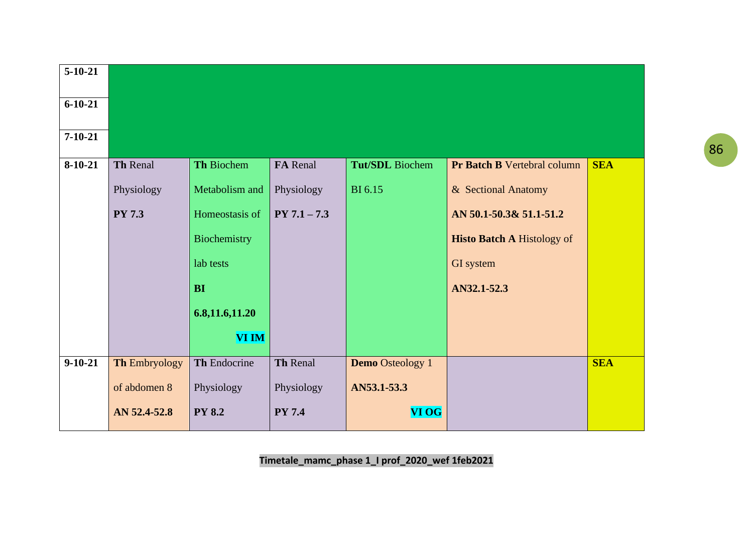| $5 - 10 - 21$ |                 |                   |                 |                         |                                    |            |
|---------------|-----------------|-------------------|-----------------|-------------------------|------------------------------------|------------|
| $6 - 10 - 21$ |                 |                   |                 |                         |                                    |            |
| $7 - 10 - 21$ |                 |                   |                 |                         |                                    |            |
| $8-10-21$     | <b>Th Renal</b> | <b>Th Biochem</b> | <b>FA</b> Renal | <b>Tut/SDL</b> Biochem  | <b>Pr Batch B Vertebral column</b> | <b>SEA</b> |
|               | Physiology      | Metabolism and    | Physiology      | <b>BI</b> 6.15          | & Sectional Anatomy                |            |
|               | <b>PY 7.3</b>   | Homeostasis of    | $PY 7.1 - 7.3$  |                         | AN 50.1-50.3& 51.1-51.2            |            |
|               |                 | Biochemistry      |                 |                         | <b>Histo Batch A Histology of</b>  |            |
|               |                 | lab tests         |                 |                         | GI system                          |            |
|               |                 | <b>BI</b>         |                 |                         | AN32.1-52.3                        |            |
|               |                 | 6.8, 11.6, 11.20  |                 |                         |                                    |            |
|               |                 | <b>VI IM</b>      |                 |                         |                                    |            |
| $9 - 10 - 21$ | Th Embryology   | Th Endocrine      | <b>Th Renal</b> | <b>Demo</b> Osteology 1 |                                    | <b>SEA</b> |
|               | of abdomen 8    | Physiology        | Physiology      | AN53.1-53.3             |                                    |            |
|               | AN 52.4-52.8    | <b>PY 8.2</b>     | <b>PY 7.4</b>   | VI OG                   |                                    |            |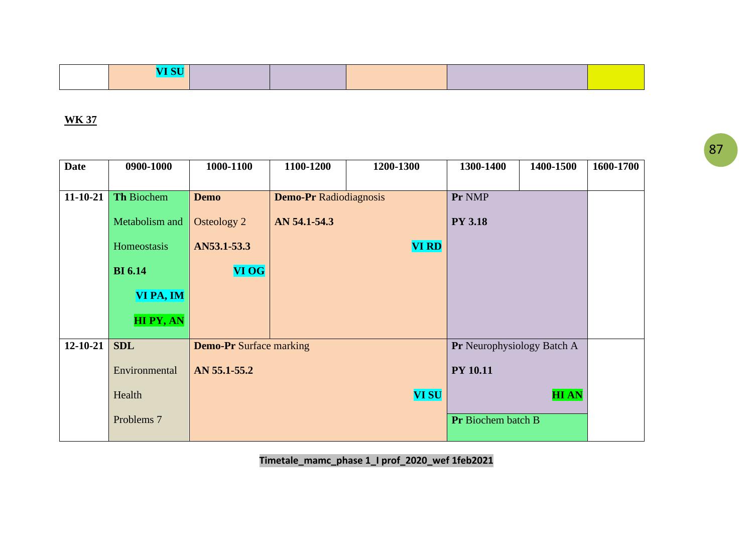| المستحر المسا |  |  |  |
|---------------|--|--|--|
|               |  |  |  |

| <b>Date</b>    | 0900-1000             | 1000-1100                      | 1100-1200                     | 1200-1300    | 1300-1400                         | 1400-1500   | 1600-1700 |
|----------------|-----------------------|--------------------------------|-------------------------------|--------------|-----------------------------------|-------------|-----------|
|                |                       |                                |                               |              |                                   |             |           |
| $11 - 10 - 21$ | <b>Th Biochem</b>     | <b>Demo</b>                    | <b>Demo-Pr Radiodiagnosis</b> |              | Pr NMP                            |             |           |
|                | Metabolism and        | <b>Osteology 2</b>             | AN 54.1-54.3                  |              | <b>PY 3.18</b>                    |             |           |
|                | Homeostasis           | AN53.1-53.3                    |                               | <b>VI RD</b> |                                   |             |           |
|                | <b>BI</b> 6.14        | <b>VI OG</b>                   |                               |              |                                   |             |           |
|                | VI PA, IM             |                                |                               |              |                                   |             |           |
|                | <b>HIPY, AN</b>       |                                |                               |              |                                   |             |           |
| $12 - 10 - 21$ | <b>SDL</b>            | <b>Demo-Pr</b> Surface marking |                               |              | <b>Pr</b> Neurophysiology Batch A |             |           |
|                | Environmental         | AN 55.1-55.2                   |                               |              | <b>PY 10.11</b>                   |             |           |
|                | Health                |                                |                               | <b>VI SU</b> |                                   | <b>HIAN</b> |           |
|                | Problems <sub>7</sub> |                                |                               |              | <b>Pr</b> Biochem batch B         |             |           |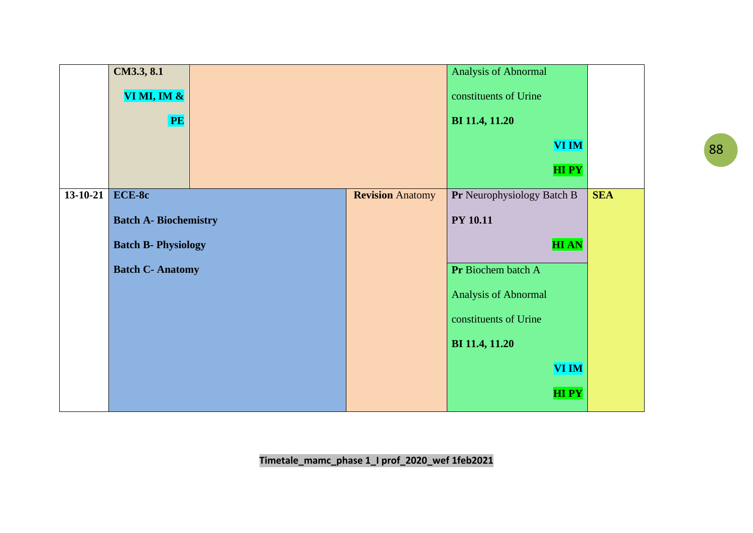|          | CM3.3, 8.1                   |  |                         | Analysis of Abnormal       |            |
|----------|------------------------------|--|-------------------------|----------------------------|------------|
|          | VI MI, IM $\&$               |  | constituents of Urine   |                            |            |
|          | PE                           |  |                         | BI 11.4, 11.20             |            |
|          |                              |  |                         | <b>VI IM</b>               |            |
|          |                              |  |                         | <b>HIPY</b>                |            |
| 13-10-21 | ECE-8c                       |  | <b>Revision Anatomy</b> | Pr Neurophysiology Batch B | <b>SEA</b> |
|          | <b>Batch A- Biochemistry</b> |  |                         | <b>PY 10.11</b>            |            |
|          | <b>Batch B- Physiology</b>   |  |                         | <b>HIAN</b>                |            |
|          | <b>Batch C- Anatomy</b>      |  |                         | Pr Biochem batch A         |            |
|          |                              |  |                         | Analysis of Abnormal       |            |
|          |                              |  |                         | constituents of Urine      |            |
|          |                              |  |                         | BI 11.4, 11.20             |            |
|          |                              |  |                         | VI IM                      |            |
|          |                              |  |                         | <b>HIPY</b>                |            |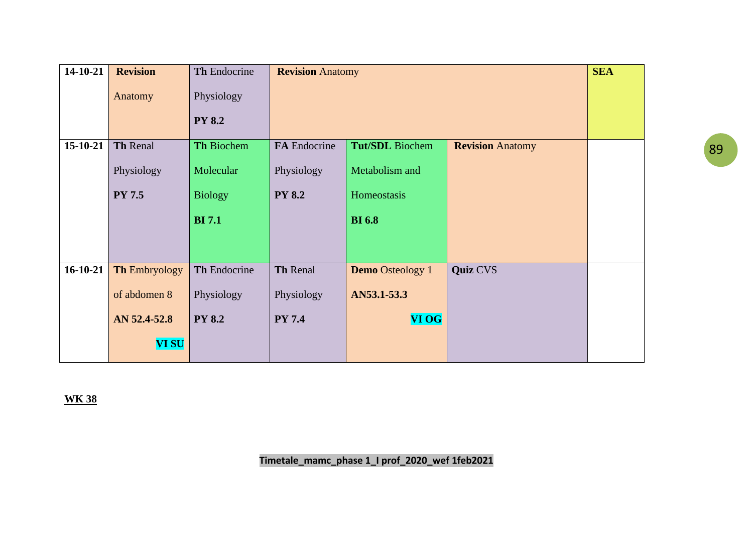| $14 - 10 - 21$ | <b>Revision</b>      | Th Endocrine   | <b>Revision Anatomy</b> |                         |                         | <b>SEA</b> |
|----------------|----------------------|----------------|-------------------------|-------------------------|-------------------------|------------|
|                | Anatomy              | Physiology     |                         |                         |                         |            |
|                |                      | <b>PY 8.2</b>  |                         |                         |                         |            |
| 15-10-21       | Th Renal             | Th Biochem     | FA Endocrine            | Tut/SDL Biochem         | <b>Revision Anatomy</b> |            |
|                | Physiology           | Molecular      | Physiology              | Metabolism and          |                         |            |
|                | <b>PY 7.5</b>        | <b>Biology</b> | <b>PY 8.2</b>           | Homeostasis             |                         |            |
|                |                      | <b>BI</b> 7.1  |                         | <b>BI</b> 6.8           |                         |            |
|                |                      |                |                         |                         |                         |            |
| $16 - 10 - 21$ | <b>Th Embryology</b> | Th Endocrine   | Th Renal                | <b>Demo</b> Osteology 1 | <b>Quiz CVS</b>         |            |
|                | of abdomen 8         | Physiology     | Physiology              | AN53.1-53.3             |                         |            |
|                | AN 52.4-52.8         | <b>PY 8.2</b>  | <b>PY 7.4</b>           | <b>VI OG</b>            |                         |            |
|                | <b>VI SU</b>         |                |                         |                         |                         |            |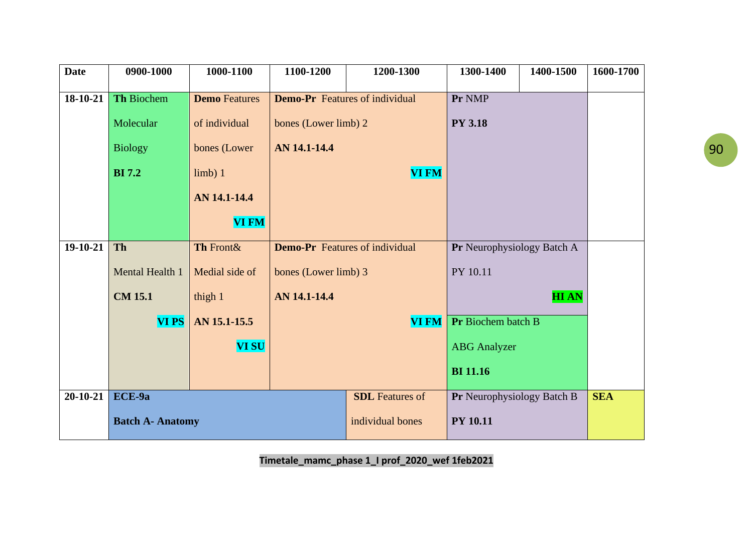| <b>Date</b>    | 0900-1000               | 1000-1100            | 1100-1200                             | 1200-1300              | 1300-1400                  | 1400-1500   | 1600-1700  |
|----------------|-------------------------|----------------------|---------------------------------------|------------------------|----------------------------|-------------|------------|
| 18-10-21       | Th Biochem              | <b>Demo</b> Features | <b>Demo-Pr</b> Features of individual |                        | Pr NMP                     |             |            |
|                |                         |                      |                                       |                        |                            |             |            |
|                | Molecular               | of individual        | bones (Lower limb) 2                  |                        | <b>PY 3.18</b>             |             |            |
|                | <b>Biology</b>          | bones (Lower         | AN 14.1-14.4                          |                        |                            |             |            |
|                | <b>BI</b> 7.2           | limb) 1              |                                       | <b>VI FM</b>           |                            |             |            |
|                |                         | AN 14.1-14.4         |                                       |                        |                            |             |            |
|                |                         | <b>VI FM</b>         |                                       |                        |                            |             |            |
| 19-10-21       | <b>Th</b>               | Th Front&            | <b>Demo-Pr</b> Features of individual |                        | Pr Neurophysiology Batch A |             |            |
|                | Mental Health 1         | Medial side of       | bones (Lower limb) 3                  |                        | PY 10.11                   |             |            |
|                | <b>CM 15.1</b>          | thigh 1              | AN 14.1-14.4                          |                        |                            | <b>HIAN</b> |            |
|                | <b>VIPS</b>             | AN 15.1-15.5         |                                       | <b>VI FM</b>           | Pr Biochem batch B         |             |            |
|                |                         | <b>VI SU</b>         |                                       |                        | <b>ABG</b> Analyzer        |             |            |
|                |                         |                      |                                       |                        | <b>BI</b> 11.16            |             |            |
| $20 - 10 - 21$ | ECE-9a                  |                      |                                       | <b>SDL</b> Features of | Pr Neurophysiology Batch B |             | <b>SEA</b> |
|                | <b>Batch A- Anatomy</b> |                      |                                       | individual bones       | <b>PY 10.11</b>            |             |            |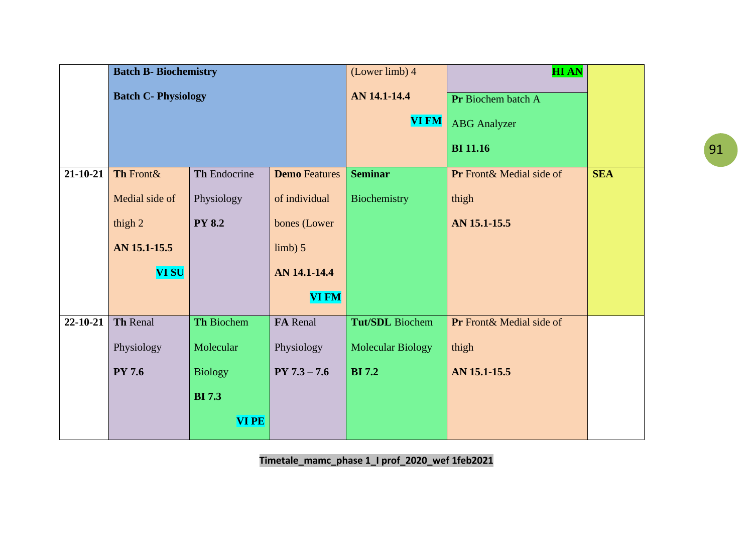|                | <b>Batch B- Biochemistry</b> |                |                      | (Lower limb) 4           | <b>HIAN</b>              |            |
|----------------|------------------------------|----------------|----------------------|--------------------------|--------------------------|------------|
|                | <b>Batch C- Physiology</b>   |                |                      | AN 14.1-14.4             | Pr Biochem batch A       |            |
|                |                              |                |                      | <b>VI FM</b>             | <b>ABG</b> Analyzer      |            |
|                |                              |                |                      |                          | <b>BI</b> 11.16          |            |
| $21 - 10 - 21$ | Th Front&                    | Th Endocrine   | <b>Demo</b> Features | <b>Seminar</b>           | Pr Front& Medial side of | <b>SEA</b> |
|                | Medial side of               | Physiology     | of individual        | Biochemistry             | thigh                    |            |
|                | thigh $2$                    | <b>PY 8.2</b>  | bones (Lower         |                          | AN 15.1-15.5             |            |
|                | AN 15.1-15.5                 |                | limb) 5              |                          |                          |            |
|                | <b>VI SU</b>                 |                | AN 14.1-14.4         |                          |                          |            |
|                |                              |                | <b>VI FM</b>         |                          |                          |            |
| 22-10-21       | Th Renal                     | Th Biochem     | FA Renal             | Tut/SDL Biochem          | Pr Front& Medial side of |            |
|                | Physiology                   | Molecular      | Physiology           | <b>Molecular Biology</b> | thigh                    |            |
|                | <b>PY 7.6</b>                | <b>Biology</b> | $PY 7.3 - 7.6$       | <b>BI</b> 7.2            | AN 15.1-15.5             |            |
|                |                              | <b>BI</b> 7.3  |                      |                          |                          |            |
|                |                              | <b>VIPE</b>    |                      |                          |                          |            |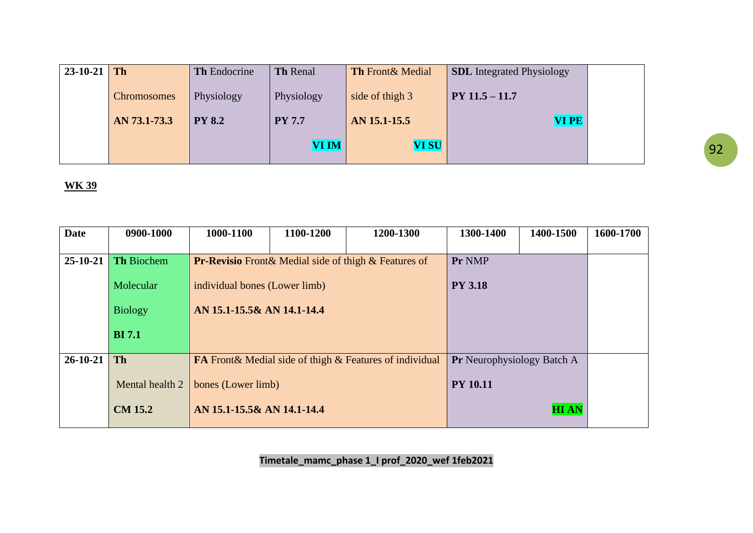| $23-10-21$ Th |                    | <b>Th</b> Endocrine | <b>Th Renal</b> | <b>Th Front &amp; Medial</b> | <b>SDL</b> Integrated Physiology |  |
|---------------|--------------------|---------------------|-----------------|------------------------------|----------------------------------|--|
|               | <b>Chromosomes</b> | Physiology          | Physiology      | side of thigh 3              | $PY 11.5 - 11.7$                 |  |
|               | AN 73.1-73.3       | <b>PY 8.2</b>       | <b>PY 7.7</b>   | AN 15.1-15.5                 | <b>VIPE</b>                      |  |
|               |                    |                     | <b>VI IM</b>    | <b>VI SU</b>                 |                                  |  |

| Date       | 0900-1000       | 1000-1100                     | 1100-1200 | 1200-1300                                                      | 1300-1400                         | 1400-1500   | 1600-1700 |
|------------|-----------------|-------------------------------|-----------|----------------------------------------------------------------|-----------------------------------|-------------|-----------|
|            |                 |                               |           |                                                                |                                   |             |           |
| $25-10-21$ | Th Biochem      |                               |           | <b>Pr-Revisio</b> Front & Medial side of thigh & Features of   | Pr NMP                            |             |           |
|            | Molecular       | individual bones (Lower limb) |           |                                                                | <b>PY 3.18</b>                    |             |           |
|            | <b>Biology</b>  | AN 15.1-15.5& AN 14.1-14.4    |           |                                                                |                                   |             |           |
|            | <b>BI</b> 7.1   |                               |           |                                                                |                                   |             |           |
| $26-10-21$ | <b>Th</b>       |                               |           | <b>FA</b> Front& Medial side of thigh & Features of individual | <b>Pr</b> Neurophysiology Batch A |             |           |
|            | Mental health 2 | bones (Lower limb)            |           |                                                                | <b>PY 10.11</b>                   |             |           |
|            | <b>CM 15.2</b>  | AN 15.1-15.5& AN 14.1-14.4    |           |                                                                |                                   | <b>HIAN</b> |           |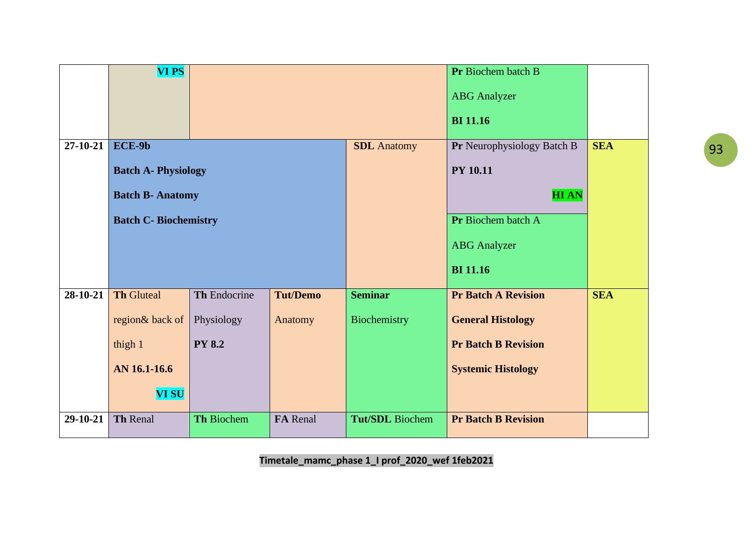|          | <b>VIPS</b>                  |                   |                 |                        | Pr Biochem batch B         |            |
|----------|------------------------------|-------------------|-----------------|------------------------|----------------------------|------------|
|          |                              |                   |                 |                        | <b>ABG</b> Analyzer        |            |
|          |                              |                   |                 |                        | <b>BI</b> 11.16            |            |
| 27-10-21 | ECE-9b                       |                   |                 | <b>SDL</b> Anatomy     | Pr Neurophysiology Batch B | <b>SEA</b> |
|          | <b>Batch A- Physiology</b>   |                   |                 |                        | <b>PY 10.11</b>            |            |
|          | <b>Batch B- Anatomy</b>      |                   |                 |                        | <b>HIAN</b>                |            |
|          | <b>Batch C- Biochemistry</b> |                   |                 |                        | Pr Biochem batch A         |            |
|          |                              |                   |                 |                        | <b>ABG</b> Analyzer        |            |
|          |                              |                   |                 |                        | <b>BI</b> 11.16            |            |
| 28-10-21 | <b>Th Gluteal</b>            | Th Endocrine      | <b>Tut/Demo</b> | <b>Seminar</b>         | <b>Pr Batch A Revision</b> | <b>SEA</b> |
|          | region& back of              | Physiology        | Anatomy         | Biochemistry           | <b>General Histology</b>   |            |
|          | thigh 1                      | <b>PY 8.2</b>     |                 |                        | <b>Pr Batch B Revision</b> |            |
|          | AN 16.1-16.6                 |                   |                 |                        | <b>Systemic Histology</b>  |            |
|          | <b>VI SU</b>                 |                   |                 |                        |                            |            |
| 29-10-21 | Th Renal                     | <b>Th Biochem</b> | FA Renal        | <b>Tut/SDL</b> Biochem | <b>Pr Batch B Revision</b> |            |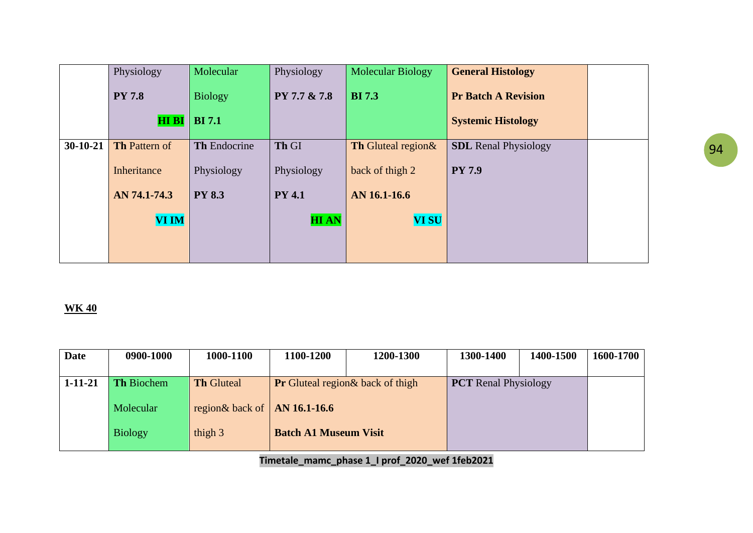|            | Physiology           | Molecular                       | Physiology    | <b>Molecular Biology</b> | <b>General Histology</b>    |  |
|------------|----------------------|---------------------------------|---------------|--------------------------|-----------------------------|--|
|            | <b>PY 7.8</b>        | <b>Biology</b><br><b>BI</b> 7.1 | PY 7.7 & 7.8  | <b>BI</b> 7.3            | <b>Pr Batch A Revision</b>  |  |
|            | <b>HI BI</b>         |                                 |               |                          | <b>Systemic Histology</b>   |  |
| $30-10-21$ | <b>Th Pattern of</b> | Th Endocrine                    | Th GI         | Th Gluteal region &      | <b>SDL</b> Renal Physiology |  |
|            | Inheritance          | Physiology                      | Physiology    | back of thigh 2          | <b>PY 7.9</b>               |  |
|            | AN 74.1-74.3         | <b>PY 8.3</b>                   | <b>PY 4.1</b> | AN 16.1-16.6             |                             |  |
|            | <b>VI IM</b>         |                                 | <b>HIAN</b>   | <b>VI SU</b>             |                             |  |
|            |                      |                                 |               |                          |                             |  |

| <b>Date</b>   | 0900-1000         | 1000-1100                            | 1100-1200                                | 1200-1300 | 1300-1400                   | 1400-1500 | 1600-1700 |
|---------------|-------------------|--------------------------------------|------------------------------------------|-----------|-----------------------------|-----------|-----------|
| $1 - 11 - 21$ | <b>Th Biochem</b> | <b>Th Gluteal</b>                    | <b>Pr</b> Gluteal region & back of thigh |           | <b>PCT</b> Renal Physiology |           |           |
|               | Molecular         | region& back of $\vert$ AN 16.1-16.6 |                                          |           |                             |           |           |
|               | <b>Biology</b>    | thigh 3                              | <b>Batch A1 Museum Visit</b>             |           |                             |           |           |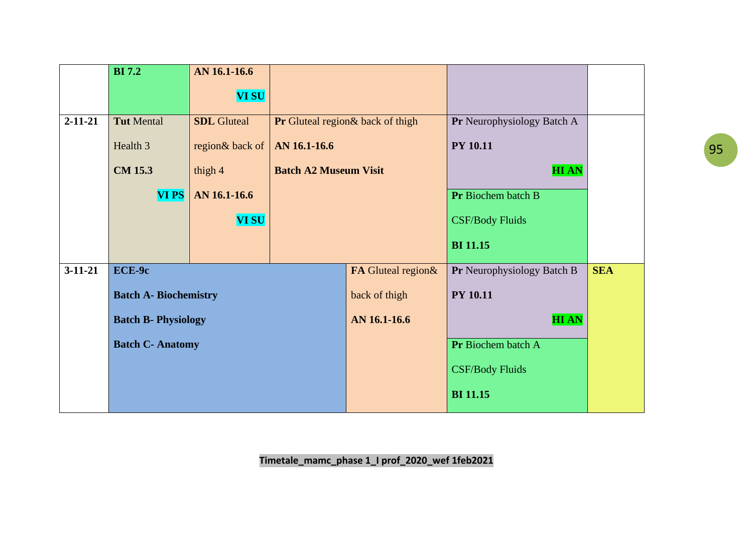|               | <b>BI</b> 7.2                | AN 16.1-16.6       |                                  |                    |                                   |            |
|---------------|------------------------------|--------------------|----------------------------------|--------------------|-----------------------------------|------------|
|               |                              | <b>VI SU</b>       |                                  |                    |                                   |            |
| $2 - 11 - 21$ | <b>Tut Mental</b>            | <b>SDL</b> Gluteal | Pr Gluteal region& back of thigh |                    | <b>Pr</b> Neurophysiology Batch A |            |
|               | Health 3                     | region& back of    | AN 16.1-16.6                     |                    | <b>PY 10.11</b>                   |            |
|               | <b>CM 15.3</b>               | thigh 4            | <b>Batch A2 Museum Visit</b>     |                    | <b>HIAN</b>                       |            |
|               | <b>VIPS</b>                  | AN 16.1-16.6       |                                  |                    | Pr Biochem batch B                |            |
|               |                              | <b>VI SU</b>       |                                  |                    | <b>CSF/Body Fluids</b>            |            |
|               |                              |                    |                                  |                    | <b>BI</b> 11.15                   |            |
| $3-11-21$     | ECE-9c                       |                    |                                  | FA Gluteal region& | Pr Neurophysiology Batch B        | <b>SEA</b> |
|               | <b>Batch A- Biochemistry</b> |                    |                                  | back of thigh      | <b>PY 10.11</b>                   |            |
|               | <b>Batch B- Physiology</b>   |                    |                                  | AN 16.1-16.6       | <b>HIAN</b>                       |            |
|               | <b>Batch C- Anatomy</b>      |                    |                                  | Pr Biochem batch A |                                   |            |
|               |                              |                    |                                  |                    | <b>CSF/Body Fluids</b>            |            |
|               |                              |                    |                                  |                    | <b>BI</b> 11.15                   |            |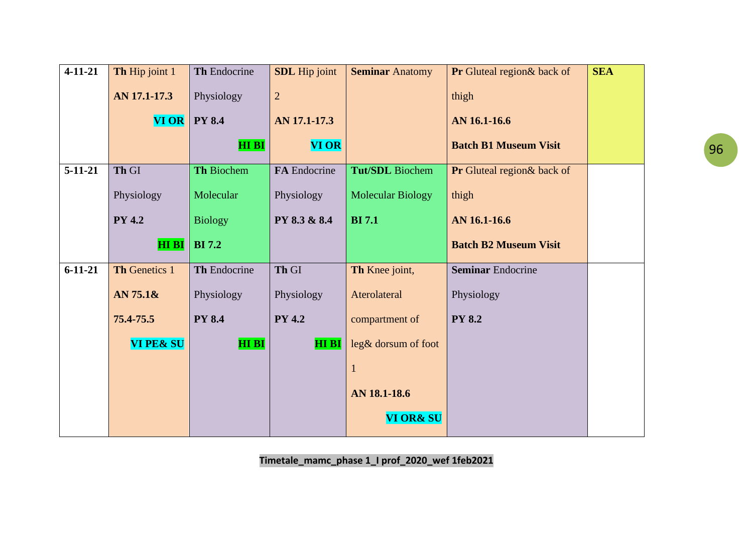| $4 - 11 - 21$ | Th Hip joint 1       | Th Endocrine   | <b>SDL</b> Hip joint | <b>Seminar Anatomy</b>   | <b>Pr</b> Gluteal region& back of | <b>SEA</b> |
|---------------|----------------------|----------------|----------------------|--------------------------|-----------------------------------|------------|
|               | AN 17.1-17.3         | Physiology     | $\overline{2}$       |                          | thigh                             |            |
|               | $VI$ OR $ $          | <b>PY 8.4</b>  | AN 17.1-17.3         |                          | AN 16.1-16.6                      |            |
|               |                      | <b>HIBI</b>    | <b>VI OR</b>         |                          | <b>Batch B1 Museum Visit</b>      |            |
| $5-11-21$     | Th GI                | Th Biochem     | FA Endocrine         | <b>Tut/SDL</b> Biochem   | Pr Gluteal region& back of        |            |
|               | Physiology           | Molecular      | Physiology           | <b>Molecular Biology</b> | thigh                             |            |
|               | <b>PY 4.2</b>        | <b>Biology</b> | PY 8.3 & 8.4         | <b>BI</b> 7.1            | AN 16.1-16.6                      |            |
|               | <b>HIBI</b>          | <b>BI</b> 7.2  |                      |                          | <b>Batch B2 Museum Visit</b>      |            |
| $6 - 11 - 21$ | Th Genetics 1        | Th Endocrine   | Th GI                | Th Knee joint,           | <b>Seminar Endocrine</b>          |            |
|               | AN 75.1&             | Physiology     | Physiology           | Aterolateral             | Physiology                        |            |
|               | 75.4-75.5            | <b>PY 8.4</b>  | <b>PY 4.2</b>        | compartment of           | <b>PY 8.2</b>                     |            |
|               | <b>VI PE&amp; SU</b> | <b>HIBI</b>    | <b>HI BI</b>         | leg& dorsum of foot      |                                   |            |
|               |                      |                |                      |                          |                                   |            |
|               |                      |                |                      | AN 18.1-18.6             |                                   |            |
|               |                      |                |                      | <b>VI OR&amp; SU</b>     |                                   |            |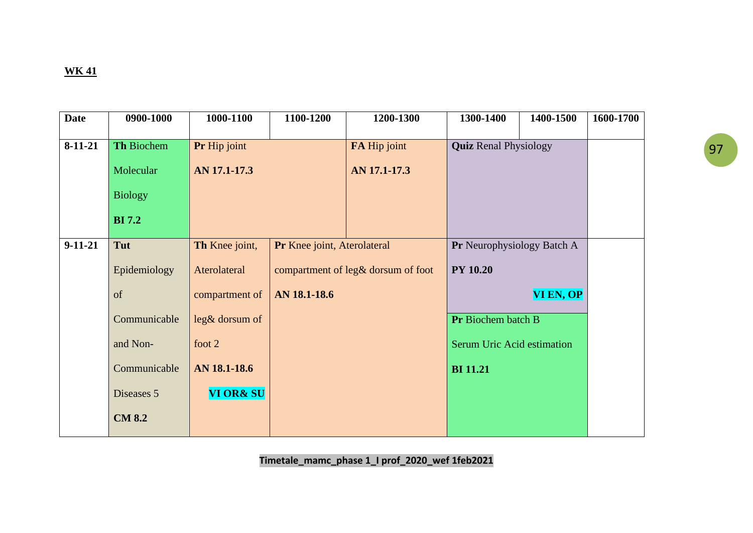| <b>Date</b> | 0900-1000      | 1000-1100            | 1100-1200                          | 1200-1300    | 1300-1400                    | 1400-1500 | 1600-1700 |
|-------------|----------------|----------------------|------------------------------------|--------------|------------------------------|-----------|-----------|
| $8-11-21$   | Th Biochem     | Pr Hip joint         |                                    | FA Hip joint | <b>Quiz Renal Physiology</b> |           |           |
|             | Molecular      | AN 17.1-17.3         |                                    | AN 17.1-17.3 |                              |           |           |
|             | <b>Biology</b> |                      |                                    |              |                              |           |           |
|             | <b>BI</b> 7.2  |                      |                                    |              |                              |           |           |
| $9-11-21$   | Tut            | Th Knee joint,       | Pr Knee joint, Aterolateral        |              | Pr Neurophysiology Batch A   |           |           |
|             | Epidemiology   | Aterolateral         | compartment of leg& dorsum of foot |              | <b>PY 10.20</b>              |           |           |
|             | of             | compartment of       | AN 18.1-18.6                       |              |                              | VI EN, OP |           |
|             | Communicable   | leg& dorsum of       |                                    |              | Pr Biochem batch B           |           |           |
|             | and Non-       | foot 2               |                                    |              | Serum Uric Acid estimation   |           |           |
|             | Communicable   | AN 18.1-18.6         |                                    |              | <b>BI</b> 11.21              |           |           |
|             | Diseases 5     | <b>VI OR&amp; SU</b> |                                    |              |                              |           |           |
|             | <b>CM 8.2</b>  |                      |                                    |              |                              |           |           |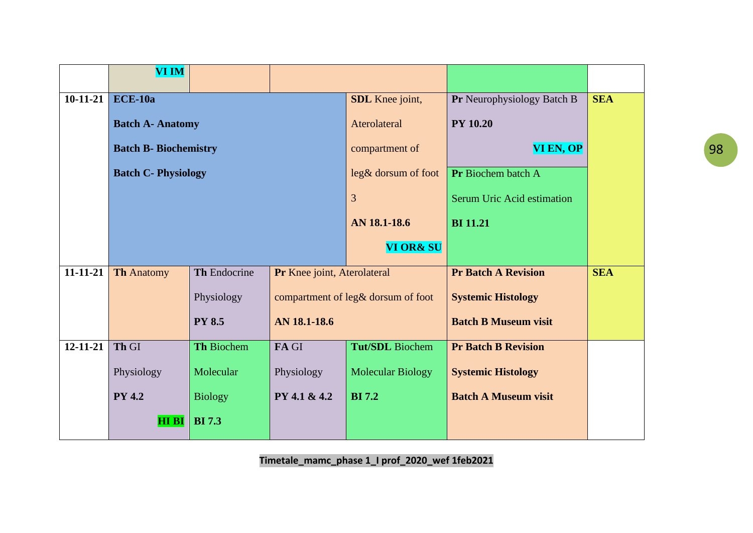|                | <b>VI IM</b>                 |                   |                             |                                    |                             |            |
|----------------|------------------------------|-------------------|-----------------------------|------------------------------------|-----------------------------|------------|
| $10-11-21$     | $ECE-10a$                    |                   |                             | SDL Knee joint,                    | Pr Neurophysiology Batch B  | <b>SEA</b> |
|                | <b>Batch A- Anatomy</b>      |                   |                             | Aterolateral                       | <b>PY 10.20</b>             |            |
|                | <b>Batch B- Biochemistry</b> |                   |                             | compartment of                     | VI EN, OP                   |            |
|                | <b>Batch C- Physiology</b>   |                   |                             | leg& dorsum of foot                | Pr Biochem batch A          |            |
|                |                              |                   |                             | $\overline{3}$                     | Serum Uric Acid estimation  |            |
|                |                              |                   |                             | AN 18.1-18.6                       | <b>BI</b> 11.21             |            |
|                |                              |                   |                             | <b>VI OR&amp; SU</b>               |                             |            |
| $11 - 11 - 21$ | <b>Th Anatomy</b>            | Th Endocrine      | Pr Knee joint, Aterolateral |                                    | <b>Pr Batch A Revision</b>  | <b>SEA</b> |
|                |                              | Physiology        |                             | compartment of leg& dorsum of foot | <b>Systemic Histology</b>   |            |
|                |                              | <b>PY 8.5</b>     | AN 18.1-18.6                |                                    | <b>Batch B Museum visit</b> |            |
| $12 - 11 - 21$ | Th GI                        | <b>Th Biochem</b> | FA GI                       | <b>Tut/SDL</b> Biochem             | <b>Pr Batch B Revision</b>  |            |
|                | Physiology                   | Molecular         | Physiology                  | <b>Molecular Biology</b>           | <b>Systemic Histology</b>   |            |
|                | <b>PY 4.2</b>                | <b>Biology</b>    | PY 4.1 & 4.2                | <b>BI</b> 7.2                      | <b>Batch A Museum visit</b> |            |
|                | <b>HIBI</b>                  | <b>BI</b> 7.3     |                             |                                    |                             |            |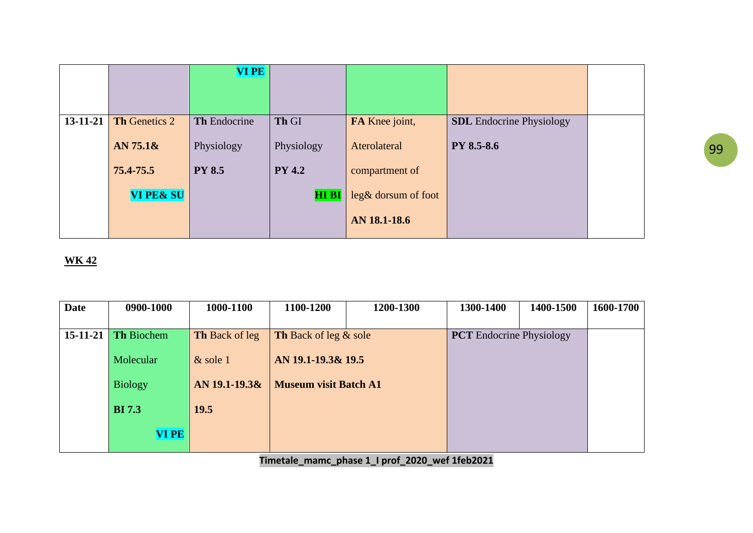|                |                      | <b>VIPE</b>   |               |                       |                                 |  |
|----------------|----------------------|---------------|---------------|-----------------------|---------------------------------|--|
|                |                      |               |               |                       |                                 |  |
|                |                      |               |               |                       |                                 |  |
| $13 - 11 - 21$ | Th Genetics 2        | Th Endocrine  | Th GI         | FA Knee joint,        | <b>SDL</b> Endocrine Physiology |  |
|                | AN $75.1\text{\&}$   | Physiology    | Physiology    | Aterolateral          | <b>PY 8.5-8.6</b>               |  |
|                |                      |               |               |                       |                                 |  |
|                | 75.4-75.5            | <b>PY 8.5</b> | <b>PY 4.2</b> | compartment of        |                                 |  |
|                | <b>VI PE&amp; SU</b> |               | <b>HI BI</b>  | $leg&$ dorsum of foot |                                 |  |
|                |                      |               |               | AN 18.1-18.6          |                                 |  |

| <b>Date</b> | 0900-1000         | 1000-1100             | 1100-1200                    | 1200-1300 | 1300-1400 | 1400-1500                       | 1600-1700 |
|-------------|-------------------|-----------------------|------------------------------|-----------|-----------|---------------------------------|-----------|
|             |                   |                       |                              |           |           |                                 |           |
| 15-11-21    | <b>Th Biochem</b> | <b>Th Back of leg</b> | Th Back of leg & sole        |           |           | <b>PCT</b> Endocrine Physiology |           |
|             | Molecular         | $&$ sole 1            | AN 19.1-19.3& 19.5           |           |           |                                 |           |
|             | <b>Biology</b>    | AN 19.1-19.3&         | <b>Museum visit Batch A1</b> |           |           |                                 |           |
|             | <b>BI</b> 7.3     | 19.5                  |                              |           |           |                                 |           |
|             | <b>VI PE</b>      |                       |                              |           |           |                                 |           |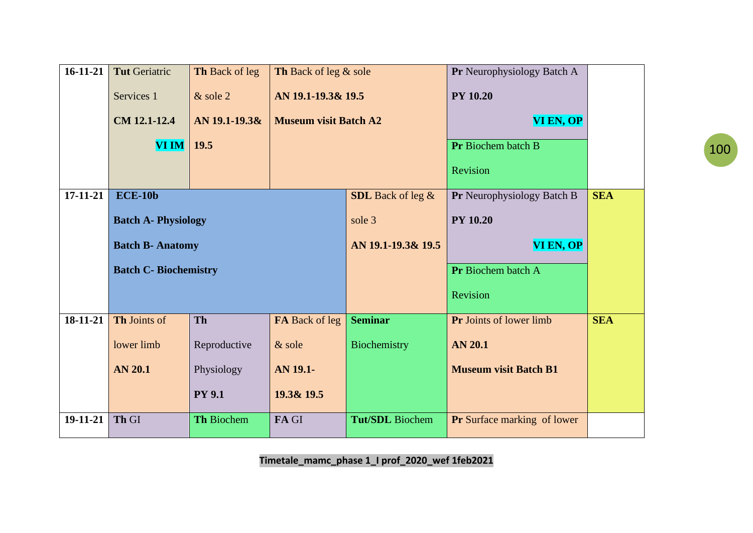| $16 - 11 - 21$ | <b>Tut Geriatric</b>         | Th Back of leg | Th Back of leg & sole        |                          | Pr Neurophysiology Batch A         |            |
|----------------|------------------------------|----------------|------------------------------|--------------------------|------------------------------------|------------|
|                | Services 1                   | $&$ sole 2     | AN 19.1-19.3& 19.5           |                          | <b>PY 10.20</b>                    |            |
|                | CM 12.1-12.4                 | AN 19.1-19.3&  | <b>Museum visit Batch A2</b> |                          | VI EN, OP                          |            |
|                | $\bf VIIM$                   | 19.5           |                              |                          | Pr Biochem batch B                 |            |
|                |                              |                |                              |                          | Revision                           |            |
| 17-11-21       | <b>ECE-10b</b>               |                |                              | <b>SDL</b> Back of leg & | <b>Pr</b> Neurophysiology Batch B  | <b>SEA</b> |
|                | <b>Batch A- Physiology</b>   |                |                              | sole 3                   | <b>PY 10.20</b>                    |            |
|                | <b>Batch B- Anatomy</b>      |                |                              | AN 19.1-19.3& 19.5       | VI EN, OP                          |            |
|                | <b>Batch C- Biochemistry</b> |                |                              |                          | Pr Biochem batch A                 |            |
|                |                              |                |                              |                          | Revision                           |            |
| 18-11-21       | Th Joints of                 | <b>Th</b>      | FA Back of leg               | <b>Seminar</b>           | <b>Pr</b> Joints of lower limb     | <b>SEA</b> |
|                | lower limb                   | Reproductive   | & sole                       | Biochemistry             | <b>AN 20.1</b>                     |            |
|                | <b>AN 20.1</b>               | Physiology     | AN 19.1-                     |                          | <b>Museum visit Batch B1</b>       |            |
|                |                              | <b>PY 9.1</b>  | 19.3& 19.5                   |                          |                                    |            |
| 19-11-21       | Th GI                        | Th Biochem     | FA GI                        | <b>Tut/SDL</b> Biochem   | <b>Pr</b> Surface marking of lower |            |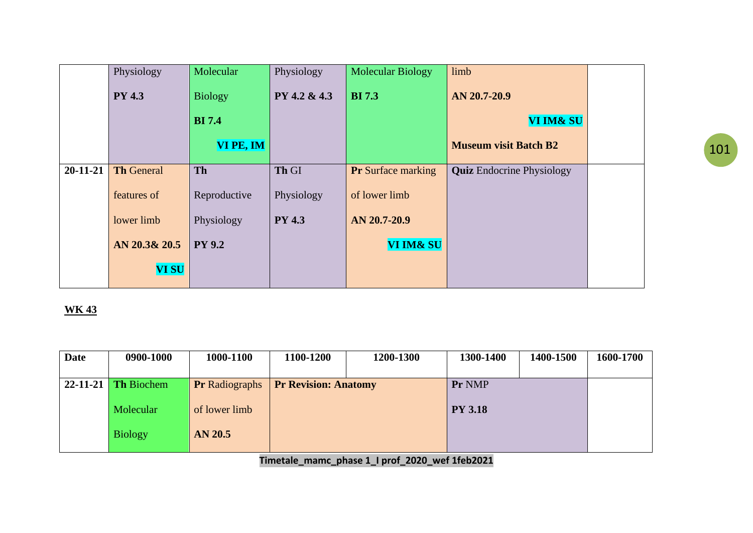|                | Physiology        | Molecular      | Physiology    | <b>Molecular Biology</b>  | limb                             |  |
|----------------|-------------------|----------------|---------------|---------------------------|----------------------------------|--|
|                | <b>PY 4.3</b>     | <b>Biology</b> | PY 4.2 & 4.3  | <b>BI</b> 7.3             | AN 20.7-20.9                     |  |
|                |                   | <b>BI</b> 7.4  |               |                           | VI IM& SU                        |  |
|                |                   | VI PE, IM      |               |                           | <b>Museum visit Batch B2</b>     |  |
| $20 - 11 - 21$ | <b>Th General</b> | Th             | Th GI         | <b>Pr</b> Surface marking | <b>Quiz</b> Endocrine Physiology |  |
|                | features of       | Reproductive   | Physiology    | of lower limb             |                                  |  |
|                | lower limb        | Physiology     | <b>PY 4.3</b> | AN 20.7-20.9              |                                  |  |
|                | AN 20.3& 20.5     | <b>PY 9.2</b>  |               | VI IM& SU                 |                                  |  |
|                | <b>VI SU</b>      |                |               |                           |                                  |  |

| <b>Date</b>    | 0900-1000         | 1000-1100             | 1100-1200                   | 1200-1300 | 1300-1400      | 1400-1500 | 1600-1700 |
|----------------|-------------------|-----------------------|-----------------------------|-----------|----------------|-----------|-----------|
| $22 - 11 - 21$ | <b>Th Biochem</b> | <b>Pr</b> Radiographs | <b>Pr Revision: Anatomy</b> |           | Pr NMP         |           |           |
|                | Molecular         | of lower limb         |                             |           | <b>PY 3.18</b> |           |           |
|                | <b>Biology</b>    | AN 20.5               |                             |           |                |           |           |
|                |                   |                       |                             |           |                |           |           |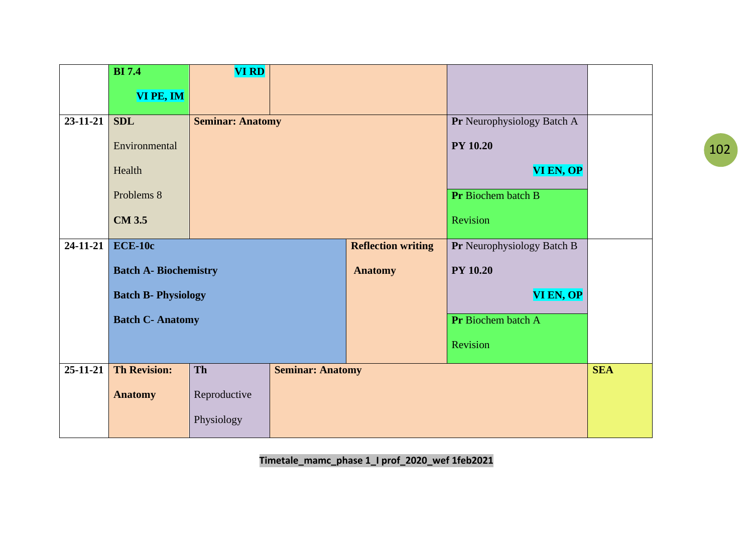|                | <b>BI</b> 7.4                | <b>VI RD</b>               |                         |                           |                            |            |
|----------------|------------------------------|----------------------------|-------------------------|---------------------------|----------------------------|------------|
|                | VI PE, IM                    |                            |                         |                           |                            |            |
|                |                              |                            |                         |                           |                            |            |
| $23 - 11 - 21$ | <b>SDL</b>                   | <b>Seminar: Anatomy</b>    |                         |                           | Pr Neurophysiology Batch A |            |
|                | Environmental                |                            |                         |                           | <b>PY 10.20</b>            |            |
|                | Health                       |                            |                         |                           | VI EN, OP                  |            |
|                | Problems 8                   |                            |                         |                           | Pr Biochem batch B         |            |
|                | <b>CM 3.5</b>                |                            |                         |                           | Revision                   |            |
| $24 - 11 - 21$ | $ECE-10c$                    |                            |                         | <b>Reflection writing</b> | Pr Neurophysiology Batch B |            |
|                | <b>Batch A- Biochemistry</b> |                            |                         | <b>Anatomy</b>            | <b>PY 10.20</b>            |            |
|                |                              | <b>Batch B- Physiology</b> |                         |                           | VI EN, OP                  |            |
|                | <b>Batch C- Anatomy</b>      |                            |                         |                           | Pr Biochem batch A         |            |
|                |                              |                            |                         |                           | Revision                   |            |
| $25 - 11 - 21$ | <b>Th Revision:</b>          | Th                         | <b>Seminar: Anatomy</b> |                           |                            | <b>SEA</b> |
|                | <b>Anatomy</b>               | Reproductive               |                         |                           |                            |            |
|                |                              | Physiology                 |                         |                           |                            |            |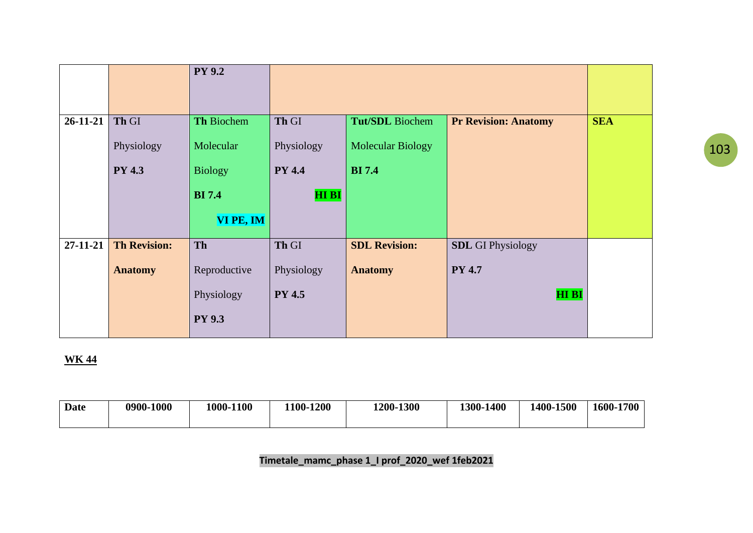|                |                     | <b>PY 9.2</b>  |               |                          |                             |            |
|----------------|---------------------|----------------|---------------|--------------------------|-----------------------------|------------|
|                |                     |                |               |                          |                             |            |
|                |                     |                |               |                          |                             |            |
| $26 - 11 - 21$ | Th GI               | Th Biochem     | Th GI         | Tut/SDL Biochem          | <b>Pr Revision: Anatomy</b> | <b>SEA</b> |
|                | Physiology          | Molecular      | Physiology    | <b>Molecular Biology</b> |                             |            |
|                | <b>PY 4.3</b>       | <b>Biology</b> | <b>PY 4.4</b> | <b>BI</b> 7.4            |                             |            |
|                |                     | <b>BI</b> 7.4  | <b>HI BI</b>  |                          |                             |            |
|                |                     | VI PE, IM      |               |                          |                             |            |
| 27-11-21       | <b>Th Revision:</b> | Th             | Th GI         | <b>SDL Revision:</b>     | <b>SDL</b> GI Physiology    |            |
|                | <b>Anatomy</b>      | Reproductive   | Physiology    | <b>Anatomy</b>           | <b>PY 4.7</b>               |            |
|                |                     | Physiology     | <b>PY 4.5</b> |                          | <b>HI BI</b>                |            |
|                |                     | <b>PY 9.3</b>  |               |                          |                             |            |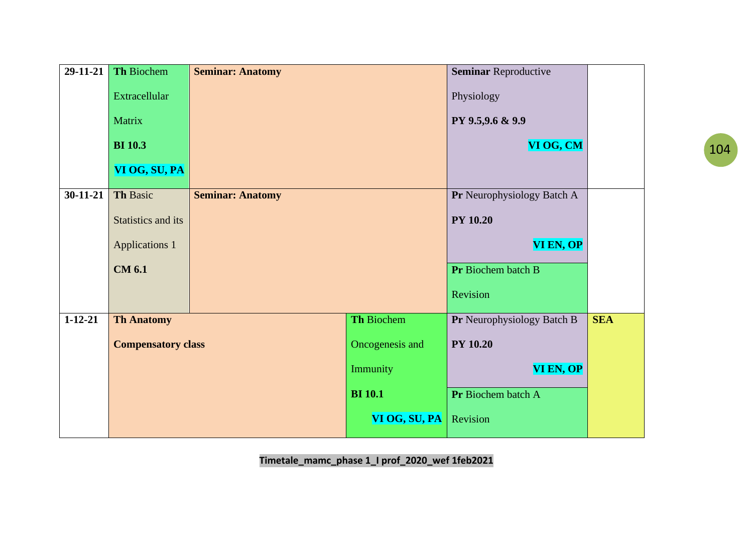| $29-11-21$    | Th Biochem                | <b>Seminar: Anatomy</b> |                 | <b>Seminar Reproductive</b> |            |
|---------------|---------------------------|-------------------------|-----------------|-----------------------------|------------|
|               | Extracellular             |                         |                 | Physiology                  |            |
|               | Matrix                    |                         |                 | PY 9.5,9.6 & 9.9            |            |
|               | <b>BI</b> 10.3            |                         |                 | VI OG, CM                   |            |
|               | VI OG, SU, PA             |                         |                 |                             |            |
| $30-11-21$    | <b>Th Basic</b>           | <b>Seminar: Anatomy</b> |                 | Pr Neurophysiology Batch A  |            |
|               | Statistics and its        |                         |                 | <b>PY 10.20</b>             |            |
|               | <b>Applications 1</b>     |                         | VI EN, OP       |                             |            |
|               | <b>CM 6.1</b>             |                         |                 | Pr Biochem batch B          |            |
|               |                           |                         |                 | Revision                    |            |
| $1 - 12 - 21$ | <b>Th Anatomy</b>         |                         | Th Biochem      | Pr Neurophysiology Batch B  | <b>SEA</b> |
|               | <b>Compensatory class</b> |                         | Oncogenesis and | <b>PY 10.20</b>             |            |
|               |                           |                         | Immunity        | <b>VI EN, OP</b>            |            |
|               |                           |                         | <b>BI</b> 10.1  | Pr Biochem batch A          |            |
|               |                           |                         | VI OG, SU, PA   | Revision                    |            |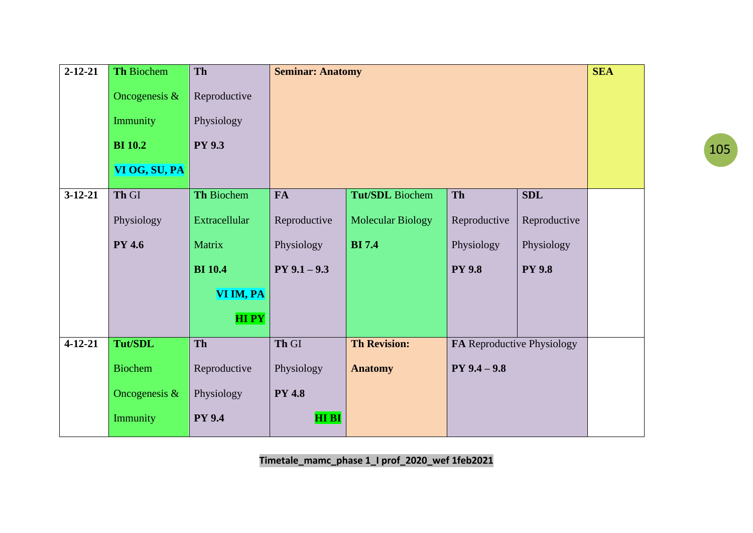| $2 - 12 - 21$ | <b>Th Biochem</b> | Th             | <b>Seminar: Anatomy</b> |                          |                            |               | <b>SEA</b> |
|---------------|-------------------|----------------|-------------------------|--------------------------|----------------------------|---------------|------------|
|               | Oncogenesis $\&$  | Reproductive   |                         |                          |                            |               |            |
|               | Immunity          | Physiology     |                         |                          |                            |               |            |
|               | <b>BI</b> 10.2    | <b>PY 9.3</b>  |                         |                          |                            |               |            |
|               | VI OG, SU, PA     |                |                         |                          |                            |               |            |
| $3-12-21$     | Th GI             | Th Biochem     | <b>FA</b>               | Tut/SDL Biochem          | <b>Th</b>                  | <b>SDL</b>    |            |
|               | Physiology        | Extracellular  | Reproductive            | <b>Molecular Biology</b> | Reproductive               | Reproductive  |            |
|               | <b>PY 4.6</b>     | Matrix         | Physiology              | <b>BI</b> 7.4            | Physiology                 | Physiology    |            |
|               |                   | <b>BI</b> 10.4 | $PY$ 9.1 - 9.3          |                          | <b>PY 9.8</b>              | <b>PY 9.8</b> |            |
|               |                   | VI IM, PA      |                         |                          |                            |               |            |
|               |                   | <b>HIPY</b>    |                         |                          |                            |               |            |
| $4 - 12 - 21$ | <b>Tut/SDL</b>    | Th             | Th GI                   | <b>Th Revision:</b>      | FA Reproductive Physiology |               |            |
|               | <b>Biochem</b>    | Reproductive   | Physiology              | <b>Anatomy</b>           | $PY$ 9.4 $-$ 9.8           |               |            |
|               | Oncogenesis $\&$  | Physiology     | <b>PY 4.8</b>           |                          |                            |               |            |
|               | Immunity          | <b>PY 9.4</b>  | <b>HI BI</b>            |                          |                            |               |            |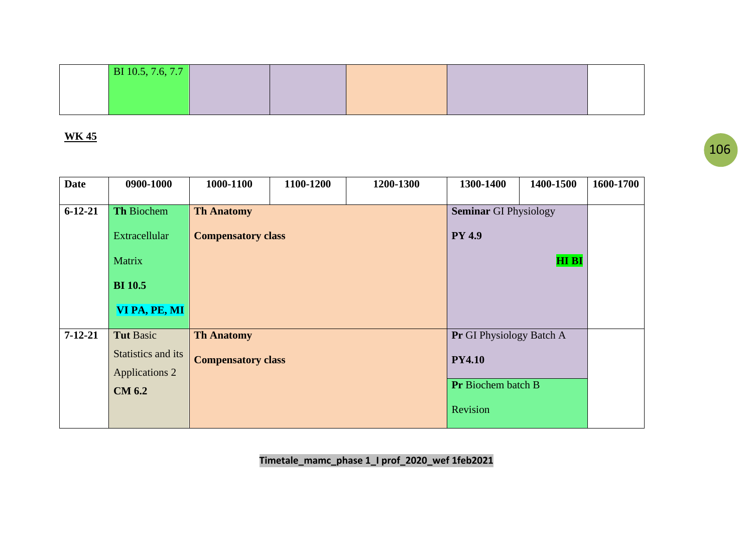| <b>Date</b>   | 0900-1000             | 1000-1100                 | 1100-1200                 | 1200-1300 | 1300-1400                    | 1400-1500                | 1600-1700 |
|---------------|-----------------------|---------------------------|---------------------------|-----------|------------------------------|--------------------------|-----------|
| $6 - 12 - 21$ | Th Biochem            | <b>Th Anatomy</b>         |                           |           | <b>Seminar GI Physiology</b> |                          |           |
|               | Extracellular         | <b>Compensatory class</b> |                           |           | <b>PY 4.9</b>                |                          |           |
|               | Matrix                |                           |                           |           | <b>HI BI</b>                 |                          |           |
|               | <b>BI</b> 10.5        |                           |                           |           |                              |                          |           |
|               | VI PA, PE, MI         |                           |                           |           |                              |                          |           |
| $7 - 12 - 21$ | <b>Tut Basic</b>      | <b>Th Anatomy</b>         |                           |           |                              | Pr GI Physiology Batch A |           |
|               | Statistics and its    |                           | <b>Compensatory class</b> |           |                              | <b>PY4.10</b>            |           |
|               | <b>Applications 2</b> |                           |                           |           |                              |                          |           |
|               | <b>CM 6.2</b>         |                           |                           |           | Pr Biochem batch B           |                          |           |
|               |                       |                           |                           | Revision  |                              |                          |           |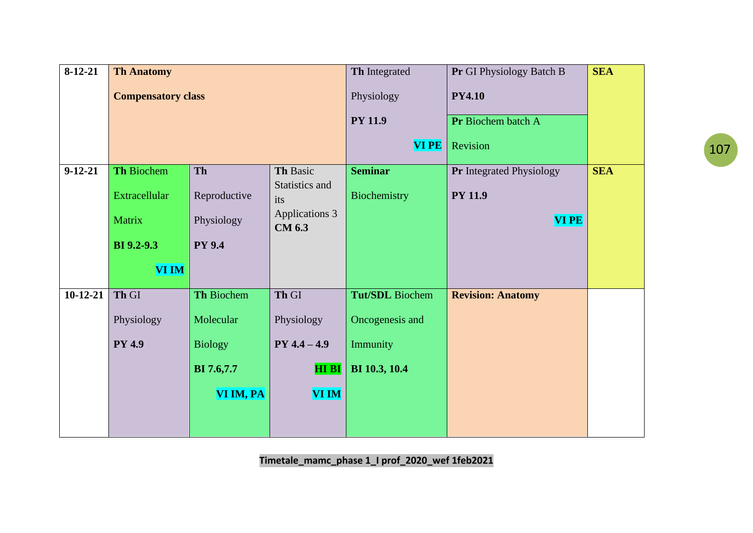| $8-12-21$     | <b>Th Anatomy</b>         |                   |                                 | Th Integrated   | Pr GI Physiology Batch B        | <b>SEA</b> |
|---------------|---------------------------|-------------------|---------------------------------|-----------------|---------------------------------|------------|
|               | <b>Compensatory class</b> |                   |                                 | Physiology      | <b>PY4.10</b>                   |            |
|               |                           |                   |                                 | <b>PY 11.9</b>  | Pr Biochem batch A              |            |
|               |                           |                   |                                 | <b>VIPE</b>     | Revision                        |            |
| $9 - 12 - 21$ | Th Biochem                | Th                | Th Basic                        | <b>Seminar</b>  | <b>Pr</b> Integrated Physiology | <b>SEA</b> |
|               | <b>Extracellular</b>      | Reproductive      | its                             | Biochemistry    | <b>PY 11.9</b>                  |            |
|               | Matrix                    | Physiology        | Applications 3<br><b>CM 6.3</b> |                 | <b>VI PE</b>                    |            |
|               | <b>BI</b> 9.2-9.3         | <b>PY 9.4</b>     |                                 |                 |                                 |            |
|               | <b>VI IM</b>              |                   |                                 |                 |                                 |            |
| $10-12-21$    | Th GI                     | Th Biochem        | Th GI                           | Tut/SDL Biochem | <b>Revision: Anatomy</b>        |            |
|               | Physiology                | Molecular         | Physiology                      | Oncogenesis and |                                 |            |
|               | <b>PY 4.9</b>             | <b>Biology</b>    | $PY 4.4 - 4.9$                  | Immunity        |                                 |            |
|               |                           | <b>BI</b> 7.6,7.7 | HI BI                           | BI 10.3, 10.4   |                                 |            |
|               |                           | VI IM, PA         | <b>VI IM</b>                    |                 |                                 |            |
|               |                           |                   |                                 |                 |                                 |            |
|               |                           |                   | Statistics and                  |                 |                                 |            |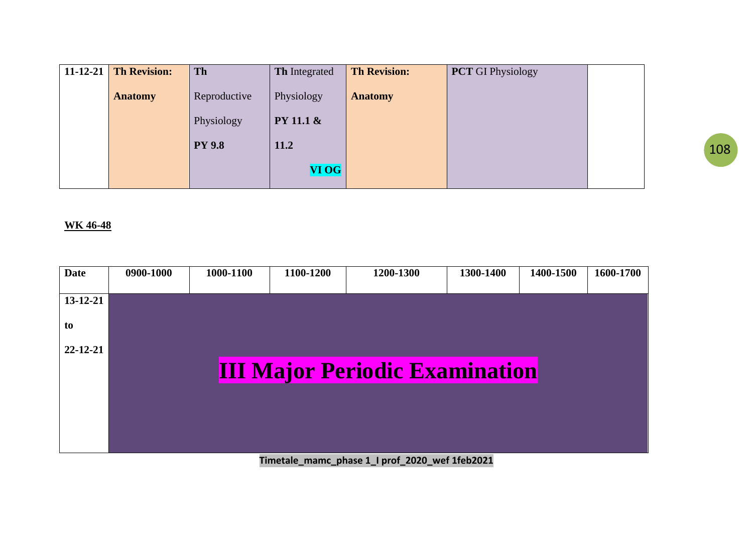| <b>11-12-21</b> Th Revision: | Th            | <b>Th</b> Integrated | <b>Th Revision:</b> | <b>PCT</b> GI Physiology |  |
|------------------------------|---------------|----------------------|---------------------|--------------------------|--|
| <b>Anatomy</b>               | Reproductive  | Physiology           | <b>Anatomy</b>      |                          |  |
|                              |               |                      |                     |                          |  |
|                              | Physiology    | <b>PY 11.1 &amp;</b> |                     |                          |  |
|                              | <b>PY 9.8</b> | 11.2                 |                     |                          |  |
|                              |               | <b>VI OG</b>         |                     |                          |  |

#### **WK 46-48**

| <b>Date</b>    | 0900-1000 | 1000-1100 | 1100-1200 | 1200-1300                             | 1300-1400 | 1400-1500 | 1600-1700 |
|----------------|-----------|-----------|-----------|---------------------------------------|-----------|-----------|-----------|
| 13-12-21       |           |           |           |                                       |           |           |           |
| to             |           |           |           |                                       |           |           |           |
| $22 - 12 - 21$ |           |           |           |                                       |           |           |           |
|                |           |           |           | <b>III Major Periodic Examination</b> |           |           |           |
|                |           |           |           |                                       |           |           |           |
|                |           |           |           |                                       |           |           |           |
|                |           |           |           |                                       |           |           |           |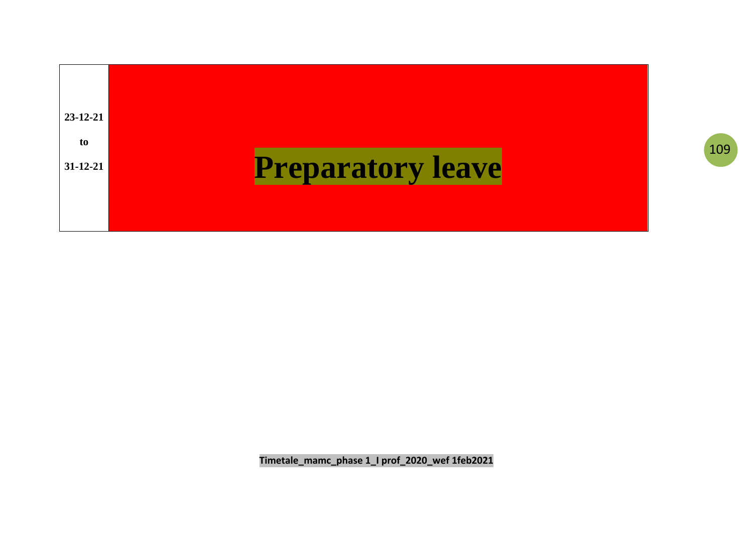

Timetale\_mamc\_phase 1\_I prof\_2020\_wef 1feb2021